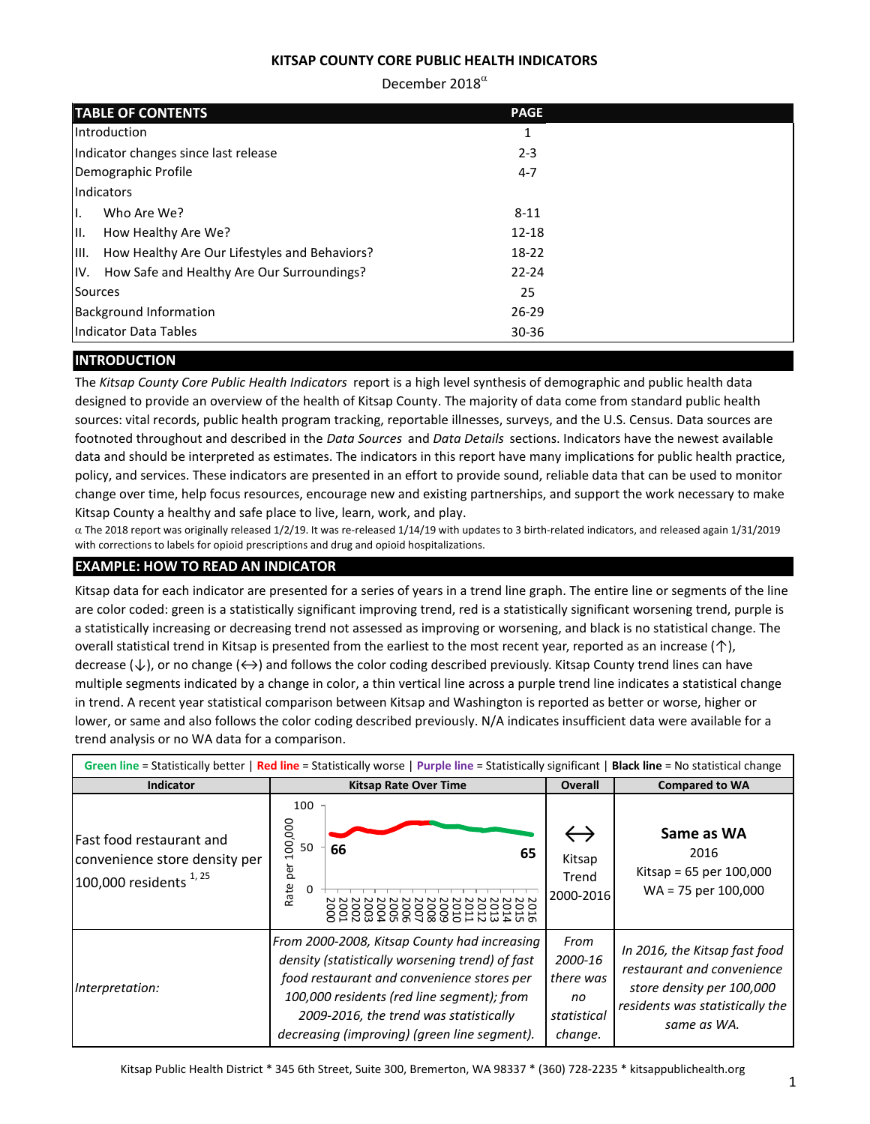# December 2018 $^{\alpha}$

|                | <b>TABLE OF CONTENTS</b>                       | <b>PAGE</b> |  |
|----------------|------------------------------------------------|-------------|--|
|                | Introduction                                   | 1           |  |
|                | Indicator changes since last release           | $2 - 3$     |  |
|                | Demographic Profile                            | $4 - 7$     |  |
|                | Indicators                                     |             |  |
| Η.             | Who Are We?                                    | $8 - 11$    |  |
| III.           | How Healthy Are We?                            | $12 - 18$   |  |
| IIII.          | How Healthy Are Our Lifestyles and Behaviors?  | 18-22       |  |
|                | IV. How Safe and Healthy Are Our Surroundings? | $22 - 24$   |  |
| <b>Sources</b> |                                                | 25          |  |
|                | <b>Background Information</b>                  | $26 - 29$   |  |
|                | Indicator Data Tables                          | $30 - 36$   |  |

# **INTRODUCTION**

The *Kitsap County Core Public Health Indicators* report is a high level synthesis of demographic and public health data designed to provide an overview of the health of Kitsap County. The majority of data come from standard public health sources: vital records, public health program tracking, reportable illnesses, surveys, and the U.S. Census. Data sources are footnoted throughout and described in the *Data Sources* and *Data Details* sections. Indicators have the newest available data and should be interpreted as estimates. The indicators in this report have many implications for public health practice, policy, and services. These indicators are presented in an effort to provide sound, reliable data that can be used to monitor change over time, help focus resources, encourage new and existing partnerships, and support the work necessary to make Kitsap County a healthy and safe place to live, learn, work, and play.

 $\alpha$  The 2018 report was originally released 1/2/19. It was re-released 1/14/19 with updates to 3 birth-related indicators, and released again 1/31/2019 with corrections to labels for opioid prescriptions and drug and opioid hospitalizations.

# **EXAMPLE: HOW TO READ AN INDICATOR**

Kitsap data for each indicator are presented for a series of years in a trend line graph. The entire line or segments of the line are color coded: green is a statistically significant improving trend, red is a statistically significant worsening trend, purple is a statistically increasing or decreasing trend not assessed as improving or worsening, and black is no statistical change. The overall statistical trend in Kitsap is presented from the earliest to the most recent year, reported as an increase (↑), decrease (↓), or no change (↔) and follows the color coding described previously. Kitsap County trend lines can have multiple segments indicated by a change in color, a thin vertical line across a purple trend line indicates a statistical change in trend. A recent year statistical comparison between Kitsap and Washington is reported as better or worse, higher or lower, or same and also follows the color coding described previously. N/A indicates insufficient data were available for a trend analysis or no WA data for a comparison.

| Green line = Statistically better   Red line = Statistically worse   Purple line = Statistically significant   Black line = No statistical change |                                                                                                                                                                                                                                                                                       |                                                              |                                                                                                                                            |  |  |
|---------------------------------------------------------------------------------------------------------------------------------------------------|---------------------------------------------------------------------------------------------------------------------------------------------------------------------------------------------------------------------------------------------------------------------------------------|--------------------------------------------------------------|--------------------------------------------------------------------------------------------------------------------------------------------|--|--|
| <b>Indicator</b>                                                                                                                                  | <b>Kitsap Rate Over Time</b>                                                                                                                                                                                                                                                          | <b>Overall</b>                                               | <b>Compared to WA</b>                                                                                                                      |  |  |
| Fast food restaurant and<br>convenience store density per<br>100,000 residents <sup>1,25</sup>                                                    | 100<br>100,000<br>50<br>66<br>65<br>per<br>Rate<br>0                                                                                                                                                                                                                                  | Kitsap<br>Trend<br>2000-2016                                 | Same as WA<br>2016<br>Kitsap = $65$ per $100,000$<br>$WA = 75$ per 100,000                                                                 |  |  |
| Interpretation:                                                                                                                                   | From 2000-2008, Kitsap County had increasing<br>density (statistically worsening trend) of fast<br>food restaurant and convenience stores per<br>100,000 residents (red line segment); from<br>2009-2016, the trend was statistically<br>decreasing (improving) (green line segment). | From<br>2000-16<br>there was<br>no<br>statistical<br>change. | In 2016, the Kitsap fast food<br>restaurant and convenience<br>store density per 100,000<br>residents was statistically the<br>same as WA. |  |  |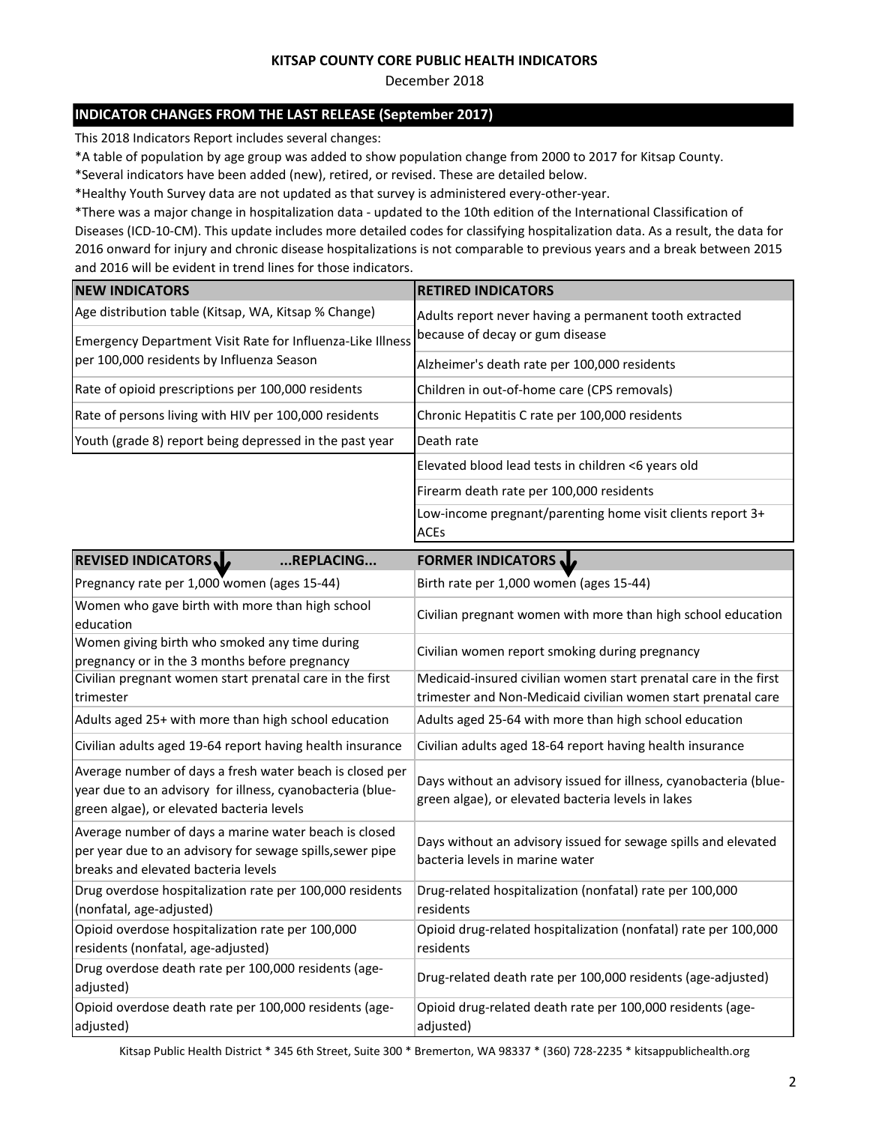December 2018

# **INDICATOR CHANGES FROM THE LAST RELEASE (September 2017)**

This 2018 Indicators Report includes several changes:

Opioid overdose death rate per 100,000 residents (age-

adjusted)

\*A table of population by age group was added to show population change from 2000 to 2017 for Kitsap County.

\*Several indicators have been added (new), retired, or revised. These are detailed below.

\*Healthy Youth Survey data are not updated as that survey is administered every-other-year.

\*There was a major change in hospitalization data - updated to the 10th edition of the International Classification of Diseases (ICD-10-CM). This update includes more detailed codes for classifying hospitalization data. As a result, the data for 2016 onward for injury and chronic disease hospitalizations is not comparable to previous years and a break between 2015 and 2016 will be evident in trend lines for those indicators.

| <b>NEW INDICATORS</b>                                                                                                                                              | <b>RETIRED INDICATORS</b>                                                                                               |
|--------------------------------------------------------------------------------------------------------------------------------------------------------------------|-------------------------------------------------------------------------------------------------------------------------|
| Age distribution table (Kitsap, WA, Kitsap % Change)                                                                                                               | Adults report never having a permanent tooth extracted                                                                  |
| Emergency Department Visit Rate for Influenza-Like Illness                                                                                                         | because of decay or gum disease                                                                                         |
| per 100,000 residents by Influenza Season                                                                                                                          | Alzheimer's death rate per 100,000 residents                                                                            |
| Rate of opioid prescriptions per 100,000 residents                                                                                                                 | Children in out-of-home care (CPS removals)                                                                             |
| Rate of persons living with HIV per 100,000 residents                                                                                                              | Chronic Hepatitis C rate per 100,000 residents                                                                          |
| Youth (grade 8) report being depressed in the past year                                                                                                            | Death rate                                                                                                              |
|                                                                                                                                                                    | Elevated blood lead tests in children <6 years old                                                                      |
|                                                                                                                                                                    | Firearm death rate per 100,000 residents                                                                                |
|                                                                                                                                                                    | Low-income pregnant/parenting home visit clients report 3+<br><b>ACEs</b>                                               |
|                                                                                                                                                                    |                                                                                                                         |
| REVISED INDICATORS<br>REPLACING                                                                                                                                    | <b>FORMER INDICATORS</b>                                                                                                |
| Pregnancy rate per 1,000 women (ages 15-44)                                                                                                                        | Birth rate per 1,000 women (ages 15-44)                                                                                 |
| Women who gave birth with more than high school<br>education                                                                                                       | Civilian pregnant women with more than high school education                                                            |
| Women giving birth who smoked any time during<br>pregnancy or in the 3 months before pregnancy                                                                     | Civilian women report smoking during pregnancy                                                                          |
| Civilian pregnant women start prenatal care in the first                                                                                                           | Medicaid-insured civilian women start prenatal care in the first                                                        |
| trimester                                                                                                                                                          | trimester and Non-Medicaid civilian women start prenatal care                                                           |
| Adults aged 25+ with more than high school education                                                                                                               | Adults aged 25-64 with more than high school education                                                                  |
| Civilian adults aged 19-64 report having health insurance                                                                                                          | Civilian adults aged 18-64 report having health insurance                                                               |
| Average number of days a fresh water beach is closed per<br>year due to an advisory for illness, cyanobacteria (blue-<br>green algae), or elevated bacteria levels | Days without an advisory issued for illness, cyanobacteria (blue-<br>green algae), or elevated bacteria levels in lakes |
| Average number of days a marine water beach is closed<br>per year due to an advisory for sewage spills, sewer pipe<br>breaks and elevated bacteria levels          | Days without an advisory issued for sewage spills and elevated<br>bacteria levels in marine water                       |
| Drug overdose hospitalization rate per 100,000 residents<br>(nonfatal, age-adjusted)                                                                               | Drug-related hospitalization (nonfatal) rate per 100,000<br>residents                                                   |
| Opioid overdose hospitalization rate per 100,000<br>residents (nonfatal, age-adjusted)                                                                             | Opioid drug-related hospitalization (nonfatal) rate per 100,000<br>residents                                            |
| Drug overdose death rate per 100,000 residents (age-<br>adjusted)                                                                                                  | Drug-related death rate per 100,000 residents (age-adjusted)                                                            |

adjusted) Kitsap Public Health District \* 345 6th Street, Suite 300 \* Bremerton, WA 98337 \* (360) 728-2235 \* kitsappublichealth.org

Opioid drug-related death rate per 100,000 residents (age-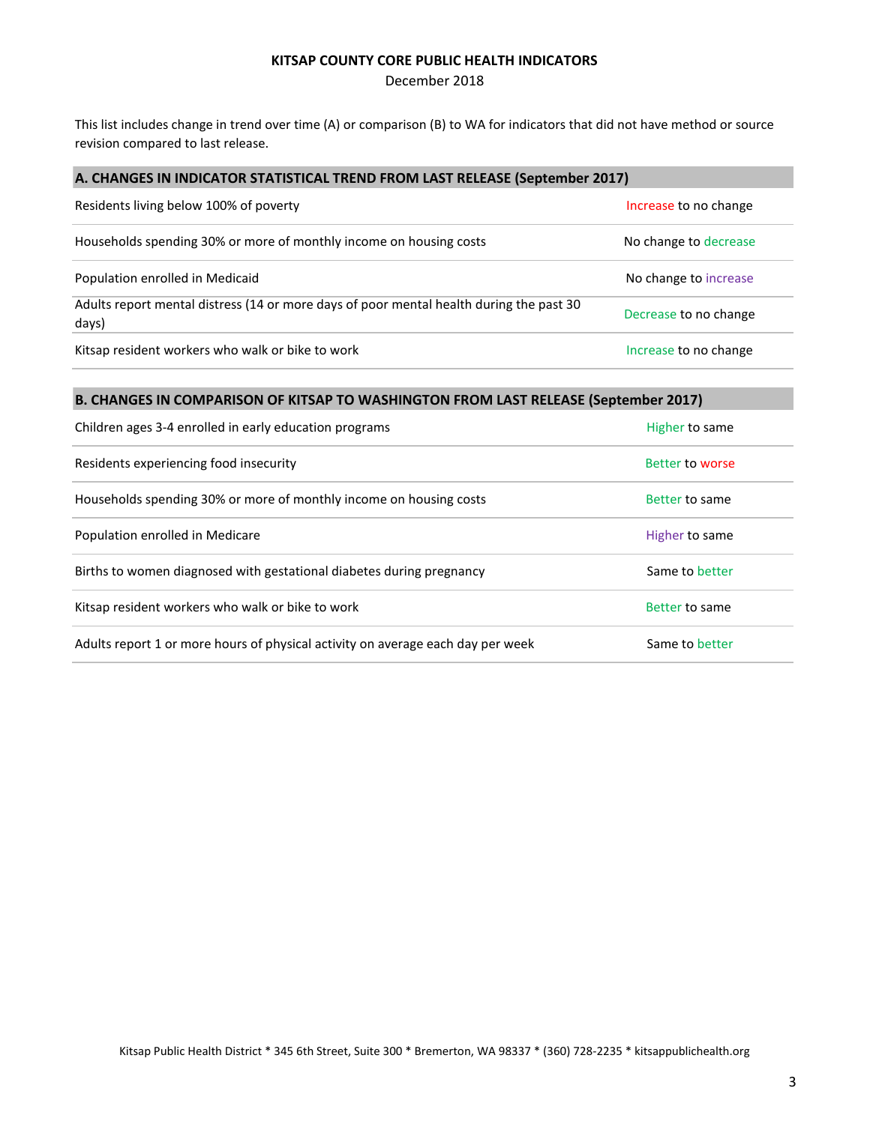December 2018

This list includes change in trend over time (A) or comparison (B) to WA for indicators that did not have method or source revision compared to last release.

### **A. CHANGES IN INDICATOR STATISTICAL TREND FROM LAST RELEASE (September 2017)**

| Residents living below 100% of poverty                                                           | Increase to no change |
|--------------------------------------------------------------------------------------------------|-----------------------|
| Households spending 30% or more of monthly income on housing costs                               | No change to decrease |
| Population enrolled in Medicaid                                                                  | No change to increase |
| Adults report mental distress (14 or more days of poor mental health during the past 30<br>days) | Decrease to no change |
| Kitsap resident workers who walk or bike to work                                                 | Increase to no change |

# **B. CHANGES IN COMPARISON OF KITSAP TO WASHINGTON FROM LAST RELEASE (September 2017)**

| Children ages 3-4 enrolled in early education programs                          | Higher to same  |
|---------------------------------------------------------------------------------|-----------------|
| Residents experiencing food insecurity                                          | Better to worse |
| Households spending 30% or more of monthly income on housing costs              | Better to same  |
| Population enrolled in Medicare                                                 | Higher to same  |
| Births to women diagnosed with gestational diabetes during pregnancy            | Same to better  |
| Kitsap resident workers who walk or bike to work                                | Better to same  |
| Adults report 1 or more hours of physical activity on average each day per week | Same to better  |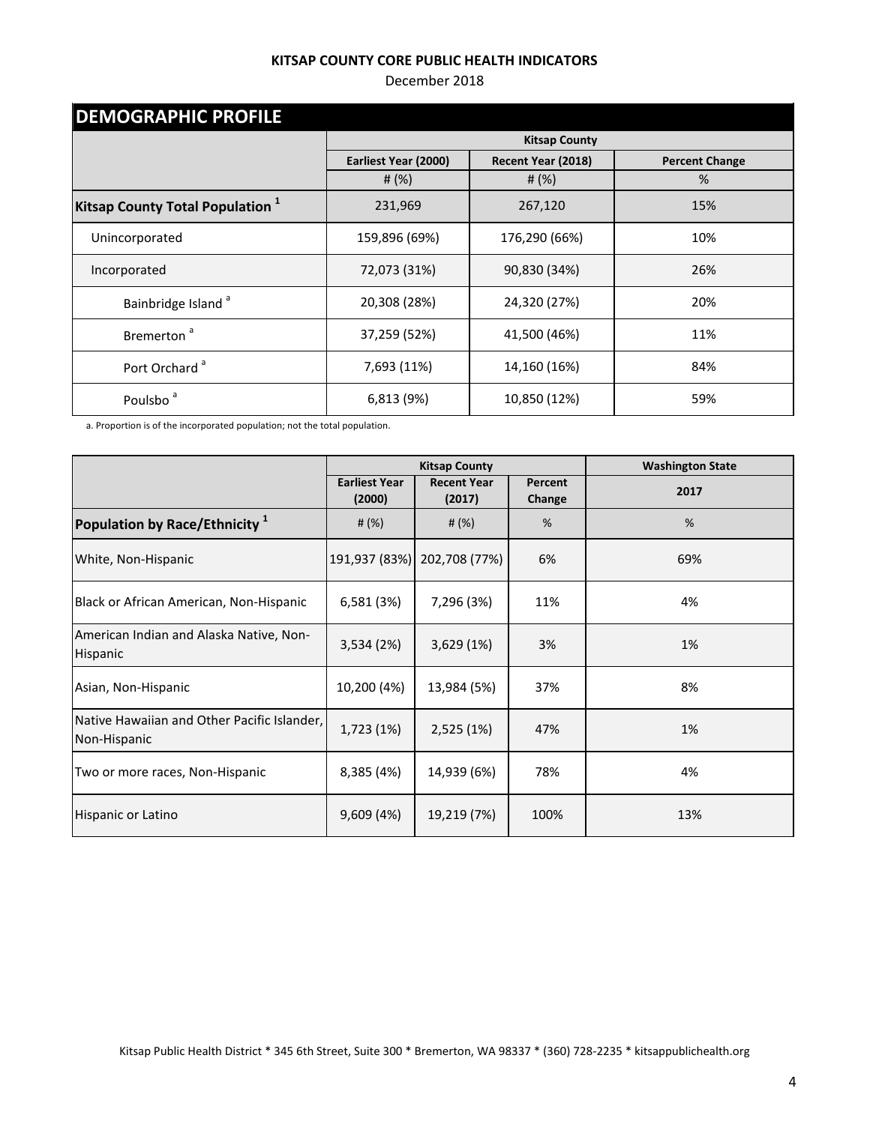## December 2018

| <b>DEMOGRAPHIC PROFILE</b>                  |                      |                      |                       |  |  |
|---------------------------------------------|----------------------|----------------------|-----------------------|--|--|
|                                             |                      | <b>Kitsap County</b> |                       |  |  |
|                                             | Earliest Year (2000) | Recent Year (2018)   | <b>Percent Change</b> |  |  |
|                                             | # $(%)$              | # $(%)$              | %                     |  |  |
| Kitsap County Total Population <sup>1</sup> | 231,969              | 267,120              | 15%                   |  |  |
| Unincorporated                              | 159,896 (69%)        | 176,290 (66%)        | 10%                   |  |  |
| Incorporated                                | 72,073 (31%)         | 90,830 (34%)         | 26%                   |  |  |
| Bainbridge Island <sup>a</sup>              | 20,308 (28%)         | 24,320 (27%)         | 20%                   |  |  |
| Bremerton <sup>a</sup>                      | 37,259 (52%)         | 41,500 (46%)         | 11%                   |  |  |
| Port Orchard <sup>a</sup>                   | 7,693 (11%)          | 14,160 (16%)         | 84%                   |  |  |
| Poulsbo <sup>a</sup>                        | 6,813 (9%)           | 10,850 (12%)         | 59%                   |  |  |

a. Proportion is of the incorporated population; not the total population.

|                                                             | <b>Kitsap County</b>           |                              |                   | <b>Washington State</b> |
|-------------------------------------------------------------|--------------------------------|------------------------------|-------------------|-------------------------|
|                                                             | <b>Earliest Year</b><br>(2000) | <b>Recent Year</b><br>(2017) | Percent<br>Change | 2017                    |
| Population by Race/Ethnicity <sup>1</sup>                   | # $(\%)$                       | # $(\%)$                     | %                 | %                       |
| White, Non-Hispanic                                         |                                | 191,937 (83%) 202,708 (77%)  | 6%                | 69%                     |
| Black or African American, Non-Hispanic                     | 6,581 (3%)                     | 7,296 (3%)                   | 11%               | 4%                      |
| American Indian and Alaska Native, Non-<br>Hispanic         | 3,534 (2%)                     | 3,629(1%)                    | 3%                | 1%                      |
| Asian, Non-Hispanic                                         | 10,200 (4%)                    | 13,984 (5%)                  | 37%               | 8%                      |
| Native Hawaiian and Other Pacific Islander,<br>Non-Hispanic | 1,723 (1%)                     | 2,525 (1%)                   | 47%               | 1%                      |
| Two or more races, Non-Hispanic                             | 8,385 (4%)                     | 14,939 (6%)                  | 78%               | 4%                      |
| Hispanic or Latino                                          | 9,609 (4%)                     | 19,219 (7%)                  | 100%              | 13%                     |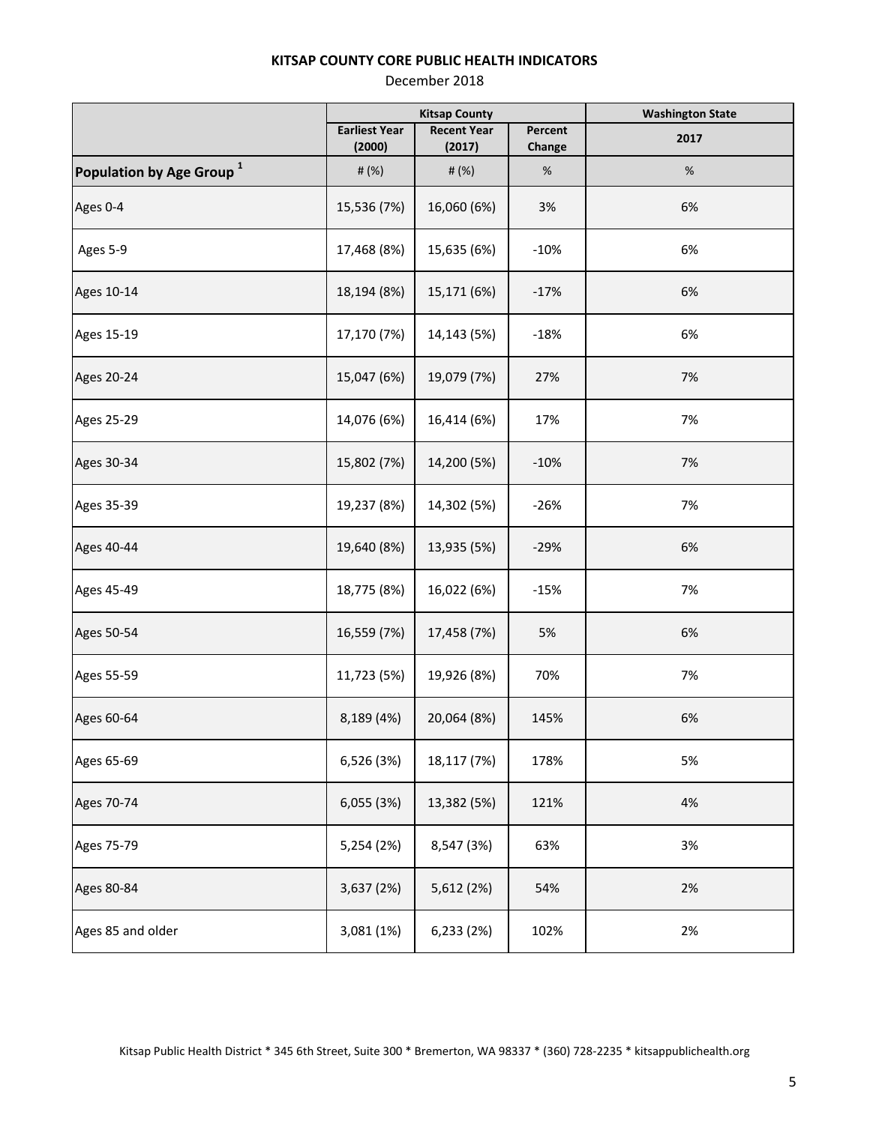|                                      | <b>Kitsap County</b> |                    |         | <b>Washington State</b> |
|--------------------------------------|----------------------|--------------------|---------|-------------------------|
|                                      | <b>Earliest Year</b> | <b>Recent Year</b> | Percent | 2017                    |
|                                      | (2000)               | (2017)             | Change  |                         |
| Population by Age Group <sup>1</sup> | # (%)                | # (%)              | $\%$    | $\%$                    |
| Ages 0-4                             | 15,536 (7%)          | 16,060 (6%)        | 3%      | 6%                      |
| Ages 5-9                             | 17,468 (8%)          | 15,635 (6%)        | $-10%$  | 6%                      |
| Ages 10-14                           | 18,194 (8%)          | 15,171 (6%)        | $-17%$  | 6%                      |
| Ages 15-19                           | 17,170 (7%)          | 14,143 (5%)        | $-18%$  | 6%                      |
| Ages 20-24                           | 15,047 (6%)          | 19,079 (7%)        | 27%     | 7%                      |
| Ages 25-29                           | 14,076 (6%)          | 16,414 (6%)        | 17%     | 7%                      |
| Ages 30-34                           | 15,802 (7%)          | 14,200 (5%)        | $-10%$  | 7%                      |
| Ages 35-39                           | 19,237 (8%)          | 14,302 (5%)        | $-26%$  | 7%                      |
| Ages 40-44                           | 19,640 (8%)          | 13,935 (5%)        | $-29%$  | 6%                      |
| Ages 45-49                           | 18,775 (8%)          | 16,022 (6%)        | $-15%$  | 7%                      |
| Ages 50-54                           | 16,559 (7%)          | 17,458 (7%)        | 5%      | 6%                      |
| Ages 55-59                           | 11,723 (5%)          | 19,926 (8%)        | 70%     | 7%                      |
| Ages 60-64                           | 8,189 (4%)           | 20,064 (8%)        | 145%    | 6%                      |
| Ages 65-69                           | 6,526 (3%)           | 18,117 (7%)        | 178%    | 5%                      |
| Ages 70-74                           | 6,055 (3%)           | 13,382 (5%)        | 121%    | 4%                      |
| Ages 75-79                           | 5,254 (2%)           | 8,547 (3%)         | 63%     | 3%                      |
| Ages 80-84                           | 3,637 (2%)           | 5,612 (2%)         | 54%     | 2%                      |
| Ages 85 and older                    | 3,081 (1%)           | 6,233 (2%)         | 102%    | 2%                      |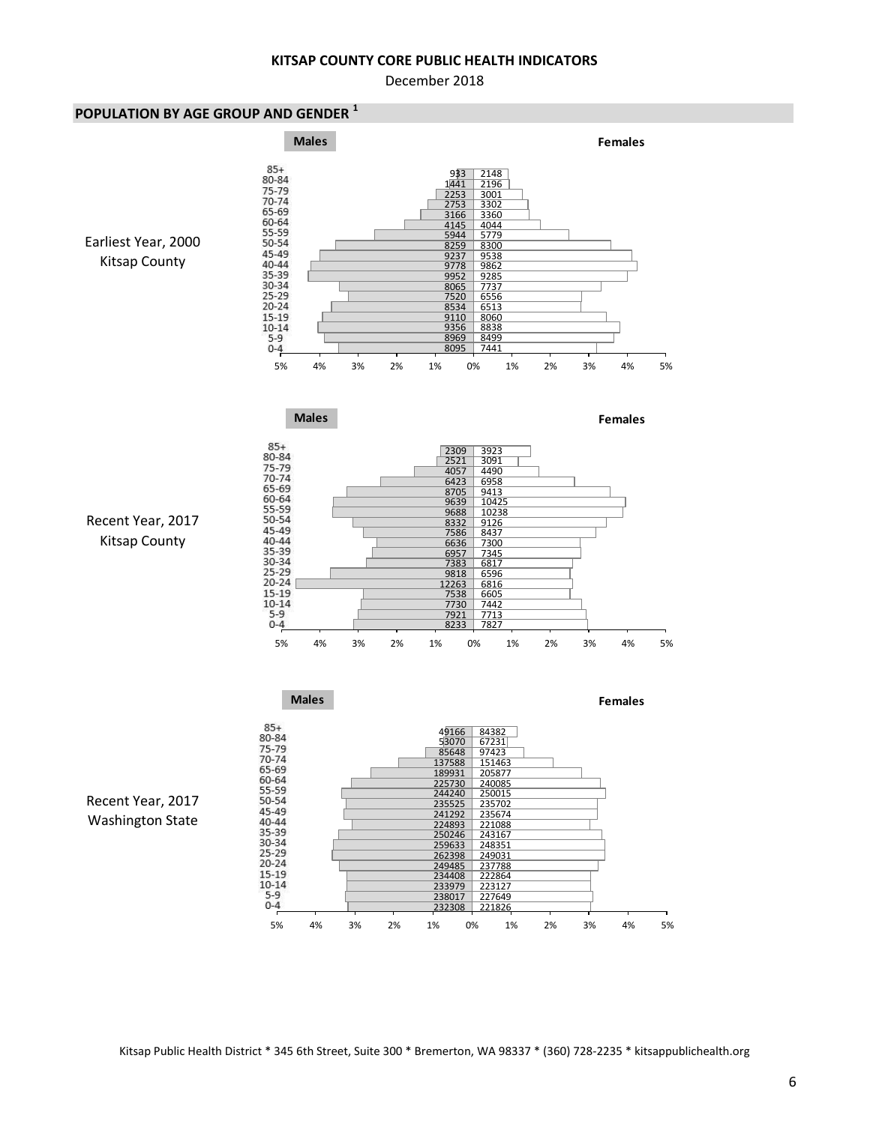December 2018

### **POPULATION BY AGE GROUP AND GENDER <sup>1</sup>**



Kitsap Public Health District \* 345 6th Street, Suite 300 \* Bremerton, WA 98337 \* (360) 728-2235 \* kitsappublichealth.org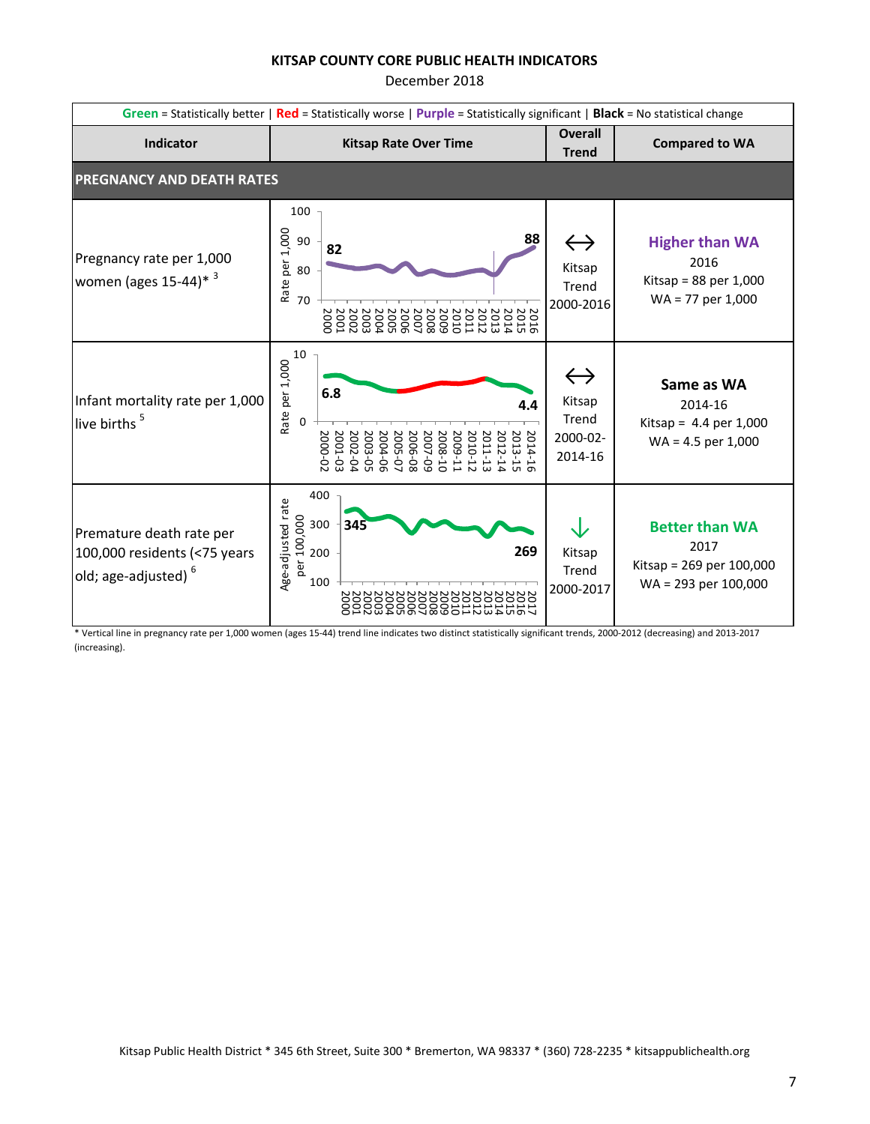December 2018

|                                                                                             | Green = Statistically better   Red = Statistically worse   Purple = Statistically significant   Black = No statistical change |                                                                                                                                                                                 |                                                             |                                                                                     |  |
|---------------------------------------------------------------------------------------------|-------------------------------------------------------------------------------------------------------------------------------|---------------------------------------------------------------------------------------------------------------------------------------------------------------------------------|-------------------------------------------------------------|-------------------------------------------------------------------------------------|--|
| <b>Indicator</b>                                                                            |                                                                                                                               | <b>Kitsap Rate Over Time</b>                                                                                                                                                    | <b>Overall</b><br><b>Trend</b>                              | <b>Compared to WA</b>                                                               |  |
| <b>PREGNANCY AND DEATH RATES</b>                                                            |                                                                                                                               |                                                                                                                                                                                 |                                                             |                                                                                     |  |
| Pregnancy rate per 1,000<br>women (ages $15-44$ )* 3                                        | 100<br>1,000<br>90<br>Rate per<br>80<br>70                                                                                    | 88<br>82<br>$\begin{array}{c} 2000 \\ 2000 \\ 2000 \end{array}$<br>2012<br>2013<br>2015<br>2015<br>2014<br>2005<br>2004<br>2006<br>2008<br>2007<br>5009<br><b>2010</b><br>2011  | $\leftrightarrow$<br>Kitsap<br>Trend<br>2000-2016           | <b>Higher than WA</b><br>2016<br>Kitsap = $88$ per 1,000<br>$WA = 77$ per 1,000     |  |
| Infant mortality rate per 1,000<br>live births <sup>5</sup>                                 | 10<br>Rate per 1,000<br>$\mathbf 0$                                                                                           | 6.8<br>4.4<br>2001-03<br>2014-16<br>2000-02<br>2002-04<br>2013-15<br>2003-05<br>2004-06<br>2006-08<br>2007-09<br>2008-10<br>2010-12<br>2011-13<br>2005-07<br>2009-11<br>2012-14 | $\leftrightarrow$<br>Kitsap<br>Trend<br>2000-02-<br>2014-16 | Same as WA<br>2014-16<br>Kitsap = $4.4$ per 1,000<br>$WA = 4.5$ per 1,000           |  |
| Premature death rate per<br>100,000 residents (<75 years<br>old; age-adjusted) <sup>6</sup> | Age-adjusted rate<br>00 300<br>00 200<br>a 200                                                                                | 400<br>345<br>269<br>100                                                                                                                                                        | Kitsap<br>Trend<br>2000-2017                                | <b>Better than WA</b><br>2017<br>Kitsap = 269 per 100,000<br>$WA = 293$ per 100,000 |  |

\* Vertical line in pregnancy rate per 1,000 women (ages 15-44) trend line indicates two distinct statistically significant trends, 2000-2012 (decreasing) and 2013-2017 (increasing).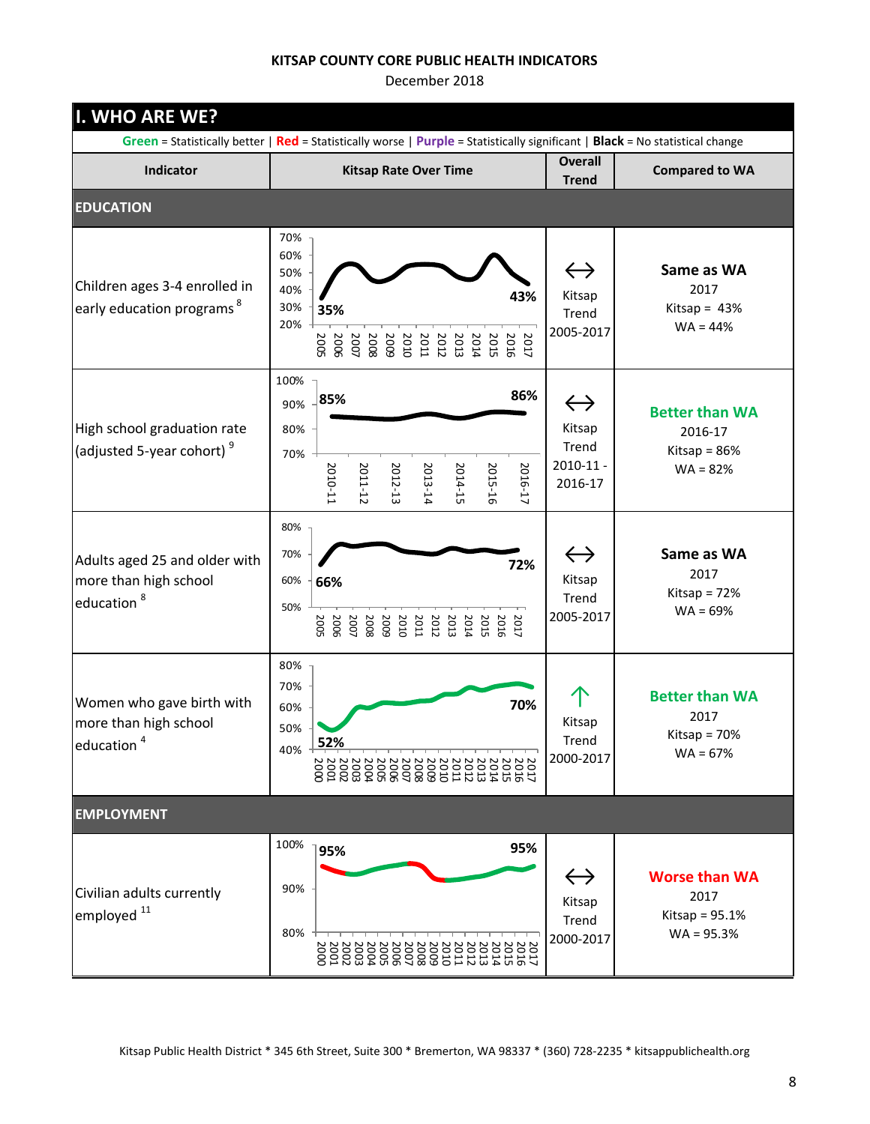| I. WHO ARE WE?                                                                   |                                                                                                                                                                                            |                                                                  |                                                                  |
|----------------------------------------------------------------------------------|--------------------------------------------------------------------------------------------------------------------------------------------------------------------------------------------|------------------------------------------------------------------|------------------------------------------------------------------|
|                                                                                  | Green = Statistically better   Red = Statistically worse   Purple = Statistically significant   Black = No statistical change                                                              | <b>Overall</b>                                                   |                                                                  |
| Indicator                                                                        | <b>Kitsap Rate Over Time</b>                                                                                                                                                               | <b>Trend</b>                                                     | <b>Compared to WA</b>                                            |
| <b>EDUCATION</b>                                                                 |                                                                                                                                                                                            |                                                                  |                                                                  |
| Children ages 3-4 enrolled in<br>early education programs <sup>8</sup>           | 70%<br>60%<br>50%<br>40%<br>43%<br>30%<br>35%<br>20%<br>2017<br>2016<br>$\begin{array}{c} 2013 \\ 2011 \\ 2011 \end{array}$<br>2005<br>2008<br>2008<br>2007<br><b>2014</b><br>2006<br>2015 | $\leftrightarrow$<br>Kitsap<br>Trend<br>2005-2017                | Same as WA<br>2017<br>Kitsap = $43%$<br>$WA = 44%$               |
| High school graduation rate<br>(adjusted 5-year cohort) <sup>9</sup>             | 100%<br>86%<br>85%<br>90%<br>80%<br>70%<br>2011-12<br>2012-13<br>2014-15<br>2015-16<br>2016-17<br>2010-11<br>2013-14                                                                       | $\leftrightarrow$<br>Kitsap<br>Trend<br>$2010 - 11 -$<br>2016-17 | <b>Better than WA</b><br>2016-17<br>Kitsap = 86%<br>$WA = 82%$   |
| Adults aged 25 and older with<br>more than high school<br>education <sup>8</sup> | 80%<br>70%<br>72%<br>60%<br>66%<br>50%<br>2011<br>2011<br>2011<br>2012<br>2023<br>2023<br>2023<br>2005<br>2007<br>2006                                                                     | $\leftrightarrow$<br>Kitsap<br>Trend<br>2005-2017                | Same as WA<br>2017<br>Kitsap = $72%$<br>$WA = 69%$               |
| Women who gave birth with<br>more than high school<br>education <sup>4</sup>     | 80%<br>70%<br>70%<br>60%<br>50%<br>52%<br>40%                                                                                                                                              | Kitsap<br>Trend<br>2000-2017                                     | <b>Better than WA</b><br>2017<br>Kitsap = $70%$<br>$WA = 67%$    |
| <b>EMPLOYMENT</b>                                                                |                                                                                                                                                                                            |                                                                  |                                                                  |
| Civilian adults currently<br>lemployed <sup>11</sup>                             | 100%<br>95%<br>95%<br>90%<br>80%                                                                                                                                                           | $\leftrightarrow$<br>Kitsap<br>Trend<br>2000-2017                | <b>Worse than WA</b><br>2017<br>Kitsap = $95.1%$<br>$WA = 95.3%$ |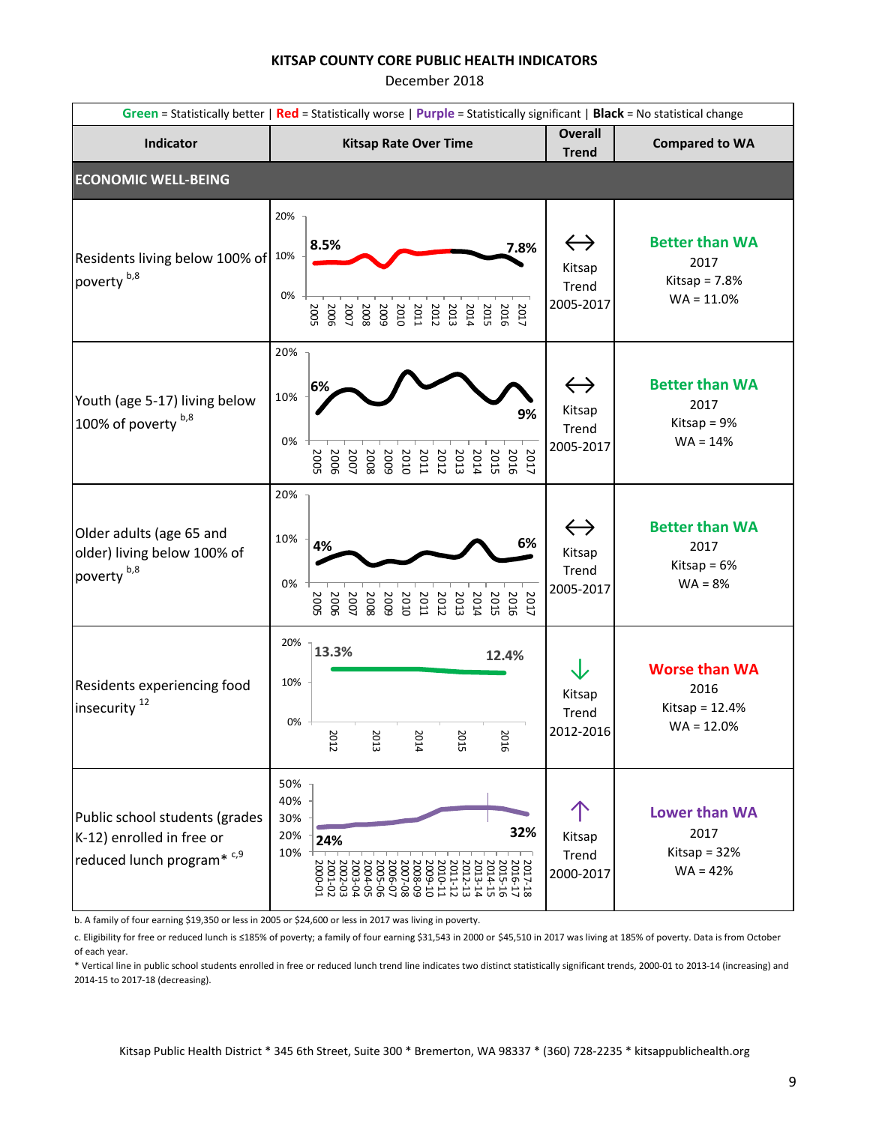December 2018

|                                                                                             | Green = Statistically better   Red = Statistically worse   Purple = Statistically significant   Black = No statistical change                               |                                                   |                                                                  |  |  |
|---------------------------------------------------------------------------------------------|-------------------------------------------------------------------------------------------------------------------------------------------------------------|---------------------------------------------------|------------------------------------------------------------------|--|--|
| Indicator                                                                                   | <b>Kitsap Rate Over Time</b>                                                                                                                                | <b>Overall</b><br><b>Trend</b>                    | <b>Compared to WA</b>                                            |  |  |
| <b>ECONOMIC WELL-BEING</b>                                                                  |                                                                                                                                                             |                                                   |                                                                  |  |  |
| Residents living below 100% of 10%<br>poverty b,8                                           | 20%<br>8.5%<br>7.8%<br>0%<br><b>2005</b><br>$\begin{array}{c} 2015 \\ 2014 \\ 2011 \\ 2008 \\ 2008 \\ 2007 \\ 2007 \end{array}$<br>2017<br>2016<br>200E     | $\leftrightarrow$<br>Kitsap<br>Trend<br>2005-2017 | <b>Better than WA</b><br>2017<br>Kitsap = $7.8%$<br>$WA = 11.0%$ |  |  |
| Youth (age 5-17) living below<br>100% of poverty b,8                                        | 20%<br>6%<br>10%<br>9%<br>0%<br><b>2005</b><br>2017                                                                                                         | $\leftrightarrow$<br>Kitsap<br>Trend<br>2005-2017 | <b>Better than WA</b><br>2017<br>Kitsap = $9%$<br>$WA = 14%$     |  |  |
| Older adults (age 65 and<br>older) living below 100% of<br>poverty <sup>b,8</sup>           | 20%<br>10%<br>6%<br>4%<br>0%<br>2017<br>2016<br>2005<br>5009<br>$\begin{array}{c} 2014 \\ 2011 \\ 2011 \\ 2010 \end{array}$<br>2015<br>2007<br>2006<br>2008 | $\leftrightarrow$<br>Kitsap<br>Trend<br>2005-2017 | <b>Better than WA</b><br>2017<br>Kitsap = $6%$<br>$WA = 8%$      |  |  |
| Residents experiencing food<br>insecurity <sup>12</sup>                                     | 20%<br>13.3%<br>12.4%<br>10%<br>0%<br>2012<br>2016<br>2013<br>2014<br>2015                                                                                  | ↓<br>Kitsap<br>Trend<br>2012-2016                 | <b>Worse than WA</b><br>2016<br>Kitsap = $12.4%$<br>$WA = 12.0%$ |  |  |
| Public school students (grades<br>K-12) enrolled in free or<br>reduced lunch program* $c,9$ | 50%<br>40%<br>30%<br>32%<br>20%<br>24%<br>10%<br>2017-18<br>2016-17<br>2015-16<br>2014-15                                                                   | Kitsap<br>Trend<br>2000-2017                      | <b>Lower than WA</b><br>2017<br>Kitsap = $32%$<br>$WA = 42%$     |  |  |

b. A family of four earning \$19,350 or less in 2005 or \$24,600 or less in 2017 was living in poverty.

c. Eligibility for free or reduced lunch is ≤185% of poverty; a family of four earning \$31,543 in 2000 or \$45,510 in 2017 was living at 185% of poverty. Data is from October of each year.

\* Vertical line in public school students enrolled in free or reduced lunch trend line indicates two distinct statistically significant trends, 2000-01 to 2013-14 (increasing) and 2014-15 to 2017-18 (decreasing).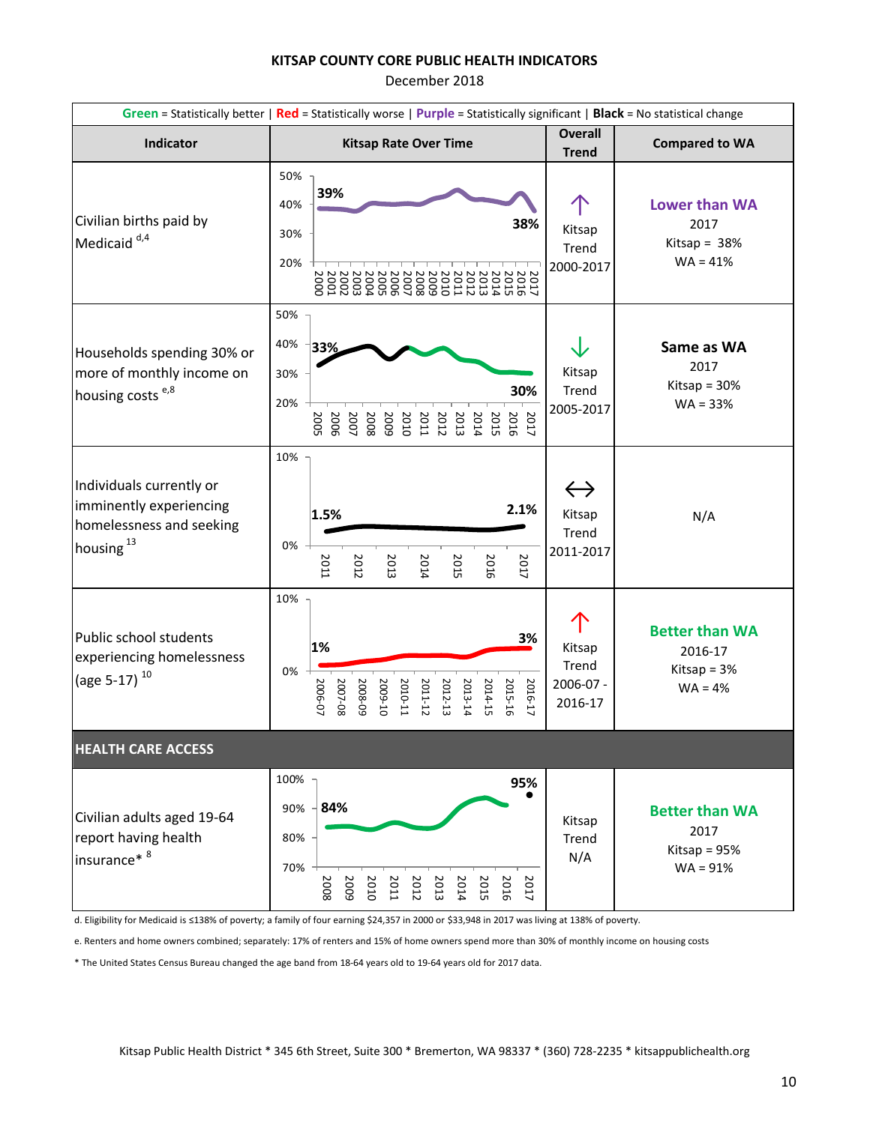December 2018

|                                                                                                          | Green = Statistically better   Red = Statistically worse   Purple = Statistically significant   Black = No statistical change                                                                               |                                                   |                                                                |  |  |  |
|----------------------------------------------------------------------------------------------------------|-------------------------------------------------------------------------------------------------------------------------------------------------------------------------------------------------------------|---------------------------------------------------|----------------------------------------------------------------|--|--|--|
| Indicator                                                                                                | <b>Kitsap Rate Over Time</b>                                                                                                                                                                                | <b>Overall</b><br><b>Trend</b>                    | <b>Compared to WA</b>                                          |  |  |  |
| Civilian births paid by<br>Medicaid $d, 4$                                                               | 50%<br>39%<br>40%<br>38%<br>30%<br>20%<br>2002<br>2002<br>2002<br>2004<br>2003<br>2011<br>2016<br>2015<br>2007<br><b>2005</b><br>2006<br>2013<br>2012<br>2008<br>5009<br><b>2011</b><br>2010<br><b>PIOZ</b> | Kitsap<br>Trend<br>2000-2017                      | <b>Lower than WA</b><br>2017<br>Kitsap = $38%$<br>$WA = 41%$   |  |  |  |
| Households spending 30% or<br>more of monthly income on<br>housing costs <sup>e,8</sup>                  | 50%<br>40%<br>33%<br>30%<br>30%<br>20%<br>5009<br>2008<br>2007<br>2005<br>2010<br><b>2011</b><br>2012<br>2013<br>2014<br>2015<br>2016<br>2017                                                               | Kitsap<br>Trend<br>2005-2017                      | Same as WA<br>2017<br>Kitsap = $30%$<br>$WA = 33%$             |  |  |  |
| Individuals currently or<br>imminently experiencing<br>homelessness and seeking<br>housing <sup>13</sup> | 10%<br>2.1%<br>1.5%<br>0%<br>2017<br>2011<br>2012<br>2013<br>2014<br>2015<br>2016                                                                                                                           | $\leftrightarrow$<br>Kitsap<br>Trend<br>2011-2017 | N/A                                                            |  |  |  |
| Public school students<br>experiencing homelessness<br>(age 5-17) <sup>10</sup>                          | 10%<br>3%<br>1%<br>0%<br>2014-15<br>2011-12<br>2012-13<br>2013-14<br>2015-16<br>2006-07<br>2007-08<br>5008-09<br>2009-10<br>2010-11<br>2016-17                                                              | Kitsap<br>Trend<br>2006-07 -<br>2016-17           | <b>Better than WA</b><br>2016-17<br>Kitsap = $3%$<br>$WA = 4%$ |  |  |  |
| <b>HEALTH CARE ACCESS</b>                                                                                |                                                                                                                                                                                                             |                                                   |                                                                |  |  |  |
| Civilian adults aged 19-64<br>report having health<br>insurance* <sup>8</sup>                            | 100%<br>95%<br>84%<br>90%<br>80%<br>70%<br>2008<br>5009<br>2010<br><b>2012</b><br>2013<br>2015<br>2016<br>2017<br><b>2011</b><br>2014                                                                       | Kitsap<br>Trend<br>N/A                            | <b>Better than WA</b><br>2017<br>Kitsap = $95%$<br>$WA = 91%$  |  |  |  |

d. Eligibility for Medicaid is ≤138% of poverty; a family of four earning \$24,357 in 2000 or \$33,948 in 2017 was living at 138% of poverty.

e. Renters and home owners combined; separately: 17% of renters and 15% of home owners spend more than 30% of monthly income on housing costs

\* The United States Census Bureau changed the age band from 18-64 years old to 19-64 years old for 2017 data.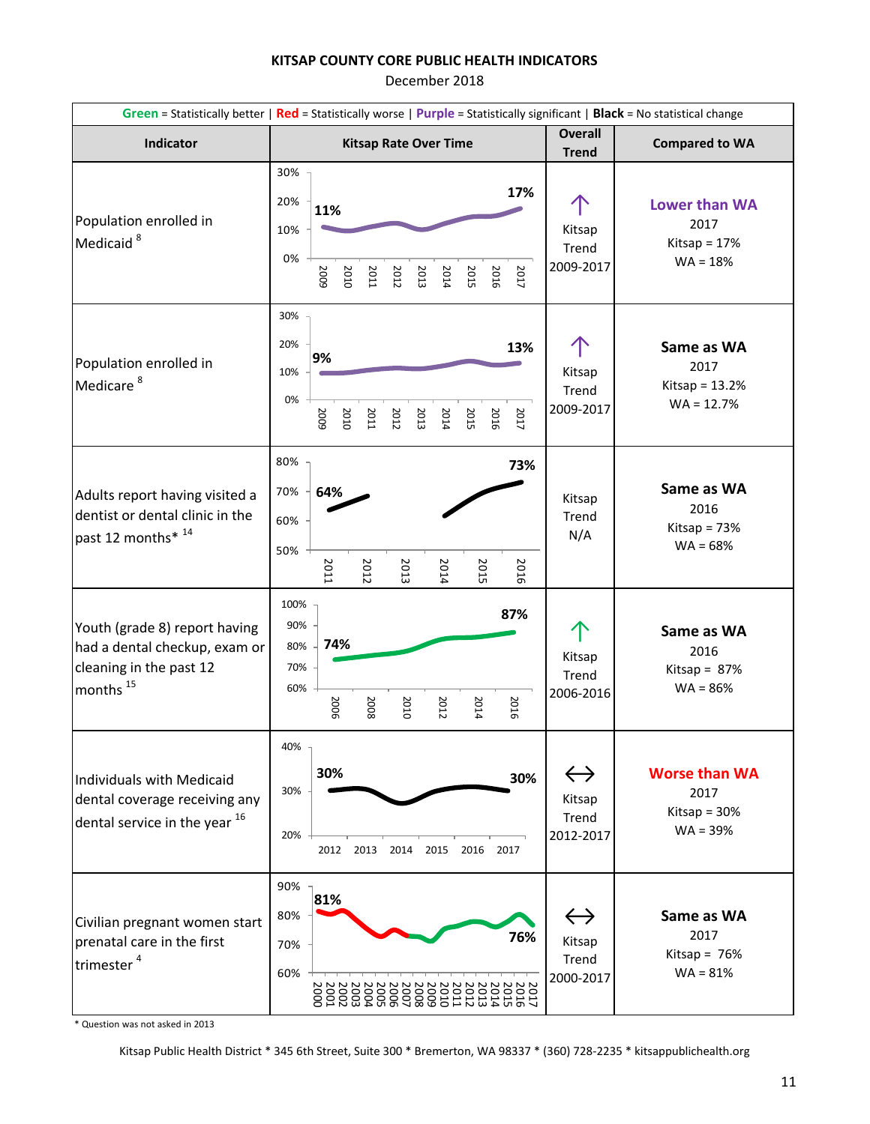December 2018

|                                                                                                             | Green = Statistically better   Red = Statistically worse   Purple = Statistically significant   Black = No statistical change                                                                                     |                                                                                   |  |  |  |
|-------------------------------------------------------------------------------------------------------------|-------------------------------------------------------------------------------------------------------------------------------------------------------------------------------------------------------------------|-----------------------------------------------------------------------------------|--|--|--|
| Indicator                                                                                                   | <b>Kitsap Rate Over Time</b><br><b>Trend</b>                                                                                                                                                                      | <b>Overall</b><br><b>Compared to WA</b>                                           |  |  |  |
| Population enrolled in<br>Medicaid <sup>8</sup>                                                             | 30%<br>17%<br>20%<br>11%<br>10%<br>Kitsap<br>Trend<br>0%<br>2009-2017<br>5005<br>2010<br>2017<br>2011<br>2012<br>2013<br>2014<br>2016<br>2015                                                                     | Lower than WA<br>2017<br>Kitsap = $17%$<br>$WA = 18%$                             |  |  |  |
| Population enrolled in<br>Medicare <sup>8</sup>                                                             | 30%<br>20%<br>13%<br>9%<br>10%<br>Trend<br>0%<br>2009-2017<br>5005<br>2011<br>2013<br>2014<br>2015<br>2016<br>2017<br>2010<br>2012                                                                                | Same as WA<br>2017<br>Kitsap<br>Kitsap = $13.2%$<br>$WA = 12.7%$                  |  |  |  |
| Adults report having visited a<br>dentist or dental clinic in the<br>past 12 months* 14                     | 80%<br>73%<br>70%<br>64%<br>Trend<br>60%<br>50%<br>2016<br>2011<br>2012<br>2013<br>2014<br>2015                                                                                                                   | Same as WA<br>Kitsap<br>2016<br>Kitsap = $73%$<br>N/A<br>$WA = 68%$               |  |  |  |
| Youth (grade 8) report having<br>had a dental checkup, exam or<br>cleaning in the past 12<br>months $^{15}$ | 100%<br>87%<br>90%<br>74%<br>80%<br>Kitsap<br>70%<br>Trend<br>60%<br>2006<br>2016<br>2014<br>2008<br>2010<br>2012                                                                                                 | Same as WA<br>2016<br>Kitsap = $87%$<br>$WA = 86%$<br>2006-2016                   |  |  |  |
| Individuals with Medicaid<br>dental coverage receiving any<br>dental service in the year 16                 | 40%<br>30%<br>30%<br>30%<br>Kitsap<br>Trend<br>2012-2017<br>20%<br>2012<br>2013<br>2014<br>2015<br>2016<br>2017                                                                                                   | $\leftrightarrow$<br><b>Worse than WA</b><br>2017<br>Kitsap = $30%$<br>$WA = 39%$ |  |  |  |
| Civilian pregnant women start<br>prenatal care in the first<br>trimester <sup>4</sup>                       | 90%<br>81%<br>80%<br>76%<br>Kitsap<br>70%<br>Trend<br>60%<br>2000-2017<br>2002<br>2002<br>200<br>2004<br>2010<br>SOG<br>900<br>013<br>SID.<br>210<br>go<br>800<br>600<br>$\circ$<br>g<br><b>D14</b><br><b>015</b> | $\leftrightarrow$<br>Same as WA<br>2017<br>Kitsap = $76%$<br>$WA = 81%$           |  |  |  |

\* Question was not asked in 2013

Kitsap Public Health District \* 345 6th Street, Suite 300 \* Bremerton, WA 98337 \* (360) 728-2235 \* kitsappublichealth.org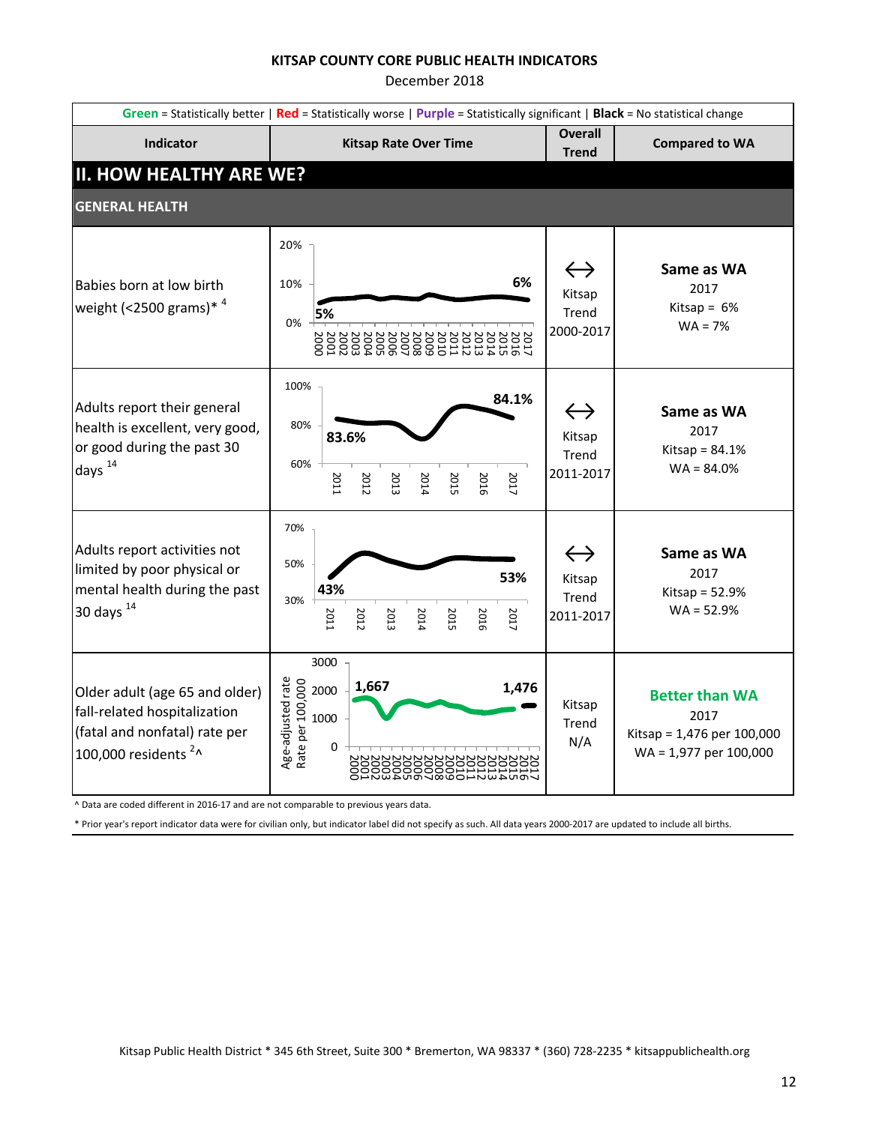December 2018

| Green = Statistically better   Red = Statistically worse   Purple = Statistically significant   Black = No statistical change       |                                                                                                   |                                                   |                                                                                       |  |  |
|-------------------------------------------------------------------------------------------------------------------------------------|---------------------------------------------------------------------------------------------------|---------------------------------------------------|---------------------------------------------------------------------------------------|--|--|
| Indicator                                                                                                                           | <b>Kitsap Rate Over Time</b>                                                                      | <b>Overall</b><br><b>Trend</b>                    | <b>Compared to WA</b>                                                                 |  |  |
| <b>II. HOW HEALTHY ARE WE?</b>                                                                                                      |                                                                                                   |                                                   |                                                                                       |  |  |
| <b>GENERAL HEALTH</b>                                                                                                               |                                                                                                   |                                                   |                                                                                       |  |  |
| Babies born at low birth<br>weight (<2500 grams) <sup>* 4</sup>                                                                     | 20%<br>6%<br>10%<br>5%<br>0%                                                                      | $\leftrightarrow$<br>Kitsap<br>Trend<br>2000-2017 | Same as WA<br>2017<br>Kitsap = $6%$<br>$WA = 7%$                                      |  |  |
| Adults report their general<br>health is excellent, very good,<br>or good during the past 30<br>days <sup>14</sup>                  | 100%<br>84.1%<br>80%<br>83.6%<br>60%<br>2017<br>2016<br>2011<br>2015<br>2012<br>2013<br>2014      | $\leftrightarrow$<br>Kitsap<br>Trend<br>2011-2017 | Same as WA<br>2017<br>Kitsap = $84.1%$<br>$WA = 84.0%$                                |  |  |
| Adults report activities not<br>limited by poor physical or<br>mental health during the past<br>30 days $14$                        | 70%<br>50%<br>53%<br>43%<br>30%<br>2011<br>2017<br>2014<br>2016<br>2012<br>2013<br>2015           | $\leftrightarrow$<br>Kitsap<br>Trend<br>2011-2017 | Same as WA<br>2017<br>Kitsap = $52.9%$<br>$WA = 52.9%$                                |  |  |
| Older adult (age 65 and older)<br>fall-related hospitalization<br>(fatal and nonfatal) rate per<br>100,000 residents <sup>2</sup> ^ | 3000<br>Age-adjusted rate<br>Rate per 100,000<br>Rate per 100,000<br>o<br>1,667<br>1,476<br>ដូងដី | Kitsap<br>Trend<br>N/A                            | <b>Better than WA</b><br>2017<br>Kitsap = 1,476 per 100,000<br>WA = 1,977 per 100,000 |  |  |

^ Data are coded different in 2016-17 and are not comparable to previous years data.

\* Prior year's report indicator data were for civilian only, but indicator label did not specify as such. All data years 2000-2017 are updated to include all births.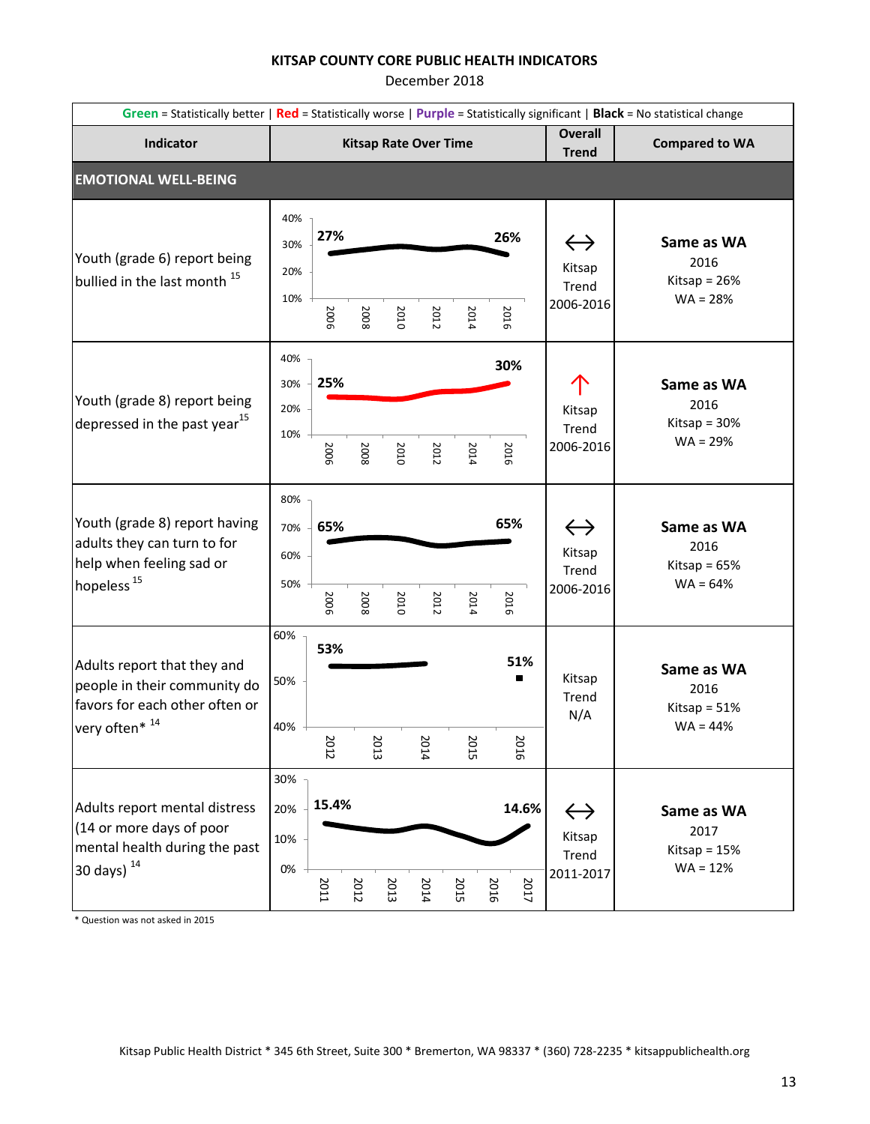December 2018

|                                                                                                                      | Green = Statistically better   Red = Statistically worse   Purple = Statistically significant   Black = No statistical change |      |                              |      |      |             |                  |                                                   |                                                    |
|----------------------------------------------------------------------------------------------------------------------|-------------------------------------------------------------------------------------------------------------------------------|------|------------------------------|------|------|-------------|------------------|---------------------------------------------------|----------------------------------------------------|
| <b>Indicator</b>                                                                                                     |                                                                                                                               |      | <b>Kitsap Rate Over Time</b> |      |      |             |                  | <b>Overall</b><br><b>Trend</b>                    | <b>Compared to WA</b>                              |
| <b>EMOTIONAL WELL-BEING</b>                                                                                          |                                                                                                                               |      |                              |      |      |             |                  |                                                   |                                                    |
| Youth (grade 6) report being<br>bullied in the last month <sup>15</sup>                                              | 40%<br>27%<br>30%<br>20%<br>10%<br>2006                                                                                       | 2008 | 2010                         | 2012 | 2014 | 26%<br>2016 |                  | $\leftrightarrow$<br>Kitsap<br>Trend<br>2006-2016 | Same as WA<br>2016<br>Kitsap = $26%$<br>$WA = 28%$ |
| Youth (grade 8) report being<br>depressed in the past year <sup>15</sup>                                             | 40%<br>25%<br>30%<br>20%<br>10%<br>2006                                                                                       | 2008 | 2010                         | 2012 | 2014 | 30%<br>2016 |                  | Kitsap<br>Trend<br>2006-2016                      | Same as WA<br>2016<br>Kitsap = $30%$<br>$WA = 29%$ |
| Youth (grade 8) report having<br>adults they can turn to for<br>help when feeling sad or<br>hopeless <sup>15</sup>   | 80%<br>65%<br>70%<br>60%<br>50%<br>2006                                                                                       | 2008 | 2010                         | 2012 | 2014 | 65%<br>2016 |                  | $\leftrightarrow$<br>Kitsap<br>Trend<br>2006-2016 | Same as WA<br>2016<br>Kitsap = $65%$<br>$WA = 64%$ |
| Adults report that they and<br>people in their community do<br>favors for each other often or<br>very often* 14      | 60%<br>53%<br>50%<br>40%<br>2012                                                                                              |      | 2013                         | 2014 | 2015 |             | 51%<br>п<br>2016 | Kitsap<br>Trend<br>N/A                            | Same as WA<br>2016<br>Kitsap = $51%$<br>$WA = 44%$ |
| Adults report mental distress<br>(14 or more days of poor<br>mental health during the past<br>30 days) <sup>14</sup> | 30%<br>15.4%<br>20%<br>10%<br>$0\%$<br>2011                                                                                   | 2012 | 2013                         | 2014 | 2015 | 2016        | 14.6%<br>2017    | $\leftrightarrow$<br>Kitsap<br>Trend<br>2011-2017 | Same as WA<br>2017<br>Kitsap = $15%$<br>$WA = 12%$ |

\* Question was not asked in 2015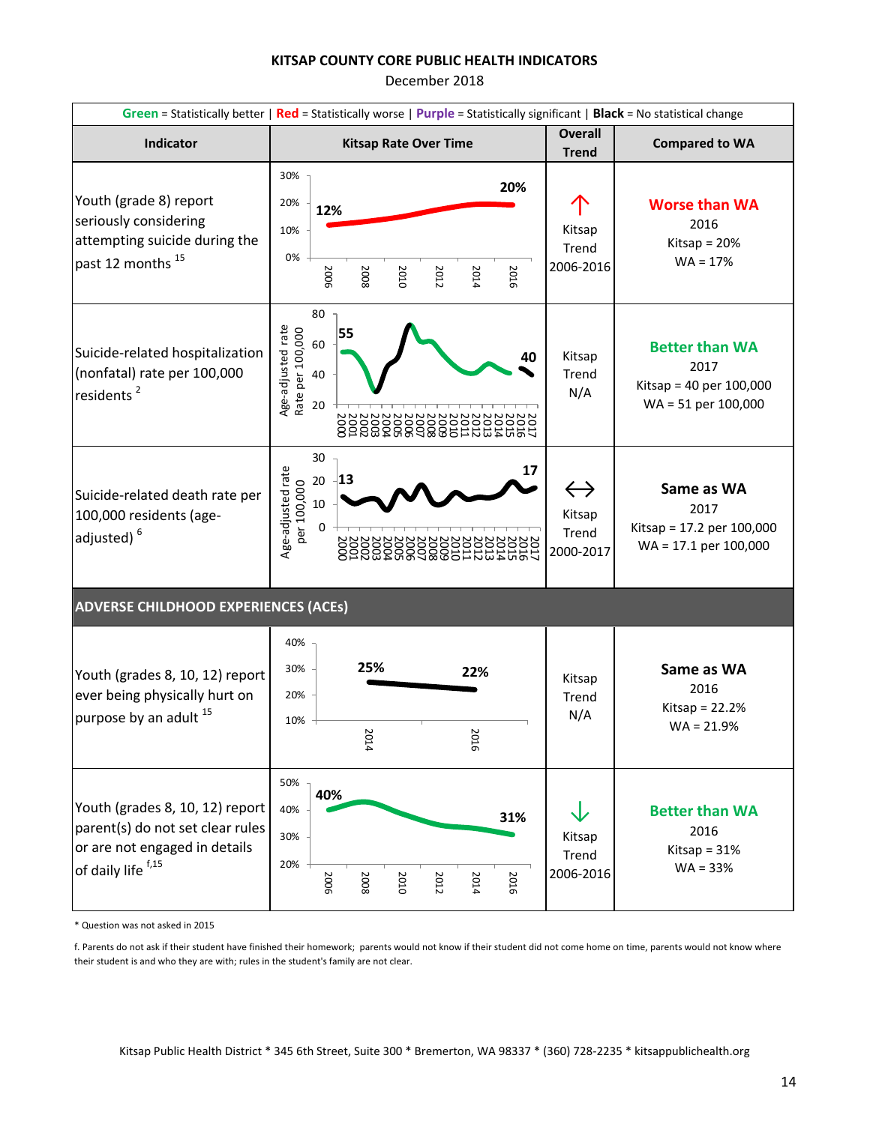December 2018

|                                                                                                                            | Green = Statistically better   Red = Statistically worse   Purple = Statistically significant   Black = No statistical change |                                |                                                                                     |  |  |  |  |
|----------------------------------------------------------------------------------------------------------------------------|-------------------------------------------------------------------------------------------------------------------------------|--------------------------------|-------------------------------------------------------------------------------------|--|--|--|--|
| Indicator                                                                                                                  | <b>Kitsap Rate Over Time</b>                                                                                                  | <b>Overall</b><br><b>Trend</b> | <b>Compared to WA</b>                                                               |  |  |  |  |
| Youth (grade 8) report<br>seriously considering<br>attempting suicide during the<br>past 12 months <sup>15</sup>           | 30%<br>20%<br>20%<br>12%<br>10%<br>0%<br>2006<br>2016<br>2012<br>2008<br>2010<br>2014                                         | Kitsap<br>Trend<br>2006-2016   | <b>Worse than WA</b><br>2016<br>Kitsap = $20%$<br>$WA = 17%$                        |  |  |  |  |
| Suicide-related hospitalization<br>(nonfatal) rate per 100,000<br>residents <sup>2</sup>                                   | 80<br>Age-adjusted rate<br>Rate per 100,000<br>55<br>60<br>40<br>40<br>20<br>600                                              | Kitsap<br>Trend<br>N/A         | <b>Better than WA</b><br>2017<br>Kitsap = $40$ per $100,000$<br>WA = 51 per 100,000 |  |  |  |  |
| Suicide-related death rate per<br>100,000 residents (age-<br>adjusted) <sup>6</sup>                                        | 30<br>Age-adjusted rate<br>17<br>13<br>20<br>per 100,000<br>10<br>$\Omega$<br>8                                               | Kitsap<br>Trend<br>2000-2017   | Same as WA<br>2017<br>Kitsap = 17.2 per 100,000<br>$WA = 17.1$ per 100,000          |  |  |  |  |
| <b>ADVERSE CHILDHOOD EXPERIENCES (ACEs)</b>                                                                                |                                                                                                                               |                                |                                                                                     |  |  |  |  |
| Youth (grades 8, 10, 12) report<br>ever being physically hurt on<br>purpose by an adult 15                                 | 40%<br>25%<br>30%<br>22%<br>20%<br>10%<br>202<br>202<br>14<br>5                                                               | Kitsap<br>Trend<br>N/A         | Same as WA<br>2016<br>Kitsap = $22.2%$<br>$WA = 21.9%$                              |  |  |  |  |
| Youth (grades 8, 10, 12) report<br>parent(s) do not set clear rules<br>or are not engaged in details<br>of daily life f,15 | 50%<br>40%<br>40%<br>31%<br>30%<br>20%<br>2006<br>2008<br>2010<br>2016<br>2012<br>2014                                        | Kitsap<br>Trend<br>2006-2016   | <b>Better than WA</b><br>2016<br>Kitsap = $31%$<br>$WA = 33%$                       |  |  |  |  |

\* Question was not asked in 2015

f. Parents do not ask if their student have finished their homework; parents would not know if their student did not come home on time, parents would not know where their student is and who they are with; rules in the student's family are not clear.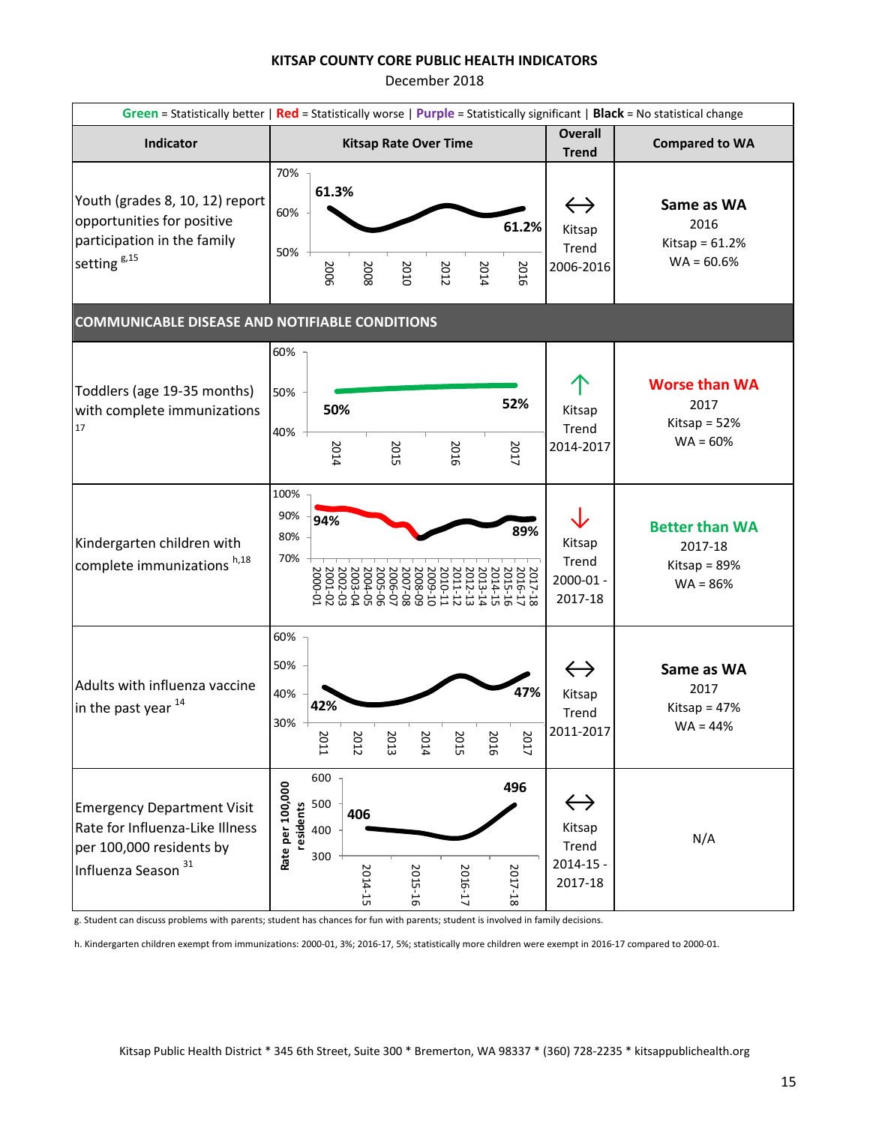December 2018

|                                                                                                                                    | Green = Statistically better   Red = Statistically worse   Purple = Statistically significant   Black = No statistical change |                                                     |                                          |                               |                               |                                                                      |                                                                  |
|------------------------------------------------------------------------------------------------------------------------------------|-------------------------------------------------------------------------------------------------------------------------------|-----------------------------------------------------|------------------------------------------|-------------------------------|-------------------------------|----------------------------------------------------------------------|------------------------------------------------------------------|
| Indicator                                                                                                                          |                                                                                                                               |                                                     | <b>Kitsap Rate Over Time</b>             |                               |                               | <b>Overall</b><br><b>Trend</b>                                       | <b>Compared to WA</b>                                            |
| Youth (grades 8, 10, 12) report<br>opportunities for positive<br>participation in the family<br>setting <sup>g,15</sup>            | 70%<br>61.3%<br>60%<br>50%<br>2006                                                                                            | 2008                                                | 2010                                     | 2012                          | 61.2%<br>2016<br>2014         | $\leftrightarrow$<br>Kitsap<br>Trend<br>2006-2016                    | Same as WA<br>2016<br>Kitsap = $61.2%$<br>$WA = 60.6%$           |
| <b>COMMUNICABLE DISEASE AND NOTIFIABLE CONDITIONS</b>                                                                              |                                                                                                                               |                                                     |                                          |                               |                               |                                                                      |                                                                  |
| Toddlers (age 19-35 months)<br>with complete immunizations<br>17                                                                   | 60%<br>50%<br>50%<br>40%<br>2014                                                                                              |                                                     | 2015                                     | 2016                          | 52%<br>2017                   | Kitsap<br>Trend<br>2014-2017                                         | <b>Worse than WA</b><br>2017<br>Kitsap = $52%$<br>$WA = 60%$     |
| Kindergarten children with<br>complete immunizations h,18                                                                          | 100%<br>90%<br>94%<br>80%<br>70%                                                                                              | 2005-06<br>2004-05<br>2002-02<br>2000-01<br>2000-01 | 2008-09<br>2007-08<br>2006-07<br>1009-10 | 2010-11<br>2011-12<br>2012-13 | 2013-14<br>2014-15<br>2015-16 | 89%<br>Kitsap<br>Trend<br>2017-18<br>2016-17<br>2000-01 -<br>2017-18 | <b>Better than WA</b><br>2017-18<br>Kitsap = $89%$<br>$WA = 86%$ |
| Adults with influenza vaccine<br>in the past year $^{14}$                                                                          | 60%<br>50%<br>40%<br>42%<br>30%<br>2011                                                                                       | 2012                                                | 2013<br>2014                             | 2015                          | 2016                          | $\leftrightarrow$<br>47%<br>Kitsap<br>Trend<br>2011-2017<br>2017     | Same as WA<br>2017<br>Kitsap = 47%<br>$WA = 44%$                 |
| <b>Emergency Department Visit</b><br>Rate for Influenza-Like Illness<br>per 100,000 residents by<br>Influenza Season <sup>31</sup> | 600<br>Rate per 100,000<br>500<br>residents<br>400<br>300                                                                     | 406<br>2014-15                                      | 2015-16                                  | 2016-17                       | 496<br>2017-18                | $\leftrightarrow$<br>Kitsap<br>Trend<br>$2014 - 15 -$<br>2017-18     | N/A                                                              |

g. Student can discuss problems with parents; student has chances for fun with parents; student is involved in family decisions.

h. Kindergarten children exempt from immunizations: 2000-01, 3%; 2016-17, 5%; statistically more children were exempt in 2016-17 compared to 2000-01.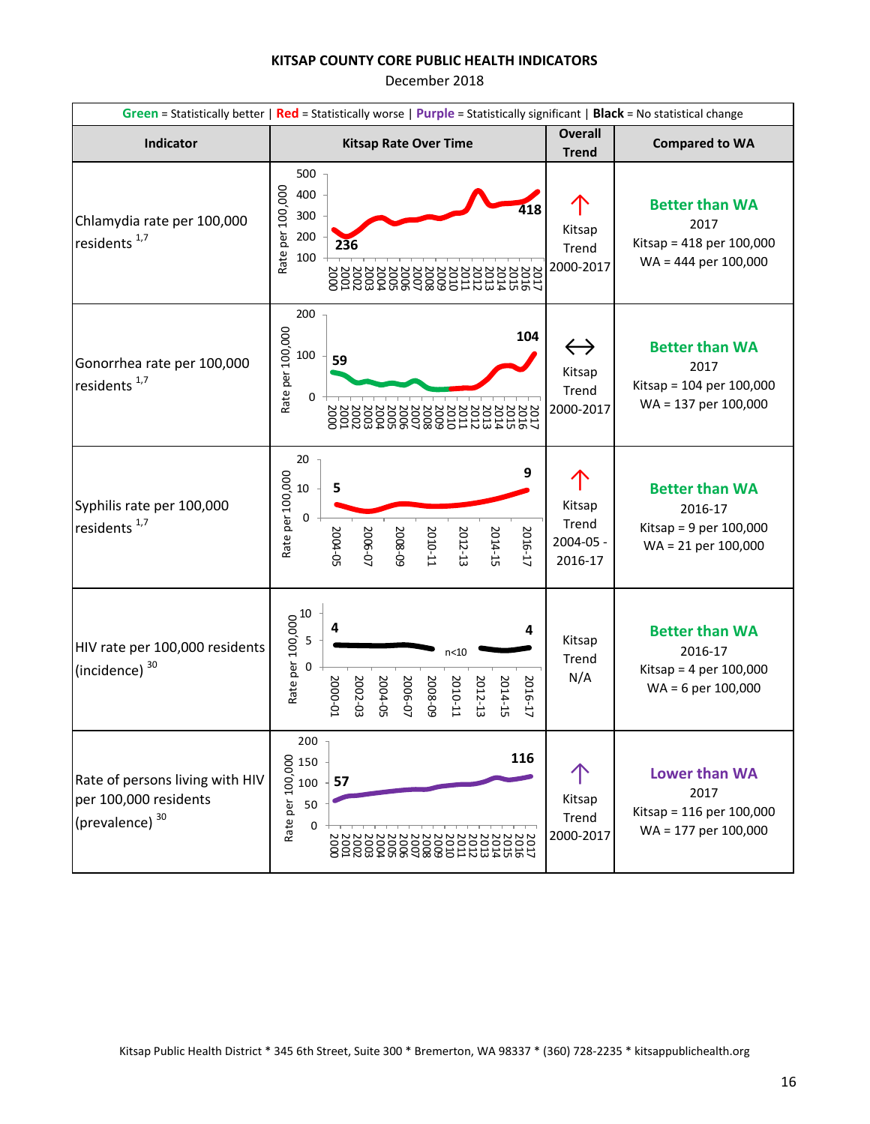December 2018

| Green = Statistically better   Red = Statistically worse   Purple = Statistically significant   Black = No statistical change |                                                                                                                                                    |                                                   |                                                                                       |  |  |
|-------------------------------------------------------------------------------------------------------------------------------|----------------------------------------------------------------------------------------------------------------------------------------------------|---------------------------------------------------|---------------------------------------------------------------------------------------|--|--|
| Indicator                                                                                                                     | <b>Kitsap Rate Over Time</b>                                                                                                                       | <b>Overall</b><br><b>Trend</b>                    | <b>Compared to WA</b>                                                                 |  |  |
| Chlamydia rate per 100,000<br>residents <sup>1,7</sup>                                                                        | 500<br>Rate per 100,000<br>400<br>418<br>300<br>200<br>236<br>100<br>222222222222222222<br>1253433111298288338828                                  | Kitsap<br>Trend<br>2000-2017                      | <b>Better than WA</b><br>2017<br>Kitsap = 418 per 100,000<br>WA = 444 per 100,000     |  |  |
| Gonorrhea rate per 100,000<br>residents <sup>1,7</sup>                                                                        | 200<br>Rate per 100,000<br>104<br>100<br>59<br>$\Omega$<br>222222222222222222<br>1253433111298688338838                                            | $\leftrightarrow$<br>Kitsap<br>Trend<br>2000-2017 | <b>Better than WA</b><br>2017<br>Kitsap = 104 per 100,000<br>WA = 137 per 100,000     |  |  |
| Syphilis rate per 100,000<br>residents <sup>1,7</sup>                                                                         | 20<br>9<br>Rate per 100,000<br>5<br>$10\,$<br>0<br>2004-05<br>2012-13<br>2006-07<br>5008-09<br>2010-11<br>2014-15<br>2016-17                       | Kitsap<br>Trend<br>2004-05 -<br>2016-17           | <b>Better than WA</b><br>2016-17<br>Kitsap = $9$ per 100,000<br>$WA = 21$ per 100,000 |  |  |
| HIV rate per 100,000 residents<br>(incidence) <sup>30</sup>                                                                   | Rate per 100,000<br>0<br>0<br>0<br>4<br>$n<$ 10<br>2000-01<br>2002-03<br>2006-07<br>2014-15<br>2004-05<br>2008-09<br>2010-11<br>2012-13<br>2016-17 | Kitsap<br>Trend<br>N/A                            | <b>Better than WA</b><br>2016-17<br>Kitsap = 4 per $100,000$<br>WA = 6 per 100,000    |  |  |
| Rate of persons living with HIV<br>per 100,000 residents<br>(prevalence) <sup>30</sup>                                        | 200<br>116<br>Rate per 100,000<br>150<br>57<br>100<br>50<br>$\Omega$<br>888                                                                        | Kitsap<br>Trend<br>2000-2017                      | Lower than WA<br>2017<br>Kitsap = 116 per 100,000<br>WA = 177 per 100,000             |  |  |

Kitsap Public Health District \* 345 6th Street, Suite 300 \* Bremerton, WA 98337 \* (360) 728-2235 \* kitsappublichealth.org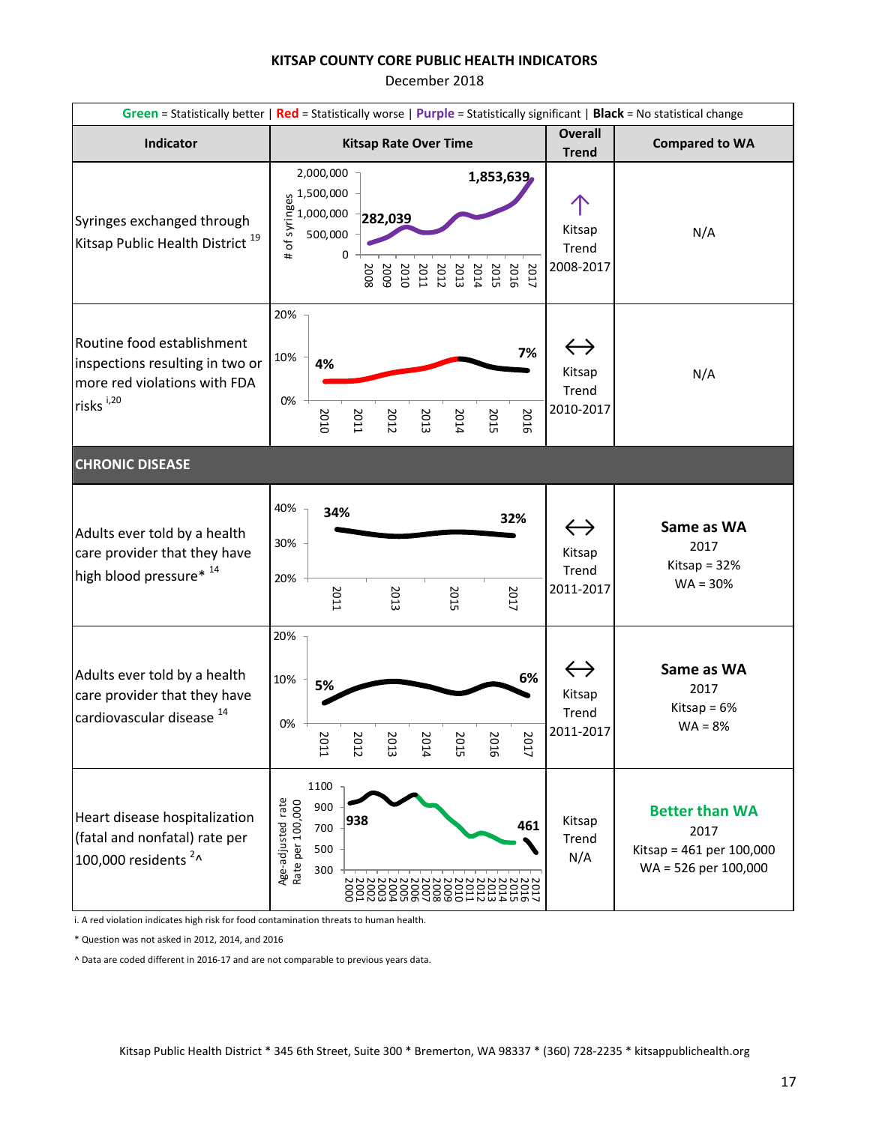December 2018

|                                                                                                                        | Green = Statistically better   Red = Statistically worse   Purple = Statistically significant   Black = No statistical change                                                                                                                 |                                                   |                                                                                   |  |  |
|------------------------------------------------------------------------------------------------------------------------|-----------------------------------------------------------------------------------------------------------------------------------------------------------------------------------------------------------------------------------------------|---------------------------------------------------|-----------------------------------------------------------------------------------|--|--|
| Indicator                                                                                                              | <b>Kitsap Rate Over Time</b>                                                                                                                                                                                                                  | <b>Overall</b><br><b>Trend</b>                    | <b>Compared to WA</b>                                                             |  |  |
| Syringes exchanged through<br>Kitsap Public Health District <sup>19</sup>                                              | 2,000,000<br>1,853,639<br>$\begin{array}{c}\n 0.500,000 \\  \underline{80} \\  1,000,000 \\  \underline{50} \\  500,000 \\  \end{array}$<br>282,039<br>0<br>#<br>2008<br>5002<br>2010<br>2014<br>2013<br>2012<br>2011<br>2017<br>2015<br>2016 | Kitsap<br>Trend<br>2008-2017                      | N/A                                                                               |  |  |
| Routine food establishment<br>inspections resulting in two or<br>more red violations with FDA<br>risks <sup>i,20</sup> | 20%<br>7%<br>10%<br>4%<br>0%<br>2010<br>2011<br>2014<br>2015<br>2016<br>2012<br>2013                                                                                                                                                          | $\leftrightarrow$<br>Kitsap<br>Trend<br>2010-2017 | N/A                                                                               |  |  |
| <b>CHRONIC DISEASE</b>                                                                                                 |                                                                                                                                                                                                                                               |                                                   |                                                                                   |  |  |
| Adults ever told by a health<br>care provider that they have<br>high blood pressure* 14                                | 40%<br>34%<br>32%<br>30%<br>20%<br>2017<br>2011<br>2013<br>2015                                                                                                                                                                               | $\leftrightarrow$<br>Kitsap<br>Trend<br>2011-2017 | Same as WA<br>2017<br>Kitsap = $32%$<br>$WA = 30%$                                |  |  |
| Adults ever told by a health<br>care provider that they have<br>cardiovascular disease <sup>14</sup>                   | 20%<br>6%<br>10%<br>5%<br>0%<br>Σ<br>2017<br>κ<br>R<br>R<br>R<br>R<br>됴<br>Ĕ<br>긊<br>FI<br>ā<br>12                                                                                                                                            | $\leftrightarrow$<br>Kitsap<br>Trend<br>2011-2017 | Same as WA<br>2017<br>Kitsap = $6%$<br>$WA = 8%$                                  |  |  |
| Heart disease hospitalization<br>(fatal and nonfatal) rate per<br>100,000 residents <sup>2</sup> ^                     | 1100<br>Age-adjusted rate<br>Rate per 100,000<br>900<br>938<br>461<br>700<br>500<br>300                                                                                                                                                       | Kitsap<br>Trend<br>N/A                            | <b>Better than WA</b><br>2017<br>Kitsap = 461 per 100,000<br>WA = 526 per 100,000 |  |  |

i. A red violation indicates high risk for food contamination threats to human health.

\* Question was not asked in 2012, 2014, and 2016

^ Data are coded different in 2016-17 and are not comparable to previous years data.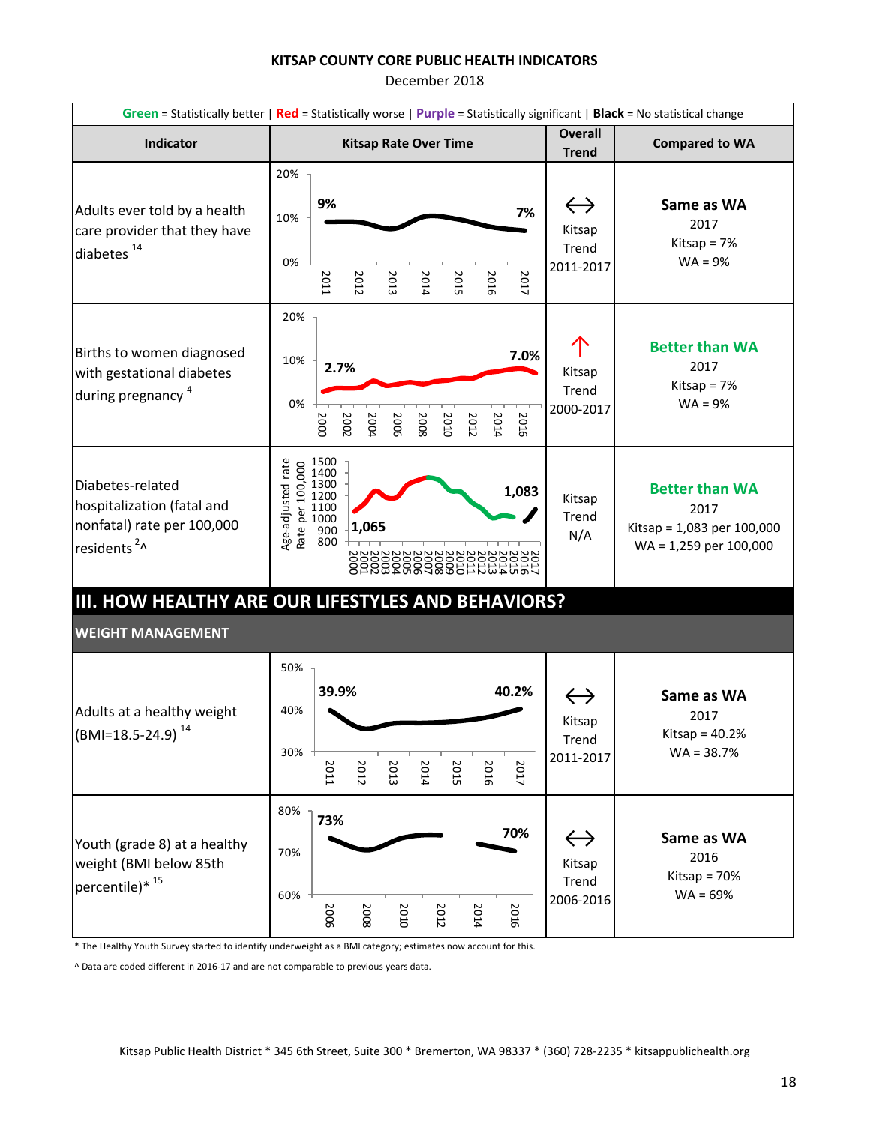December 2018

|                                                                                                          | Green = Statistically better   Red = Statistically worse   Purple = Statistically significant   Black = No statistical change                                                         |                                                   |                                                                                         |  |  |  |  |  |
|----------------------------------------------------------------------------------------------------------|---------------------------------------------------------------------------------------------------------------------------------------------------------------------------------------|---------------------------------------------------|-----------------------------------------------------------------------------------------|--|--|--|--|--|
| Indicator                                                                                                | <b>Kitsap Rate Over Time</b>                                                                                                                                                          | <b>Overall</b><br><b>Trend</b>                    | <b>Compared to WA</b>                                                                   |  |  |  |  |  |
| Adults ever told by a health<br>care provider that they have<br>diabetes <sup>14</sup>                   | 20%<br>9%<br>7%<br>10%<br>0%<br>2017<br>2011<br>2012<br>2013<br>2015<br>2016<br>2014                                                                                                  | $\leftrightarrow$<br>Kitsap<br>Trend<br>2011-2017 | Same as WA<br>2017<br>Kitsap = $7%$<br>$WA = 9%$                                        |  |  |  |  |  |
| Births to women diagnosed<br>with gestational diabetes<br>during pregnancy <sup>4</sup>                  | 20%<br>7.0%<br>10%<br>2.7%<br>0%<br>2014<br>2016<br>2000<br>2002<br>2006<br>2008<br>2004<br>2010<br>2012                                                                              | Kitsap<br>Trend<br>2000-2017                      | <b>Better than WA</b><br>2017<br>Kitsap = $7%$<br>$WA = 9%$                             |  |  |  |  |  |
| Diabetes-related<br>hospitalization (fatal and<br>nonfatal) rate per 100,000<br>residents <sup>2</sup> ^ | $\begin{array}{c} 0.1500 \\ 0.1400 \\ 0.1300 \\ 0.1200 \\ 0.1000 \\ 0.000 \\ \text{g} \end{array}$<br>Age-adjusted rate<br>1,083<br>1,065<br>222222222<br><b>PARABAR 282222222223</b> | Kitsap<br>Trend<br>N/A                            | <b>Better than WA</b><br>2017<br>Kitsap = 1,083 per 100,000<br>$WA = 1,259$ per 100,000 |  |  |  |  |  |
|                                                                                                          | III. HOW HEALTHY ARE OUR LIFESTYLES AND BEHAVIORS?                                                                                                                                    |                                                   |                                                                                         |  |  |  |  |  |
| <b>WEIGHT MANAGEMENT</b>                                                                                 |                                                                                                                                                                                       |                                                   |                                                                                         |  |  |  |  |  |
| Adults at a healthy weight<br>(BMI=18.5-24.9) <sup>14</sup>                                              | 50%<br>40.2%<br>39.9%<br>40%<br>30%<br>2016<br>2017<br>2011<br>2012<br>2013<br>2014<br>2015                                                                                           | $\leftrightarrow$<br>Kitsap<br>Trend<br>2011-2017 | Same as WA<br>2017<br>Kitsap = $40.2%$<br>$WA = 38.7%$                                  |  |  |  |  |  |
| Youth (grade 8) at a healthy<br>weight (BMI below 85th<br>percentile)* $^{15}$                           | 80%<br>73%<br>70%<br>70%<br>60%<br>2014<br>2006<br>2012<br>2016<br>2008<br>2010                                                                                                       | $\leftrightarrow$<br>Kitsap<br>Trend<br>2006-2016 | Same as WA<br>2016<br>Kitsap = $70%$<br>$WA = 69%$                                      |  |  |  |  |  |

\* The Healthy Youth Survey started to identify underweight as a BMI category; estimates now account for this.

^ Data are coded different in 2016-17 and are not comparable to previous years data.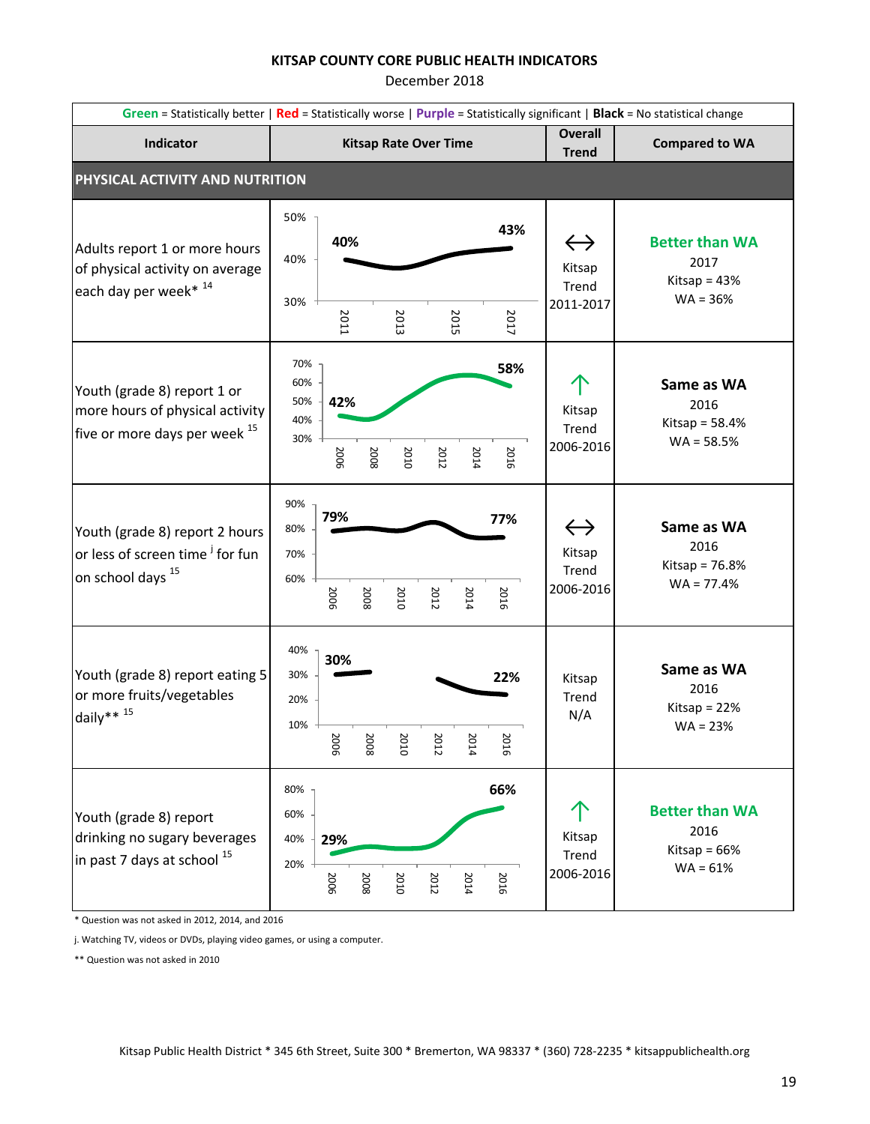December 2018

|                                                                                                               | Green = Statistically better   Red = Statistically worse   Purple = Statistically significant   Black = No statistical change |                                                   |                                                               |  |  |  |  |
|---------------------------------------------------------------------------------------------------------------|-------------------------------------------------------------------------------------------------------------------------------|---------------------------------------------------|---------------------------------------------------------------|--|--|--|--|
| Indicator                                                                                                     | <b>Kitsap Rate Over Time</b>                                                                                                  | <b>Overall</b><br><b>Trend</b>                    | <b>Compared to WA</b>                                         |  |  |  |  |
| PHYSICAL ACTIVITY AND NUTRITION                                                                               |                                                                                                                               |                                                   |                                                               |  |  |  |  |
| Adults report 1 or more hours<br>of physical activity on average<br>each day per week* 14                     | 50%<br>43%<br>40%<br>40%<br>30%<br>2017<br>2015<br><b>2011</b><br>2013                                                        | $\leftrightarrow$<br>Kitsap<br>Trend<br>2011-2017 | <b>Better than WA</b><br>2017<br>Kitsap = $43%$<br>$WA = 36%$ |  |  |  |  |
| Youth (grade 8) report 1 or<br>more hours of physical activity<br>five or more days per week <sup>15</sup>    | 70%<br>58%<br>60%<br>50%<br>42%<br>40%<br>30%<br>2006<br>2016<br>2008<br>2010<br>2014<br>2012                                 | Kitsap<br>Trend<br>2006-2016                      | Same as WA<br>2016<br>Kitsap = $58.4%$<br>$WA = 58.5%$        |  |  |  |  |
| Youth (grade 8) report 2 hours<br>or less of screen time <sup>j</sup> for fun<br>on school days <sup>15</sup> | 90%<br>79%<br>77%<br>80%<br>70%<br>60%<br>2016<br>2006<br>2012<br>2008<br>2010<br>2014                                        | $\leftrightarrow$<br>Kitsap<br>Trend<br>2006-2016 | Same as WA<br>2016<br>Kitsap = $76.8%$<br>$WA = 77.4%$        |  |  |  |  |
| Youth (grade 8) report eating 5<br>or more fruits/vegetables<br>daily** $15$                                  | 40%<br>30%<br>30%<br>22%<br>20%<br>10%<br>$\overline{c}$<br>2O<br>20<br>20<br>8<br>8<br>ā<br>8<br>5<br>FI<br>5<br>ō           | Kitsap<br>Trend<br>N/A                            | Same as WA<br>2016<br>Kitsap = $22%$<br>$WA = 23%$            |  |  |  |  |
| Youth (grade 8) report<br>drinking no sugary beverages<br>in past 7 days at school 15                         | 66%<br>80%<br>60%<br>29%<br>40%<br>20%<br>2010<br>2016<br>2008<br>2006<br>2012<br>2014                                        | Kitsap<br>Trend<br>2006-2016                      | <b>Better than WA</b><br>2016<br>Kitsap = $66%$<br>$WA = 61%$ |  |  |  |  |

\* Question was not asked in 2012, 2014, and 2016

j. Watching TV, videos or DVDs, playing video games, or using a computer.

\*\* Question was not asked in 2010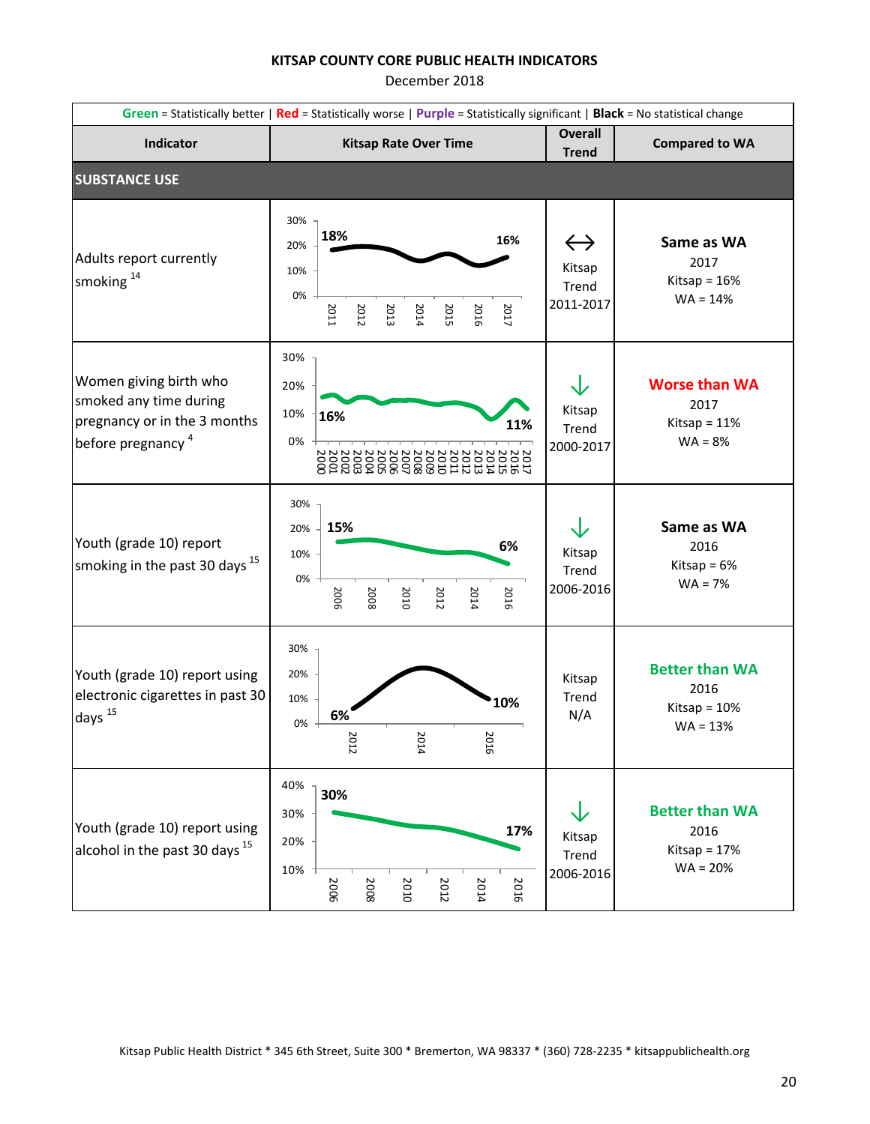|                                                                                                                   | Green = Statistically better   Red = Statistically worse   Purple = Statistically significant   Black = No statistical change |                                                   |                                                               |  |  |  |
|-------------------------------------------------------------------------------------------------------------------|-------------------------------------------------------------------------------------------------------------------------------|---------------------------------------------------|---------------------------------------------------------------|--|--|--|
| Indicator                                                                                                         | <b>Kitsap Rate Over Time</b>                                                                                                  | <b>Overall</b><br><b>Trend</b>                    | <b>Compared to WA</b>                                         |  |  |  |
| <b>SUBSTANCE USE</b>                                                                                              |                                                                                                                               |                                                   |                                                               |  |  |  |
| Adults report currently<br>smoking <sup>14</sup>                                                                  | 30%<br>18%<br>16%<br>20%<br>10%<br>0%<br>2017<br>2011<br>2012<br>2013<br>2015<br>2016<br>2014                                 | $\leftrightarrow$<br>Kitsap<br>Trend<br>2011-2017 | Same as WA<br>2017<br>Kitsap = $16%$<br>$WA = 14%$            |  |  |  |
| Women giving birth who<br>smoked any time during<br>pregnancy or in the 3 months<br>before pregnancy <sup>4</sup> | 30%<br>20%<br>10%<br>16%<br>11%<br>0%                                                                                         | Kitsap<br>Trend<br>2000-2017                      | <b>Worse than WA</b><br>2017<br>Kitsap = $11%$<br>$WA = 8%$   |  |  |  |
| Youth (grade 10) report<br>smoking in the past 30 days $^{15}$                                                    | 30%<br>15%<br>20%<br>6%<br>10%<br>0%<br>2006<br>2014<br>2010<br>2012<br>2016<br>2008                                          | Kitsap<br>Trend<br>2006-2016                      | Same as WA<br>2016<br>Kitsap = $6\%$<br>$WA = 7%$             |  |  |  |
| Youth (grade 10) report using<br>electronic cigarettes in past 30<br>days $^{15}$                                 | 30%<br>20%<br>10%<br>10%<br>6%<br>0%<br>2014<br>2016<br>2012                                                                  | Kitsap<br>Trend<br>N/A                            | <b>Better than WA</b><br>2016<br>Kitsap = $10%$<br>$WA = 13%$ |  |  |  |
| Youth (grade 10) report using<br>alcohol in the past 30 days <sup>15</sup>                                        | 40%<br>30%<br>30%<br>17%<br>20%<br>10%<br>2016<br>2006<br>2008<br>2010<br>2012<br>2014                                        | Kitsap<br>Trend<br>2006-2016                      | <b>Better than WA</b><br>2016<br>Kitsap = $17%$<br>$WA = 20%$ |  |  |  |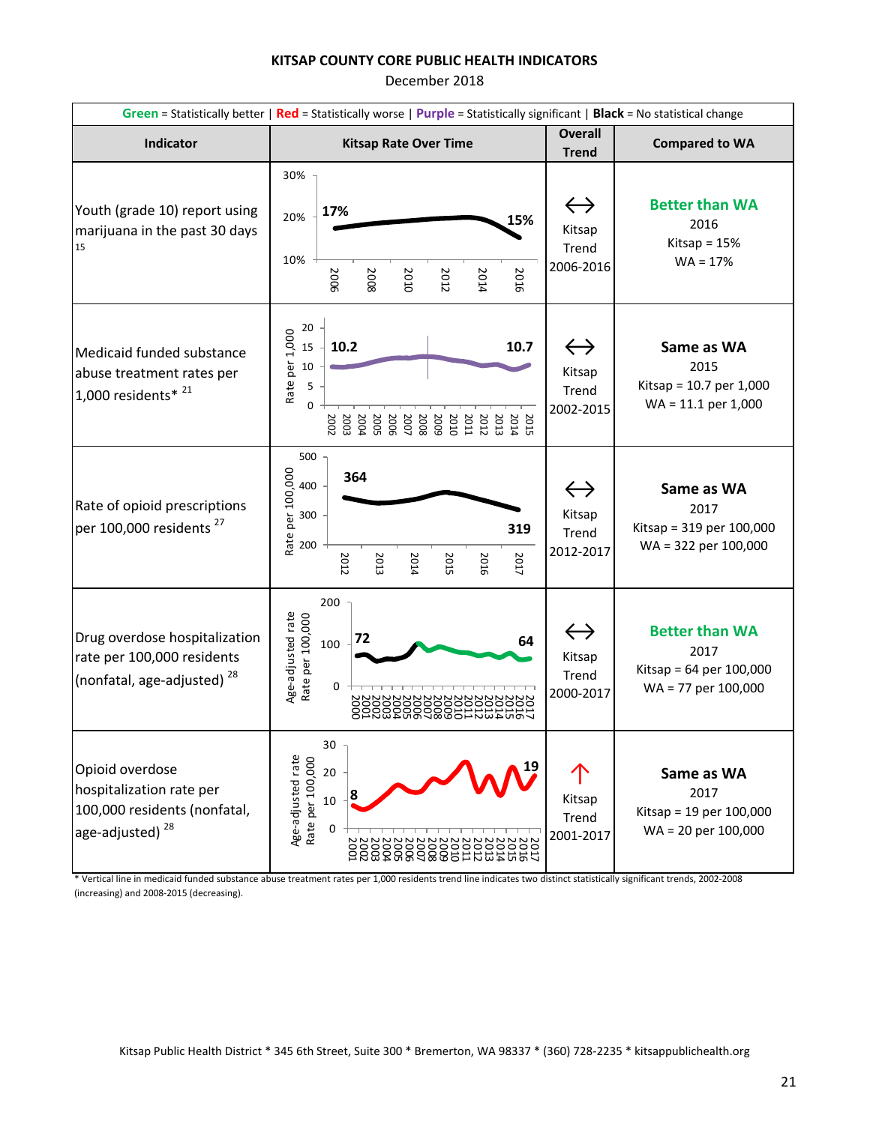December 2018

| Green = Statistically better   Red = Statistically worse   Purple = Statistically significant   Black = No statistical change |                                                                                                                                                                                     |                                                   |                                                                                 |  |  |
|-------------------------------------------------------------------------------------------------------------------------------|-------------------------------------------------------------------------------------------------------------------------------------------------------------------------------------|---------------------------------------------------|---------------------------------------------------------------------------------|--|--|
| Indicator                                                                                                                     | <b>Kitsap Rate Over Time</b>                                                                                                                                                        | <b>Overall</b><br><b>Trend</b>                    | <b>Compared to WA</b>                                                           |  |  |
| Youth (grade 10) report using<br>marijuana in the past 30 days<br>15                                                          | 30%<br>17%<br>20%<br>15%<br>10%<br>2006<br>2016<br>2008<br>2012<br>2014<br>2010                                                                                                     | $\leftrightarrow$<br>Kitsap<br>Trend<br>2006-2016 | <b>Better than WA</b><br>2016<br>Kitsap = $15%$<br>$WA = 17%$                   |  |  |
| Medicaid funded substance<br>abuse treatment rates per<br>1,000 residents* $^{21}$                                            | 20<br>Rate per 1,000<br>10.2<br>10.7<br>15<br>10<br>5<br>2004<br>2007<br>2011<br>2008<br>5009<br>2010<br>2012<br>2013<br>2015<br>2014<br>2003<br>2002<br><b>2005</b><br><b>2006</b> | $\leftrightarrow$<br>Kitsap<br>Trend<br>2002-2015 | Same as WA<br>2015<br>Kitsap = $10.7$ per 1,000<br>$WA = 11.1$ per 1,000        |  |  |
| Rate of opioid prescriptions<br>per 100,000 residents <sup>27</sup>                                                           | 500<br>Rate per 100,000<br>364<br>400<br>300<br>319<br>200<br>2012<br>2016<br>2017<br>2013<br>2014<br>2015                                                                          | Kitsap<br>Trend<br>2012-2017                      | Same as WA<br>2017<br>Kitsap = 319 per 100,000<br>WA = 322 per 100,000          |  |  |
| Drug overdose hospitalization<br>rate per 100,000 residents<br>(nonfatal, age-adjusted) <sup>28</sup>                         | 200<br>Age-adjusted rate<br>Rate per 100,000<br>72<br>64<br>100<br>0<br>00<br>5222332<br>◓                                                                                          | $\leftrightarrow$<br>Kitsap<br>Trend<br>2000-2017 | <b>Better than WA</b><br>2017<br>Kitsap = 64 per 100,000<br>WA = 77 per 100,000 |  |  |
| Opioid overdose<br>hospitalization rate per<br>100,000 residents (nonfatal,<br>age-adjusted) <sup>28</sup>                    | 30<br>Age-adjusted rate<br>Rate per 100,000<br>20<br>$10\,$<br>0<br><b>NNNNNNN</b><br><b>NNNNNNN</b><br>NNN                                                                         | Kitsap<br>Trend<br>2001-2017                      | Same as WA<br>2017<br>Kitsap = 19 per 100,000<br>$WA = 20$ per 100,000          |  |  |

\* Vertical line in medicaid funded substance abuse treatment rates per 1,000 residents trend line indicates two distinct statistically significant trends, 2002-2008 (increasing) and 2008-2015 (decreasing).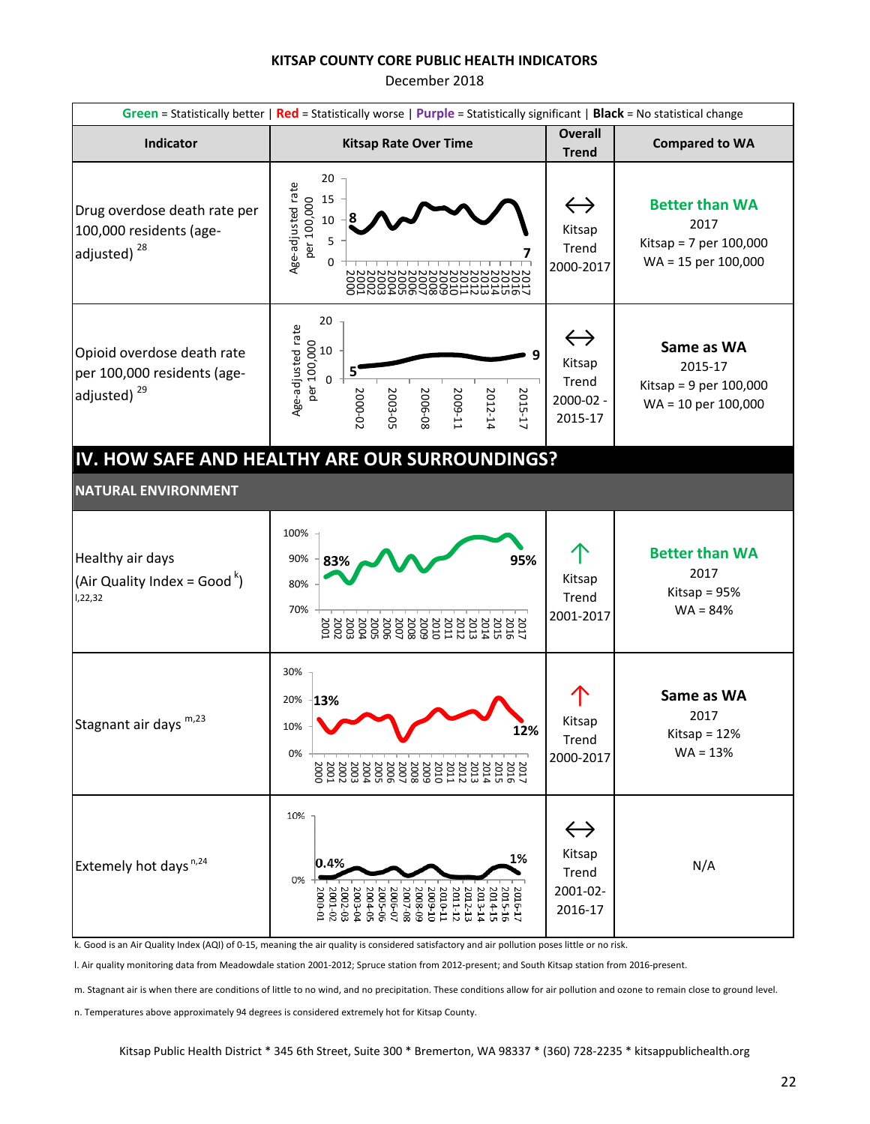December 2018

| Green = Statistically better   Red = Statistically worse   Purple = Statistically significant   Black = No statistical change |                                                                                                                                                                                                                                                                                                                                                                                                                            |                                                              |                                                                                  |  |  |
|-------------------------------------------------------------------------------------------------------------------------------|----------------------------------------------------------------------------------------------------------------------------------------------------------------------------------------------------------------------------------------------------------------------------------------------------------------------------------------------------------------------------------------------------------------------------|--------------------------------------------------------------|----------------------------------------------------------------------------------|--|--|
| Indicator                                                                                                                     | <b>Kitsap Rate Over Time</b>                                                                                                                                                                                                                                                                                                                                                                                               | <b>Overall</b><br><b>Trend</b>                               | <b>Compared to WA</b>                                                            |  |  |
| Drug overdose death rate per<br>100,000 residents (age-<br>adjusted) <sup>28</sup>                                            | 20<br>Age-adjusted rate<br>15<br>per 100,000<br>10<br>5                                                                                                                                                                                                                                                                                                                                                                    | $\leftrightarrow$<br>Kitsap<br>Trend<br>2000-2017            | <b>Better than WA</b><br>2017<br>Kitsap = $7$ per 100,000<br>WA = 15 per 100,000 |  |  |
| Opioid overdose death rate<br>per 100,000 residents (age-<br>adjusted) <sup>29</sup>                                          | 20<br>Age-adjusted rate<br>$0.000000$<br>Der 100,000<br>Der 10<br>5<br>2000-02<br>2003-05<br>2006-08<br>2012-14<br>2015-17<br>1009-11                                                                                                                                                                                                                                                                                      | $\leftrightarrow$<br>Kitsap<br>Trend<br>2000-02 -<br>2015-17 | Same as WA<br>2015-17<br>Kitsap = $9$ per 100,000<br>WA = 10 per 100,000         |  |  |
|                                                                                                                               | IV. HOW SAFE AND HEALTHY ARE OUR SURROUNDINGS?                                                                                                                                                                                                                                                                                                                                                                             |                                                              |                                                                                  |  |  |
| <b>NATURAL ENVIRONMENT</b>                                                                                                    |                                                                                                                                                                                                                                                                                                                                                                                                                            |                                                              |                                                                                  |  |  |
| Healthy air days<br>(Air Quality Index = Good $\binom{k}{k}$<br>1,22,32                                                       | 100%<br>90%<br>95%<br>83%<br>80%<br>70%                                                                                                                                                                                                                                                                                                                                                                                    | Kitsap<br>Trend<br>2001-2017                                 | <b>Better than WA</b><br>2017<br>Kitsap = $95%$<br>$WA = 84%$                    |  |  |
| Stagnant air days m,23                                                                                                        | 30%<br>20%<br>$ 13\%$<br>10%<br>12%<br>0%                                                                                                                                                                                                                                                                                                                                                                                  | Kitsap<br>Trend<br>2000-2017                                 | Same as WA<br>2017<br>Kitsap = $12%$<br>$WA = 13%$                               |  |  |
| Extemely hot days <sup>n,24</sup>                                                                                             | 10%<br>1%<br>0.4%<br>0%<br>$\begin{array}{l} \left( \begin{array}{c} 2012-12 \\ 2011-12 \\ 2009-12 \\ 2009-12 \\ 2009-12 \\ 2009-12 \\ 2009-12 \\ 2009-12 \\ 20000-12 \\ 20000-12 \\ 20000-12 \\ 20000-12 \\ 20000-12 \\ 20000-12 \\ 20000-12 \\ 20000-12 \\ 20000-12 \\ 20000-12 \\ 20000-12 \\ 20000-12 \\ 20000-12 \\ $<br>$\begin{array}{l} 2016\text{-}17 \\ 2015\text{-}16 \\ 2014\text{-}15 \end{array}$<br>2013-14 | $\leftrightarrow$<br>Kitsap<br>Trend<br>2001-02-<br>2016-17  | N/A                                                                              |  |  |

k. Good is an Air Quality Index (AQI) of 0-15, meaning the air quality is considered satisfactory and air pollution poses little or no risk.

l. Air quality monitoring data from Meadowdale station 2001-2012; Spruce station from 2012-present; and South Kitsap station from 2016-present.

m. Stagnant air is when there are conditions of little to no wind, and no precipitation. These conditions allow for air pollution and ozone to remain close to ground level.

n. Temperatures above approximately 94 degrees is considered extremely hot for Kitsap County.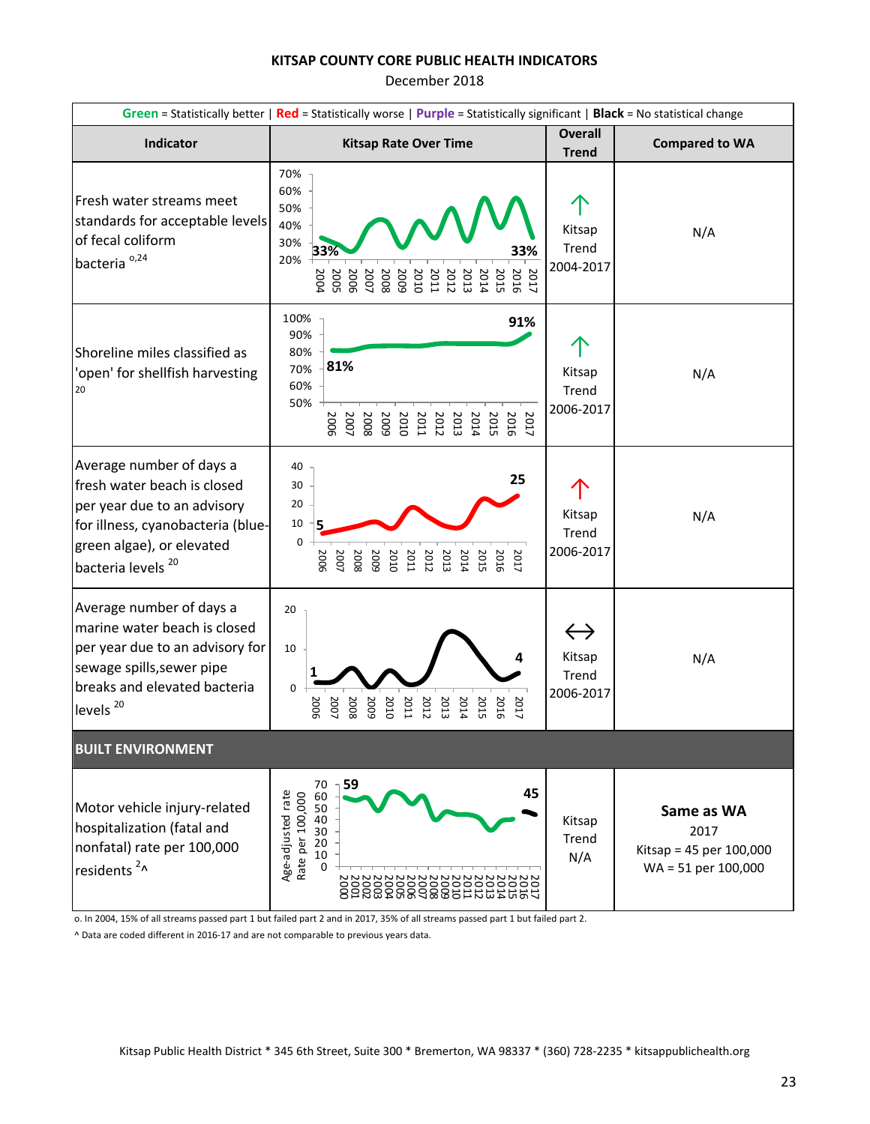December 2018

|                                                                                                                                                                                           | Green = Statistically better   Red = Statistically worse   Purple = Statistically significant   Black = No statistical change                                                      |                                                   |                                                                      |
|-------------------------------------------------------------------------------------------------------------------------------------------------------------------------------------------|------------------------------------------------------------------------------------------------------------------------------------------------------------------------------------|---------------------------------------------------|----------------------------------------------------------------------|
| Indicator                                                                                                                                                                                 | <b>Kitsap Rate Over Time</b>                                                                                                                                                       | <b>Overall</b><br><b>Trend</b>                    | <b>Compared to WA</b>                                                |
| Fresh water streams meet<br>standards for acceptable levels<br>of fecal coliform<br>bacteria <sup>0,24</sup>                                                                              | 70%<br>60%<br>50%<br>40%<br>30%<br>33%<br>33%<br>20%<br>2015<br>2004<br>2006<br>2005<br>2007<br>2016<br>2017<br>2008<br>5009<br>2010<br><b>2011</b><br>2012<br><b>2013</b><br>2014 | Kitsap<br>Trend<br>2004-2017                      | N/A                                                                  |
| Shoreline miles classified as<br>'open' for shellfish harvesting<br>20                                                                                                                    | 100%<br>91%<br>90%<br>80%<br>81%<br>70%<br>60%<br>50%<br>2007<br>2008<br>5005<br>2011<br>2014<br>2015<br>2017<br>2010<br>2012<br>2013<br>2016<br>2006                              | Kitsap<br>Trend<br>2006-2017                      | N/A                                                                  |
| Average number of days a<br>fresh water beach is closed<br>per year due to an advisory<br>for illness, cyanobacteria (blue-<br>green algae), or elevated<br>bacteria levels <sup>20</sup> | 40<br>25<br>30<br>20<br>10<br>0<br>2007<br>2008<br>2005<br>200E<br>2010<br>201<br>2012<br>2013<br>2014<br>2015<br>2016<br>2017                                                     | Kitsap<br>Trend<br>2006-2017                      | N/A                                                                  |
| Average number of days a<br>marine water beach is closed<br>per year due to an advisory for<br>sewage spills, sewer pipe<br>breaks and elevated bacteria<br>levels <sup>20</sup>          | 20<br>10<br>0<br>2008<br>2007<br>5005<br>2010<br>2006<br>2011<br>2012<br>2013<br>2014<br>2015<br>2016<br>2017                                                                      | $\leftrightarrow$<br>Kitsap<br>Trend<br>2006-2017 | N/A                                                                  |
| <b>BUILT ENVIRONMENT</b>                                                                                                                                                                  |                                                                                                                                                                                    |                                                   |                                                                      |
| Motor vehicle injury-related<br>hospitalization (fatal and<br>nonfatal) rate per 100,000<br>residents <sup>2</sup> ^                                                                      | ∍ 59<br>70<br>45<br>Age-adjusted rate<br>Rate per 100,000<br>60<br>50<br>40<br>30<br>20<br>10<br>$\Omega$                                                                          | Kitsap<br>Trend<br>N/A                            | Same as WA<br>2017<br>Kitsap = 45 per 100,000<br>WA = 51 per 100,000 |

o. In 2004, 15% of all streams passed part 1 but failed part 2 and in 2017, 35% of all streams passed part 1 but failed part 2.

^ Data are coded different in 2016-17 and are not comparable to previous years data.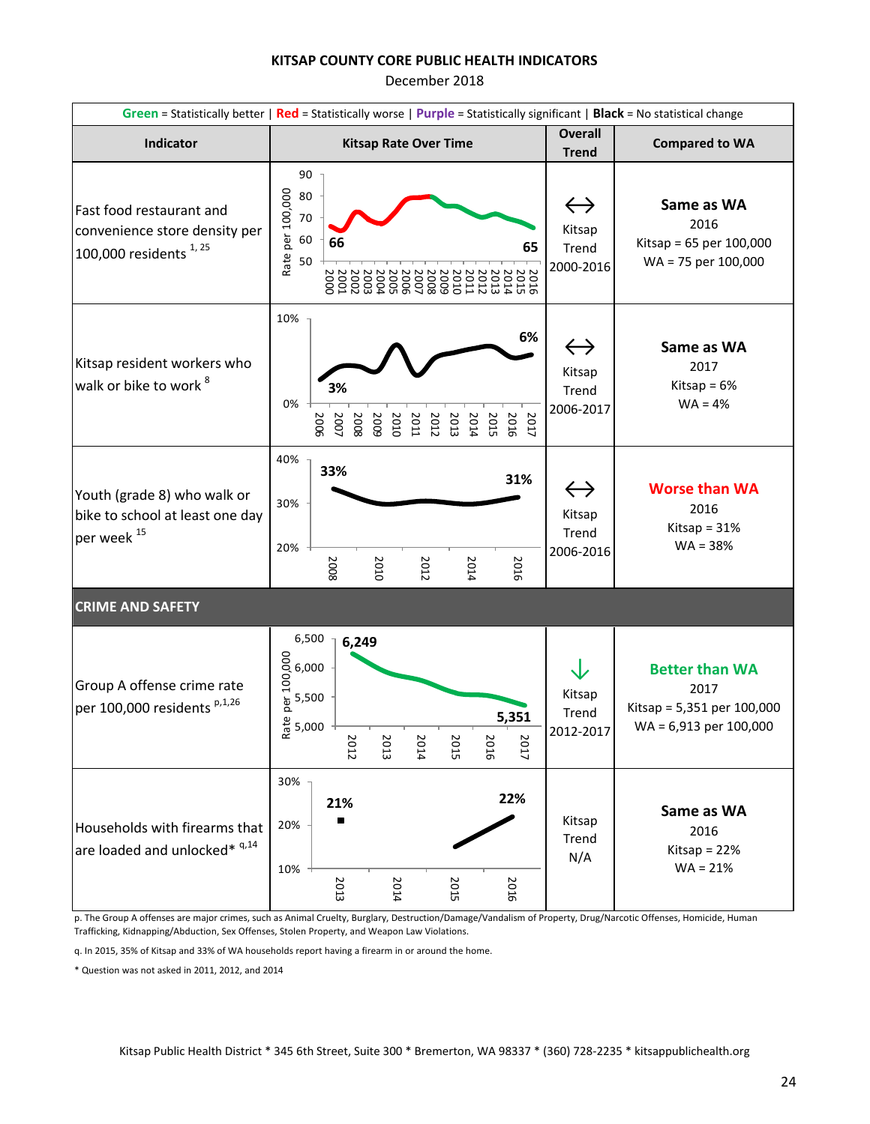December 2018

|                                                                                                | Green = Statistically better   Red = Statistically worse   Purple = Statistically significant   Black = No statistical change |                                                                                                                          |                                                                                       |  |  |  |  |  |  |
|------------------------------------------------------------------------------------------------|-------------------------------------------------------------------------------------------------------------------------------|--------------------------------------------------------------------------------------------------------------------------|---------------------------------------------------------------------------------------|--|--|--|--|--|--|
| Indicator                                                                                      | <b>Kitsap Rate Over Time</b>                                                                                                  | <b>Overall</b><br><b>Trend</b>                                                                                           | <b>Compared to WA</b>                                                                 |  |  |  |  |  |  |
| Fast food restaurant and<br>convenience store density per<br>100,000 residents <sup>1,25</sup> | 90<br>Rate per 100,000<br>80<br>70<br>60<br>66<br>50                                                                          | $\leftrightarrow$<br>Kitsap<br>65<br>Trend<br>2000-2016<br>$\begin{array}{c} 20000 \\ 20012 \\ 2011 \\ 2012 \end{array}$ | Same as WA<br>2016<br>Kitsap = $65$ per $100,000$<br>WA = 75 per 100,000              |  |  |  |  |  |  |
| Kitsap resident workers who<br>walk or bike to work <sup>8</sup>                               | 10%<br>3%<br>0%<br>2013<br>2006<br>2010<br>2011<br>2012<br>2014<br>2015<br>5009<br>2007<br>2008                               | 6%<br>$\leftrightarrow$<br>Kitsap<br>Trend<br>2006-2017<br>2017<br>2016                                                  | Same as WA<br>2017<br>Kitsap = $6%$<br>$WA = 4%$                                      |  |  |  |  |  |  |
| Youth (grade 8) who walk or<br>bike to school at least one day<br>per week <sup>15</sup>       | 40%<br>33%<br>30%<br>20%<br>2008<br>2012<br>2010<br>2014                                                                      | 31%<br>$\leftrightarrow$<br>Kitsap<br>Trend<br>2006-2016<br>2016                                                         | <b>Worse than WA</b><br>2016<br>Kitsap = $31%$<br>$WA = 38%$                          |  |  |  |  |  |  |
| <b>CRIME AND SAFETY</b>                                                                        |                                                                                                                               |                                                                                                                          |                                                                                       |  |  |  |  |  |  |
| Group A offense crime rate<br>per 100,000 residents <sup>p,1,26</sup>                          | 6,500<br>6,249<br>000 6,000<br>000 6,000<br>ate 5,500<br>ate 5,000<br>2013<br>N<br>2015<br>N<br>N<br>012<br><b>D14</b><br>016 | ↓<br>Kitsap<br>Trend<br>5,351<br>2012-2017<br>2017                                                                       | <b>Better than WA</b><br>2017<br>Kitsap = 5,351 per 100,000<br>WA = 6,913 per 100,000 |  |  |  |  |  |  |
| Households with firearms that<br>are loaded and unlocked* 9,14                                 | 30%<br>21%<br>20%<br>10%<br>2013<br>2014<br>2015                                                                              | 22%<br>Kitsap<br>Trend<br>N/A<br>2016                                                                                    | Same as WA<br>2016<br>Kitsap = $22%$<br>$WA = 21%$                                    |  |  |  |  |  |  |

p. The Group A offenses are major crimes, such as Animal Cruelty, Burglary, Destruction/Damage/Vandalism of Property, Drug/Narcotic Offenses, Homicide, Human Trafficking, Kidnapping/Abduction, Sex Offenses, Stolen Property, and Weapon Law Violations.

q. In 2015, 35% of Kitsap and 33% of WA households report having a firearm in or around the home.

\* Question was not asked in 2011, 2012, and 2014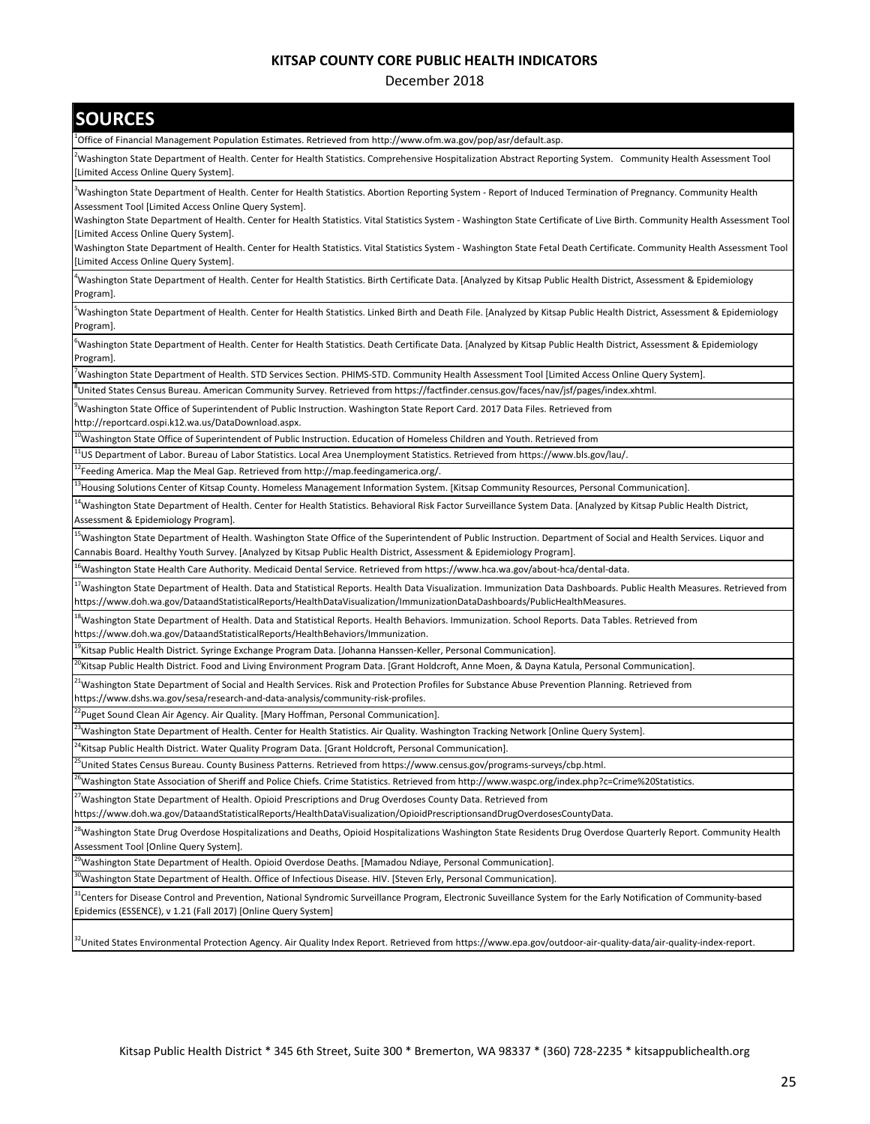December 2018

| <b>SOURCES</b>                                                                                                                                                                                                                                                                                                  |
|-----------------------------------------------------------------------------------------------------------------------------------------------------------------------------------------------------------------------------------------------------------------------------------------------------------------|
| -Office of Financial Management Population Estimates. Retrieved from http://www.ofm.wa.gov/pop/asr/default.asp                                                                                                                                                                                                  |
| <sup>2</sup> Washington State Department of Health. Center for Health Statistics. Comprehensive Hospitalization Abstract Reporting System. Community Health Assessment Tool<br>[Limited Access Online Query System].                                                                                            |
| <sup>3</sup> Washington State Department of Health. Center for Health Statistics. Abortion Reporting System - Report of Induced Termination of Pregnancy. Community Health<br>Assessment Tool [Limited Access Online Query System].                                                                             |
| Washington State Department of Health. Center for Health Statistics. Vital Statistics System - Washington State Certificate of Live Birth. Community Health Assessment Tool<br>[Limited Access Online Query System].                                                                                            |
| Washington State Department of Health. Center for Health Statistics. Vital Statistics System - Washington State Fetal Death Certificate. Community Health Assessment Tool<br>[Limited Access Online Query System].                                                                                              |
| Washington State Department of Health. Center for Health Statistics. Birth Certificate Data. [Analyzed by Kitsap Public Health District, Assessment & Epidemiology<br>Program].                                                                                                                                 |
| <sup>5</sup> Washington State Department of Health. Center for Health Statistics. Linked Birth and Death File. [Analyzed by Kitsap Public Health District, Assessment & Epidemiology<br>Program].                                                                                                               |
| <sup>6</sup> Washington State Department of Health. Center for Health Statistics. Death Certificate Data. [Analyzed by Kitsap Public Health District, Assessment & Epidemiology<br>Program].                                                                                                                    |
| 'Washington State Department of Health. STD Services Section. PHIMS-STD. Community Health Assessment Tool [Limited Access Online Query System].                                                                                                                                                                 |
| United States Census Bureau. American Community Survey. Retrieved from https://factfinder.census.gov/faces/nav/jsf/pages/index.xhtml.                                                                                                                                                                           |
| <sup>9</sup> Washington State Office of Superintendent of Public Instruction. Washington State Report Card. 2017 Data Files. Retrieved from<br>http://reportcard.ospi.k12.wa.us/DataDownload.aspx.                                                                                                              |
| <sup>10</sup> Washington State Office of Superintendent of Public Instruction. Education of Homeless Children and Youth. Retrieved from                                                                                                                                                                         |
| <sup>11</sup> US Department of Labor. Bureau of Labor Statistics. Local Area Unemployment Statistics. Retrieved from https://www.bls.gov/lau/.                                                                                                                                                                  |
| <sup>12</sup> Feeding America. Map the Meal Gap. Retrieved from http://map.feedingamerica.org/.                                                                                                                                                                                                                 |
| <sup>13</sup> Housing Solutions Center of Kitsap County. Homeless Management Information System. [Kitsap Community Resources, Personal Communication].                                                                                                                                                          |
| <sup>14</sup> Washington State Department of Health. Center for Health Statistics. Behavioral Risk Factor Surveillance System Data. [Analyzed by Kitsap Public Health District,<br>Assessment & Epidemiology Program].                                                                                          |
| <sup>15</sup> Washington State Department of Health. Washington State Office of the Superintendent of Public Instruction. Department of Social and Health Services. Liquor and<br>Cannabis Board. Healthy Youth Survey. [Analyzed by Kitsap Public Health District, Assessment & Epidemiology Program].         |
| <sup>16</sup> Washington State Health Care Authority. Medicaid Dental Service. Retrieved from https://www.hca.wa.gov/about-hca/dental-data.                                                                                                                                                                     |
| <sup>17</sup> Washington State Department of Health. Data and Statistical Reports. Health Data Visualization. Immunization Data Dashboards. Public Health Measures. Retrieved from<br>https://www.doh.wa.gov/DataandStatisticalReports/HealthDataVisualization/ImmunizationDataDashboards/PublicHealthMeasures. |
| <sup>18</sup> Washington State Department of Health. Data and Statistical Reports. Health Behaviors. Immunization. School Reports. Data Tables. Retrieved from<br>https://www.doh.wa.gov/DataandStatisticalReports/HealthBehaviors/Immunization.                                                                |
| <sup>19</sup> Kitsap Public Health District. Syringe Exchange Program Data. [Johanna Hanssen-Keller, Personal Communication].                                                                                                                                                                                   |
| <sup>20</sup> Kitsap Public Health District. Food and Living Environment Program Data. [Grant Holdcroft, Anne Moen, & Dayna Katula, Personal Communication].                                                                                                                                                    |
| <sup>21</sup> Washington State Department of Social and Health Services. Risk and Protection Profiles for Substance Abuse Prevention Planning. Retrieved from<br>https://www.dshs.wa.gov/sesa/research-and-data-analysis/community-risk-profiles.                                                               |
| <sup>22</sup> Puget Sound Clean Air Agency. Air Quality. [Mary Hoffman, Personal Communication].                                                                                                                                                                                                                |
| <sup>23</sup> Washington State Department of Health. Center for Health Statistics. Air Quality. Washington Tracking Network [Online Query System].                                                                                                                                                              |
| Kitsap Public Health District. Water Quality Program Data. [Grant Holdcroft, Personal Communication].                                                                                                                                                                                                           |
| <sup>25</sup> United States Census Bureau. County Business Patterns. Retrieved from https://www.census.gov/programs-surveys/cbp.html.                                                                                                                                                                           |
| <sup>26</sup> Washington State Association of Sheriff and Police Chiefs. Crime Statistics. Retrieved from http://www.waspc.org/index.php?c=Crime%20Statistics.                                                                                                                                                  |
| <sup>27</sup> Washington State Department of Health. Opioid Prescriptions and Drug Overdoses County Data. Retrieved from<br>https://www.doh.wa.gov/DataandStatisticalReports/HealthDataVisualization/OpioidPrescriptionsandDrugOverdosesCountyData.                                                             |
| <sup>28</sup> Washington State Drug Overdose Hospitalizations and Deaths, Opioid Hospitalizations Washington State Residents Drug Overdose Quarterly Report. Community Health<br>Assessment Tool [Online Query System].                                                                                         |
| <sup>29</sup> Washington State Department of Health. Opioid Overdose Deaths. [Mamadou Ndiaye, Personal Communication].                                                                                                                                                                                          |
| <sup>30</sup> Washington State Department of Health. Office of Infectious Disease. HIV. [Steven Erly, Personal Communication].                                                                                                                                                                                  |
| <sup>31</sup> Centers for Disease Control and Prevention, National Syndromic Surveillance Program, Electronic Suveillance System for the Early Notification of Community-based                                                                                                                                  |
| Epidemics (ESSENCE), v 1.21 (Fall 2017) [Online Query System]                                                                                                                                                                                                                                                   |

<sup>2</sup>United States Environmental Protection Agency. Air Quality Index Report. Retrieved from https://www.epa.gov/outdoor-air-quality-data/air-quality-index-report.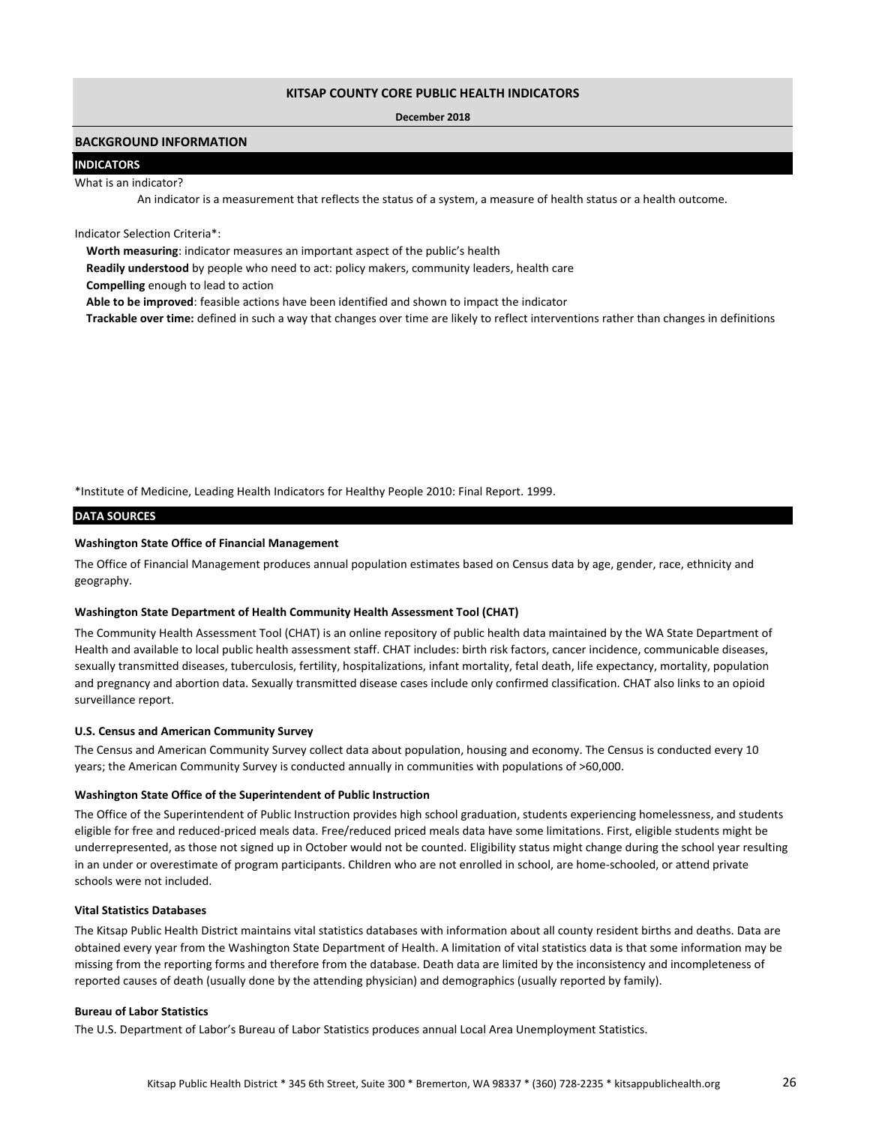#### **December 2018**

### **BACKGROUND INFORMATION**

### **INDICATORS**

#### What is an indicator?

An indicator is a measurement that reflects the status of a system, a measure of health status or a health outcome.

Indicator Selection Criteria\*:

**Worth measuring**: indicator measures an important aspect of the public's health

**Readily understood** by people who need to act: policy makers, community leaders, health care

**Compelling** enough to lead to action

**Able to be improved**: feasible actions have been identified and shown to impact the indicator

**Trackable over time:** defined in such a way that changes over time are likely to reflect interventions rather than changes in definitions

\*Institute of Medicine, Leading Health Indicators for Healthy People 2010: Final Report. 1999.

#### **DATA SOURCES**

### **Washington State Office of Financial Management**

The Office of Financial Management produces annual population estimates based on Census data by age, gender, race, ethnicity and geography.

#### **Washington State Department of Health Community Health Assessment Tool (CHAT)**

The Community Health Assessment Tool (CHAT) is an online repository of public health data maintained by the WA State Department of Health and available to local public health assessment staff. CHAT includes: birth risk factors, cancer incidence, communicable diseases, sexually transmitted diseases, tuberculosis, fertility, hospitalizations, infant mortality, fetal death, life expectancy, mortality, population and pregnancy and abortion data. Sexually transmitted disease cases include only confirmed classification. CHAT also links to an opioid surveillance report.

### **U.S. Census and American Community Survey**

The Census and American Community Survey collect data about population, housing and economy. The Census is conducted every 10 years; the American Community Survey is conducted annually in communities with populations of >60,000.

### **Washington State Office of the Superintendent of Public Instruction**

The Office of the Superintendent of Public Instruction provides high school graduation, students experiencing homelessness, and students eligible for free and reduced-priced meals data. Free/reduced priced meals data have some limitations. First, eligible students might be underrepresented, as those not signed up in October would not be counted. Eligibility status might change during the school year resulting in an under or overestimate of program participants. Children who are not enrolled in school, are home-schooled, or attend private schools were not included.

### **Vital Statistics Databases**

The Kitsap Public Health District maintains vital statistics databases with information about all county resident births and deaths. Data are obtained every year from the Washington State Department of Health. A limitation of vital statistics data is that some information may be missing from the reporting forms and therefore from the database. Death data are limited by the inconsistency and incompleteness of reported causes of death (usually done by the attending physician) and demographics (usually reported by family).

### **Bureau of Labor Statistics**

The U.S. Department of Labor's Bureau of Labor Statistics produces annual Local Area Unemployment Statistics.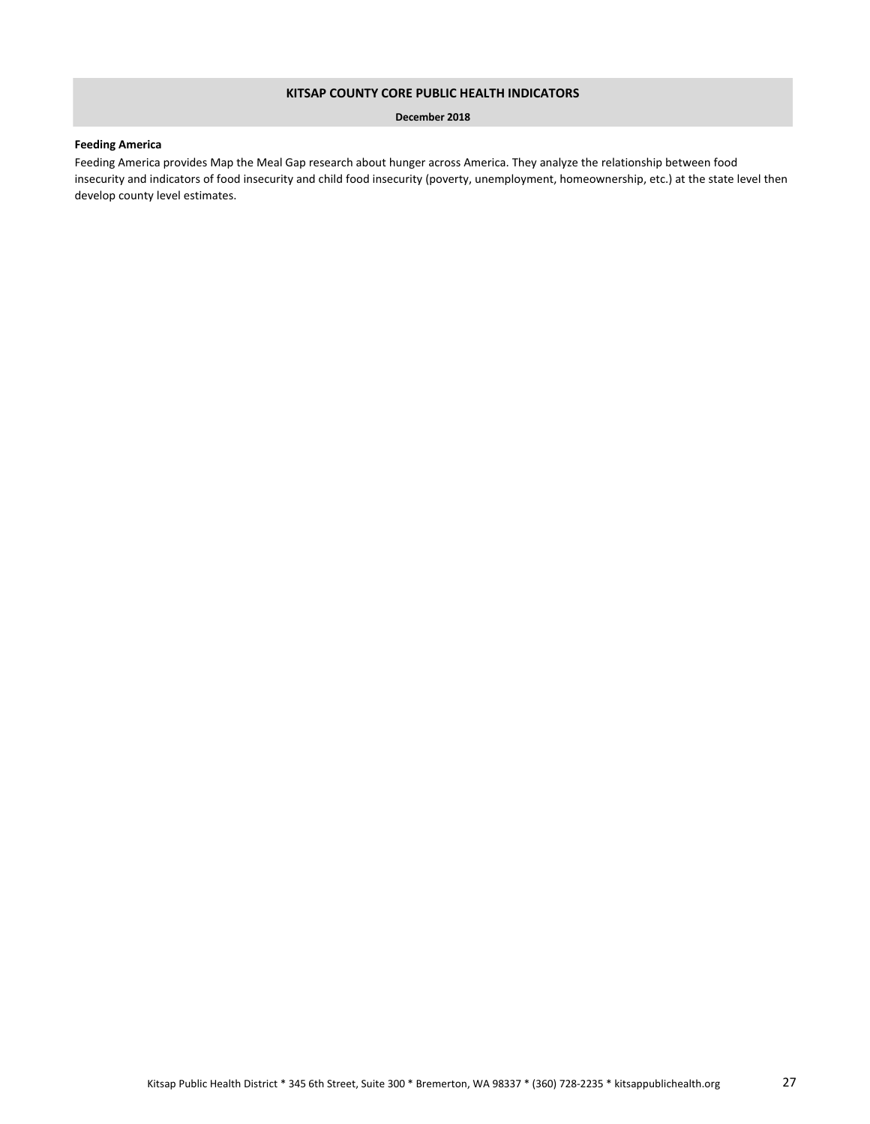### **December 2018**

### **Feeding America**

Feeding America provides Map the Meal Gap research about hunger across America. They analyze the relationship between food insecurity and indicators of food insecurity and child food insecurity (poverty, unemployment, homeownership, etc.) at the state level then develop county level estimates.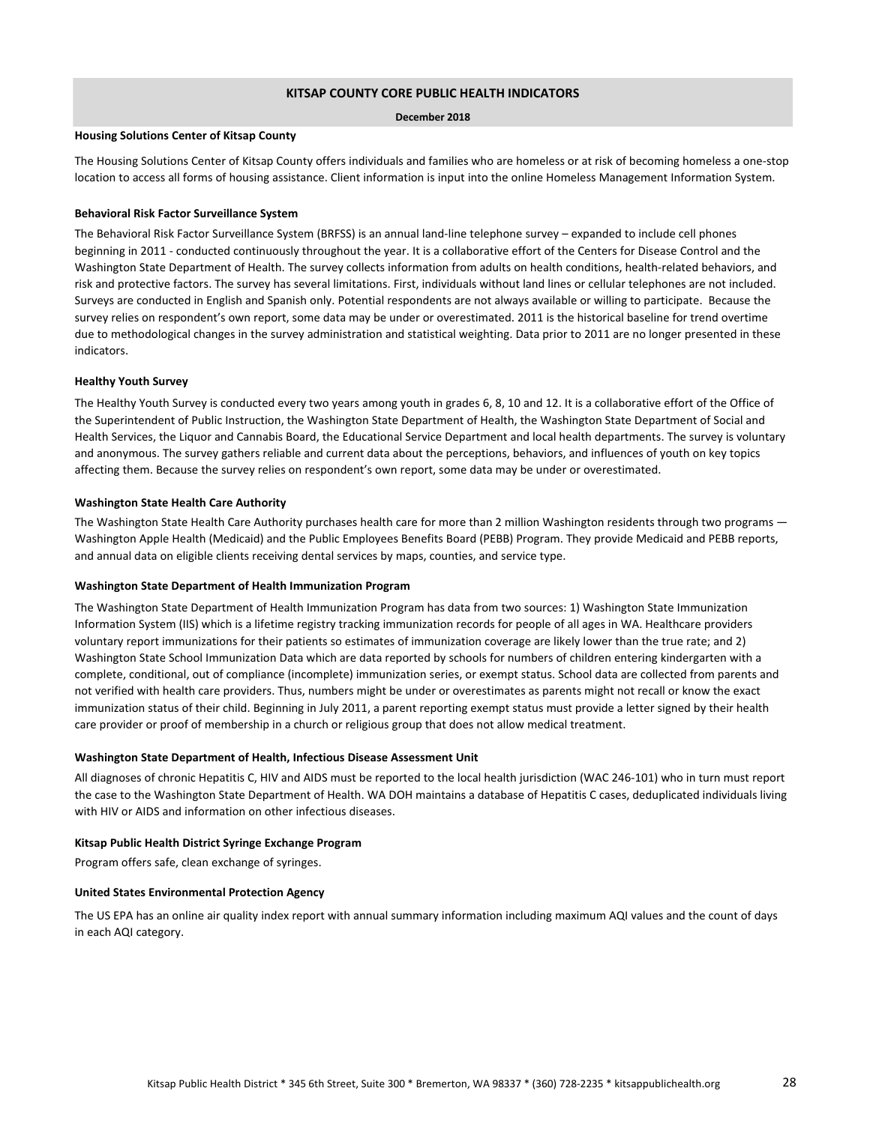### **December 2018**

### **Housing Solutions Center of Kitsap County**

The Housing Solutions Center of Kitsap County offers individuals and families who are homeless or at risk of becoming homeless a one-stop location to access all forms of housing assistance. Client information is input into the online Homeless Management Information System.

#### **Behavioral Risk Factor Surveillance System**

The Behavioral Risk Factor Surveillance System (BRFSS) is an annual land-line telephone survey – expanded to include cell phones beginning in 2011 - conducted continuously throughout the year. It is a collaborative effort of the Centers for Disease Control and the Washington State Department of Health. The survey collects information from adults on health conditions, health-related behaviors, and risk and protective factors. The survey has several limitations. First, individuals without land lines or cellular telephones are not included. Surveys are conducted in English and Spanish only. Potential respondents are not always available or willing to participate. Because the survey relies on respondent's own report, some data may be under or overestimated. 2011 is the historical baseline for trend overtime due to methodological changes in the survey administration and statistical weighting. Data prior to 2011 are no longer presented in these indicators.

#### **Healthy Youth Survey**

The Healthy Youth Survey is conducted every two years among youth in grades 6, 8, 10 and 12. It is a collaborative effort of the Office of the Superintendent of Public Instruction, the Washington State Department of Health, the Washington State Department of Social and Health Services, the Liquor and Cannabis Board, the Educational Service Department and local health departments. The survey is voluntary and anonymous. The survey gathers reliable and current data about the perceptions, behaviors, and influences of youth on key topics affecting them. Because the survey relies on respondent's own report, some data may be under or overestimated.

#### **Washington State Health Care Authority**

The Washington State Health Care Authority purchases health care for more than 2 million Washington residents through two programs — Washington Apple Health (Medicaid) and the Public Employees Benefits Board (PEBB) Program. They provide Medicaid and PEBB reports, and annual data on eligible clients receiving dental services by maps, counties, and service type.

#### **Washington State Department of Health Immunization Program**

The Washington State Department of Health Immunization Program has data from two sources: 1) Washington State Immunization Information System (IIS) which is a lifetime registry tracking immunization records for people of all ages in WA. Healthcare providers voluntary report immunizations for their patients so estimates of immunization coverage are likely lower than the true rate; and 2) Washington State School Immunization Data which are data reported by schools for numbers of children entering kindergarten with a complete, conditional, out of compliance (incomplete) immunization series, or exempt status. School data are collected from parents and not verified with health care providers. Thus, numbers might be under or overestimates as parents might not recall or know the exact immunization status of their child. Beginning in July 2011, a parent reporting exempt status must provide a letter signed by their health care provider or proof of membership in a church or religious group that does not allow medical treatment.

### **Washington State Department of Health, Infectious Disease Assessment Unit**

All diagnoses of chronic Hepatitis C, HIV and AIDS must be reported to the local health jurisdiction (WAC 246-101) who in turn must report the case to the Washington State Department of Health. WA DOH maintains a database of Hepatitis C cases, deduplicated individuals living with HIV or AIDS and information on other infectious diseases.

### **Kitsap Public Health District Syringe Exchange Program**

Program offers safe, clean exchange of syringes.

### **United States Environmental Protection Agency**

The US EPA has an online air quality index report with annual summary information including maximum AQI values and the count of days in each AQI category.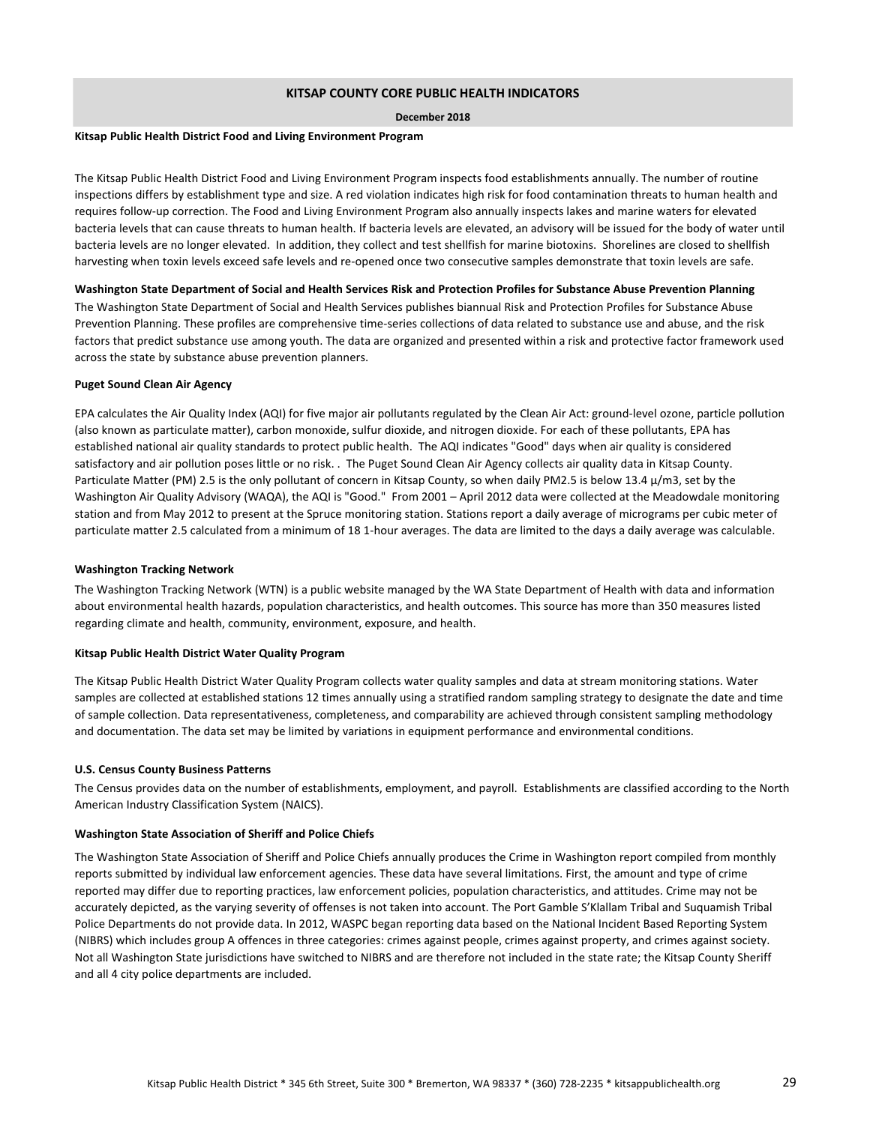#### **December 2018**

### **Kitsap Public Health District Food and Living Environment Program**

The Kitsap Public Health District Food and Living Environment Program inspects food establishments annually. The number of routine inspections differs by establishment type and size. A red violation indicates high risk for food contamination threats to human health and requires follow-up correction. The Food and Living Environment Program also annually inspects lakes and marine waters for elevated bacteria levels that can cause threats to human health. If bacteria levels are elevated, an advisory will be issued for the body of water until bacteria levels are no longer elevated. In addition, they collect and test shellfish for marine biotoxins. Shorelines are closed to shellfish harvesting when toxin levels exceed safe levels and re-opened once two consecutive samples demonstrate that toxin levels are safe.

#### **Washington State Department of Social and Health Services Risk and Protection Profiles for Substance Abuse Prevention Planning**

The Washington State Department of Social and Health Services publishes biannual Risk and Protection Profiles for Substance Abuse Prevention Planning. These profiles are comprehensive time-series collections of data related to substance use and abuse, and the risk factors that predict substance use among youth. The data are organized and presented within a risk and protective factor framework used across the state by substance abuse prevention planners.

#### **Puget Sound Clean Air Agency**

EPA calculates the Air Quality Index (AQI) for five major air pollutants regulated by the Clean Air Act: ground-level ozone, particle pollution (also known as particulate matter), carbon monoxide, sulfur dioxide, and nitrogen dioxide. For each of these pollutants, EPA has established national air quality standards to protect public health. The AQI indicates "Good" days when air quality is considered satisfactory and air pollution poses little or no risk. . The Puget Sound Clean Air Agency collects air quality data in Kitsap County. Particulate Matter (PM) 2.5 is the only pollutant of concern in Kitsap County, so when daily PM2.5 is below 13.4 μ/m3, set by the Washington Air Quality Advisory (WAQA), the AQI is "Good." From 2001 – April 2012 data were collected at the Meadowdale monitoring station and from May 2012 to present at the Spruce monitoring station. Stations report a daily average of micrograms per cubic meter of particulate matter 2.5 calculated from a minimum of 18 1-hour averages. The data are limited to the days a daily average was calculable.

#### **Washington Tracking Network**

The Washington Tracking Network (WTN) is a public website managed by the WA State Department of Health with data and information about environmental health hazards, population characteristics, and health outcomes. This source has more than 350 measures listed regarding climate and health, community, environment, exposure, and health.

#### **Kitsap Public Health District Water Quality Program**

The Kitsap Public Health District Water Quality Program collects water quality samples and data at stream monitoring stations. Water samples are collected at established stations 12 times annually using a stratified random sampling strategy to designate the date and time of sample collection. Data representativeness, completeness, and comparability are achieved through consistent sampling methodology and documentation. The data set may be limited by variations in equipment performance and environmental conditions.

#### **U.S. Census County Business Patterns**

The Census provides data on the number of establishments, employment, and payroll. Establishments are classified according to the North American Industry Classification System (NAICS).

#### **Washington State Association of Sheriff and Police Chiefs**

The Washington State Association of Sheriff and Police Chiefs annually produces the Crime in Washington report compiled from monthly reports submitted by individual law enforcement agencies. These data have several limitations. First, the amount and type of crime reported may differ due to reporting practices, law enforcement policies, population characteristics, and attitudes. Crime may not be accurately depicted, as the varying severity of offenses is not taken into account. The Port Gamble S'Klallam Tribal and Suquamish Tribal Police Departments do not provide data. In 2012, WASPC began reporting data based on the National Incident Based Reporting System (NIBRS) which includes group A offences in three categories: crimes against people, crimes against property, and crimes against society. Not all Washington State jurisdictions have switched to NIBRS and are therefore not included in the state rate; the Kitsap County Sheriff and all 4 city police departments are included.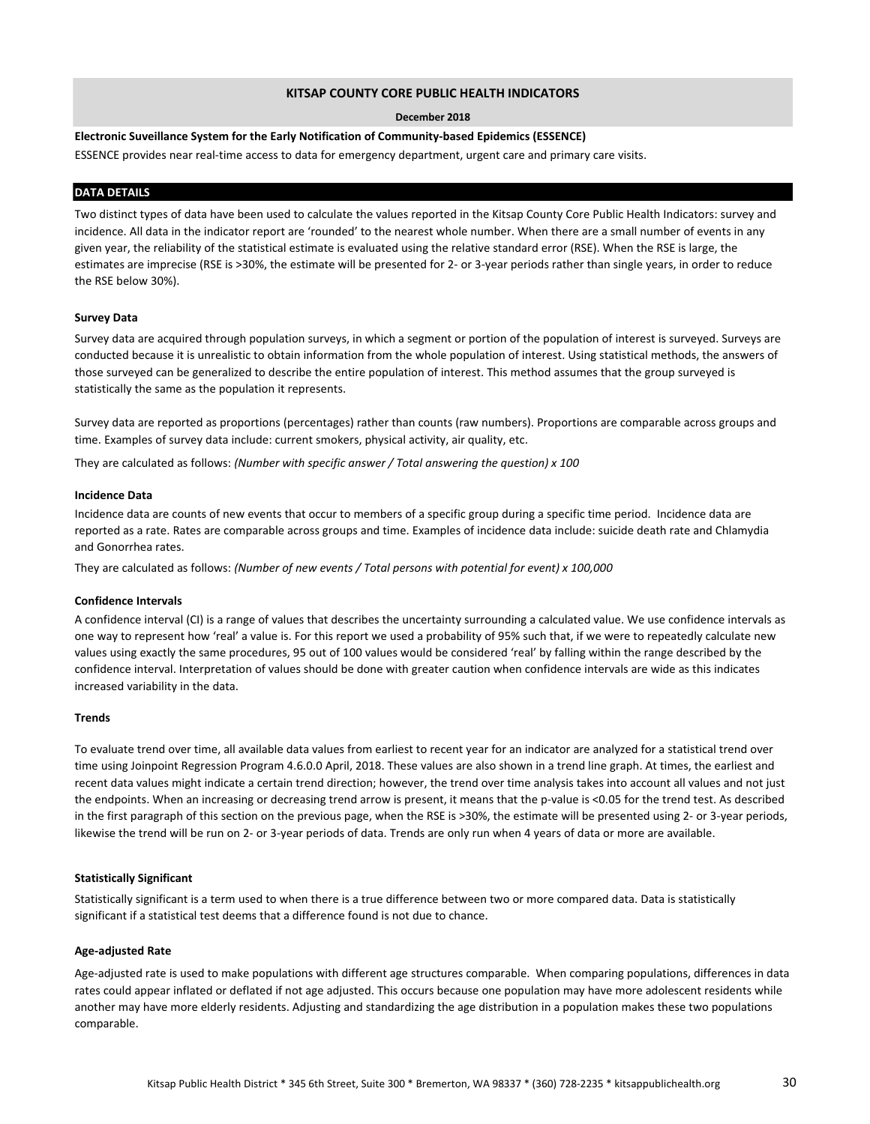#### **December 2018**

**Electronic Suveillance System for the Early Notification of Community-based Epidemics (ESSENCE)**

ESSENCE provides near real-time access to data for emergency department, urgent care and primary care visits.

### **DATA DETAILS**

Two distinct types of data have been used to calculate the values reported in the Kitsap County Core Public Health Indicators: survey and incidence. All data in the indicator report are 'rounded' to the nearest whole number. When there are a small number of events in any given year, the reliability of the statistical estimate is evaluated using the relative standard error (RSE). When the RSE is large, the estimates are imprecise (RSE is >30%, the estimate will be presented for 2- or 3-year periods rather than single years, in order to reduce the RSE below 30%).

### **Survey Data**

Survey data are acquired through population surveys, in which a segment or portion of the population of interest is surveyed. Surveys are conducted because it is unrealistic to obtain information from the whole population of interest. Using statistical methods, the answers of those surveyed can be generalized to describe the entire population of interest. This method assumes that the group surveyed is statistically the same as the population it represents.

Survey data are reported as proportions (percentages) rather than counts (raw numbers). Proportions are comparable across groups and time. Examples of survey data include: current smokers, physical activity, air quality, etc.

They are calculated as follows: *(Number with specific answer / Total answering the question) x 100*

### **Incidence Data**

Incidence data are counts of new events that occur to members of a specific group during a specific time period. Incidence data are reported as a rate. Rates are comparable across groups and time. Examples of incidence data include: suicide death rate and Chlamydia and Gonorrhea rates.

They are calculated as follows: *(Number of new events / Total persons with potential for event) x 100,000*

#### **Confidence Intervals**

A confidence interval (CI) is a range of values that describes the uncertainty surrounding a calculated value. We use confidence intervals as one way to represent how 'real' a value is. For this report we used a probability of 95% such that, if we were to repeatedly calculate new values using exactly the same procedures, 95 out of 100 values would be considered 'real' by falling within the range described by the confidence interval. Interpretation of values should be done with greater caution when confidence intervals are wide as this indicates increased variability in the data.

#### **Trends**

To evaluate trend over time, all available data values from earliest to recent year for an indicator are analyzed for a statistical trend over time using Joinpoint Regression Program 4.6.0.0 April, 2018. These values are also shown in a trend line graph. At times, the earliest and recent data values might indicate a certain trend direction; however, the trend over time analysis takes into account all values and not just the endpoints. When an increasing or decreasing trend arrow is present, it means that the p-value is <0.05 for the trend test. As described in the first paragraph of this section on the previous page, when the RSE is >30%, the estimate will be presented using 2- or 3-year periods, likewise the trend will be run on 2- or 3-year periods of data. Trends are only run when 4 years of data or more are available.

#### **Statistically Significant**

Statistically significant is a term used to when there is a true difference between two or more compared data. Data is statistically significant if a statistical test deems that a difference found is not due to chance.

#### **Age-adjusted Rate**

Age-adjusted rate is used to make populations with different age structures comparable. When comparing populations, differences in data rates could appear inflated or deflated if not age adjusted. This occurs because one population may have more adolescent residents while another may have more elderly residents. Adjusting and standardizing the age distribution in a population makes these two populations comparable.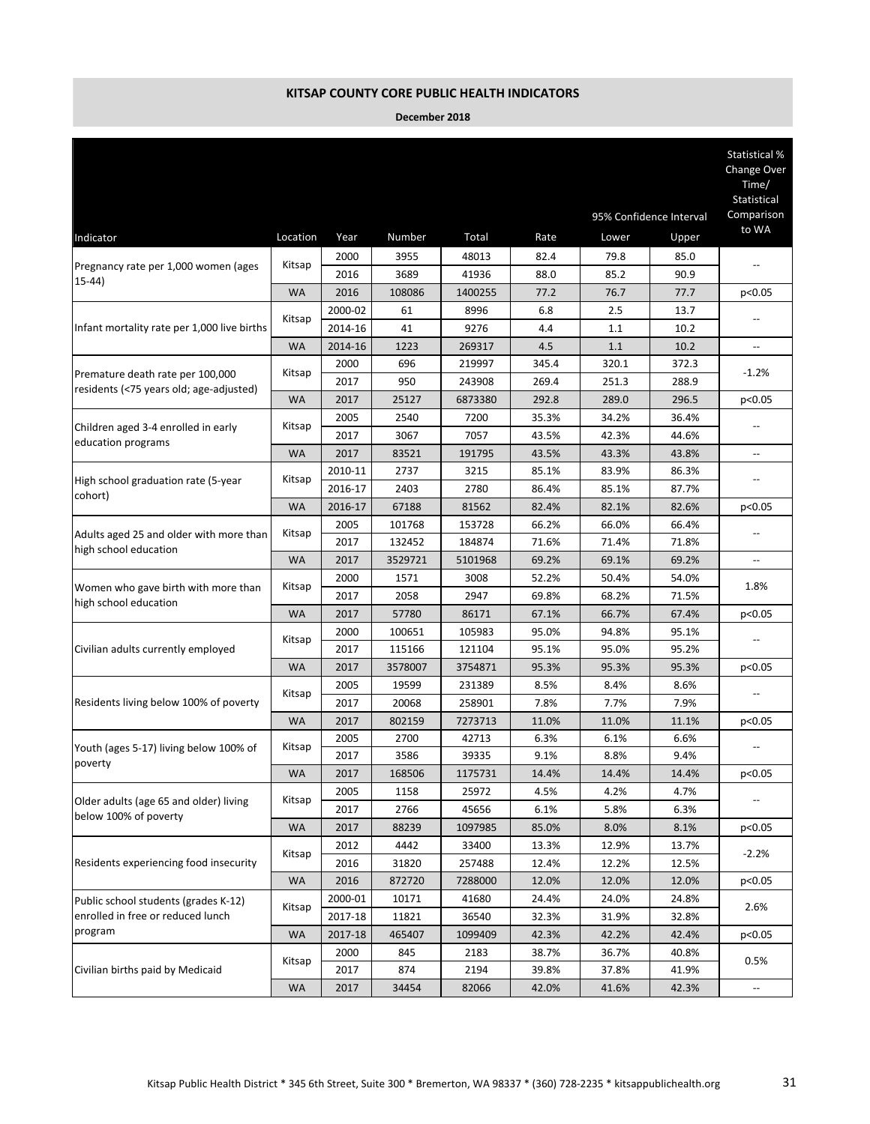|                                                                  |           |              |                  |                   |                |                         |                | Statistical %<br>Change Over<br>Time/<br>Statistical |
|------------------------------------------------------------------|-----------|--------------|------------------|-------------------|----------------|-------------------------|----------------|------------------------------------------------------|
|                                                                  |           |              |                  |                   |                | 95% Confidence Interval | Comparison     |                                                      |
| Indicator                                                        | Location  | Year         | Number           | Total             | Rate           | Lower                   | Upper          | to WA                                                |
|                                                                  | Kitsap    | 2000         | 3955             | 48013             | 82.4           | 79.8                    | 85.0           |                                                      |
| Pregnancy rate per 1,000 women (ages<br>$(15-44)$                |           | 2016         | 3689             | 41936             | 88.0           | 85.2                    | 90.9           |                                                      |
|                                                                  | <b>WA</b> | 2016         | 108086           | 1400255           | 77.2           | 76.7                    | 77.7           | p<0.05                                               |
|                                                                  | Kitsap    | 2000-02      | 61               | 8996              | 6.8            | 2.5                     | 13.7           |                                                      |
| Infant mortality rate per 1,000 live births                      |           | 2014-16      | 41               | 9276              | 4.4            | 1.1                     | 10.2           |                                                      |
|                                                                  | <b>WA</b> | 2014-16      | 1223             | 269317            | 4.5            | 1.1                     | 10.2           | $\overline{\phantom{a}}$                             |
| Premature death rate per 100,000                                 | Kitsap    | 2000         | 696              | 219997            | 345.4          | 320.1                   | 372.3          | $-1.2%$                                              |
| residents (<75 years old; age-adjusted)                          |           | 2017         | 950              | 243908            | 269.4          | 251.3                   | 288.9          |                                                      |
|                                                                  | <b>WA</b> | 2017<br>2005 | 25127<br>2540    | 6873380<br>7200   | 292.8<br>35.3% | 289.0<br>34.2%          | 296.5<br>36.4% | p<0.05                                               |
| Children aged 3-4 enrolled in early                              | Kitsap    | 2017         | 3067             | 7057              | 43.5%          | 42.3%                   | 44.6%          |                                                      |
| education programs                                               | <b>WA</b> | 2017         | 83521            | 191795            | 43.5%          | 43.3%                   | 43.8%          | --                                                   |
|                                                                  |           | 2010-11      | 2737             | 3215              | 85.1%          | 83.9%                   | 86.3%          |                                                      |
| High school graduation rate (5-year                              | Kitsap    | 2016-17      | 2403             | 2780              | 86.4%          | 85.1%                   | 87.7%          |                                                      |
| cohort)                                                          | <b>WA</b> | 2016-17      | 67188            | 81562             | 82.4%          | 82.1%                   | 82.6%          | p<0.05                                               |
| Adults aged 25 and older with more than<br>high school education | Kitsap    | 2005         | 101768           | 153728            | 66.2%          | 66.0%                   | 66.4%          |                                                      |
|                                                                  |           | 2017         | 132452           | 184874            | 71.6%          | 71.4%                   | 71.8%          |                                                      |
|                                                                  | <b>WA</b> | 2017         | 3529721          | 5101968           | 69.2%          | 69.1%                   | 69.2%          | $\overline{\phantom{a}}$                             |
| Women who gave birth with more than                              | Kitsap    | 2000         | 1571             | 3008              | 52.2%          | 50.4%                   | 54.0%          | 1.8%                                                 |
| high school education                                            |           | 2017         | 2058             | 2947              | 69.8%          | 68.2%                   | 71.5%          |                                                      |
|                                                                  | <b>WA</b> | 2017         | 57780            | 86171             | 67.1%          | 66.7%                   | 67.4%          | p<0.05                                               |
|                                                                  | Kitsap    | 2000         | 100651           | 105983            | 95.0%          | 94.8%                   | 95.1%          |                                                      |
| Civilian adults currently employed                               |           | 2017         | 115166           | 121104            | 95.1%          | 95.0%                   | 95.2%          |                                                      |
|                                                                  | <b>WA</b> | 2017<br>2005 | 3578007<br>19599 | 3754871<br>231389 | 95.3%<br>8.5%  | 95.3%<br>8.4%           | 95.3%<br>8.6%  | p<0.05                                               |
| Residents living below 100% of poverty                           | Kitsap    | 2017         | 20068            | 258901            | 7.8%           | 7.7%                    | 7.9%           |                                                      |
|                                                                  | <b>WA</b> | 2017         | 802159           | 7273713           | 11.0%          | 11.0%                   | 11.1%          | p<0.05                                               |
|                                                                  |           | 2005         | 2700             | 42713             | 6.3%           | 6.1%                    | 6.6%           |                                                      |
| Youth (ages 5-17) living below 100% of                           | Kitsap    | 2017         | 3586             | 39335             | 9.1%           | 8.8%                    | 9.4%           |                                                      |
| poverty                                                          | <b>WA</b> | 2017         | 168506           | 1175731           | 14.4%          | 14.4%                   | 14.4%          | p<0.05                                               |
|                                                                  | Kitsap    | 2005         | 1158             | 25972             | 4.5%           | 4.2%                    | 4.7%           |                                                      |
| Older adults (age 65 and older) living<br>below 100% of poverty  |           | 2017         | 2766             | 45656             | 6.1%           | 5.8%                    | 6.3%           |                                                      |
|                                                                  | <b>WA</b> | 2017         | 88239            | 1097985           | 85.0%          | 8.0%                    | 8.1%           | p<0.05                                               |
|                                                                  | Kitsap    | 2012         | 4442             | 33400             | 13.3%          | 12.9%                   | 13.7%          | -2.2%                                                |
| Residents experiencing food insecurity                           |           | 2016         | 31820            | 257488            | 12.4%          | 12.2%                   | 12.5%          |                                                      |
|                                                                  | WA        | 2016         | 872720           | 7288000           | 12.0%          | 12.0%                   | 12.0%          | p<0.05                                               |
| Public school students (grades K-12)                             | Kitsap    | 2000-01      | 10171            | 41680             | 24.4%          | 24.0%                   | 24.8%          | 2.6%                                                 |
| enrolled in free or reduced lunch<br>program                     |           | 2017-18      | 11821            | 36540             | 32.3%          | 31.9%                   | 32.8%          |                                                      |
|                                                                  | <b>WA</b> | 2017-18      | 465407           | 1099409           | 42.3%          | 42.2%                   | 42.4%          | p<0.05                                               |
| Civilian births paid by Medicaid                                 | Kitsap    | 2000<br>2017 | 845<br>874       | 2183<br>2194      | 38.7%<br>39.8% | 36.7%<br>37.8%          | 40.8%<br>41.9% | 0.5%                                                 |
|                                                                  | WA        | 2017         | 34454            | 82066             | 42.0%          | 41.6%                   | 42.3%          | $\overline{\phantom{a}}$                             |
|                                                                  |           |              |                  |                   |                |                         |                |                                                      |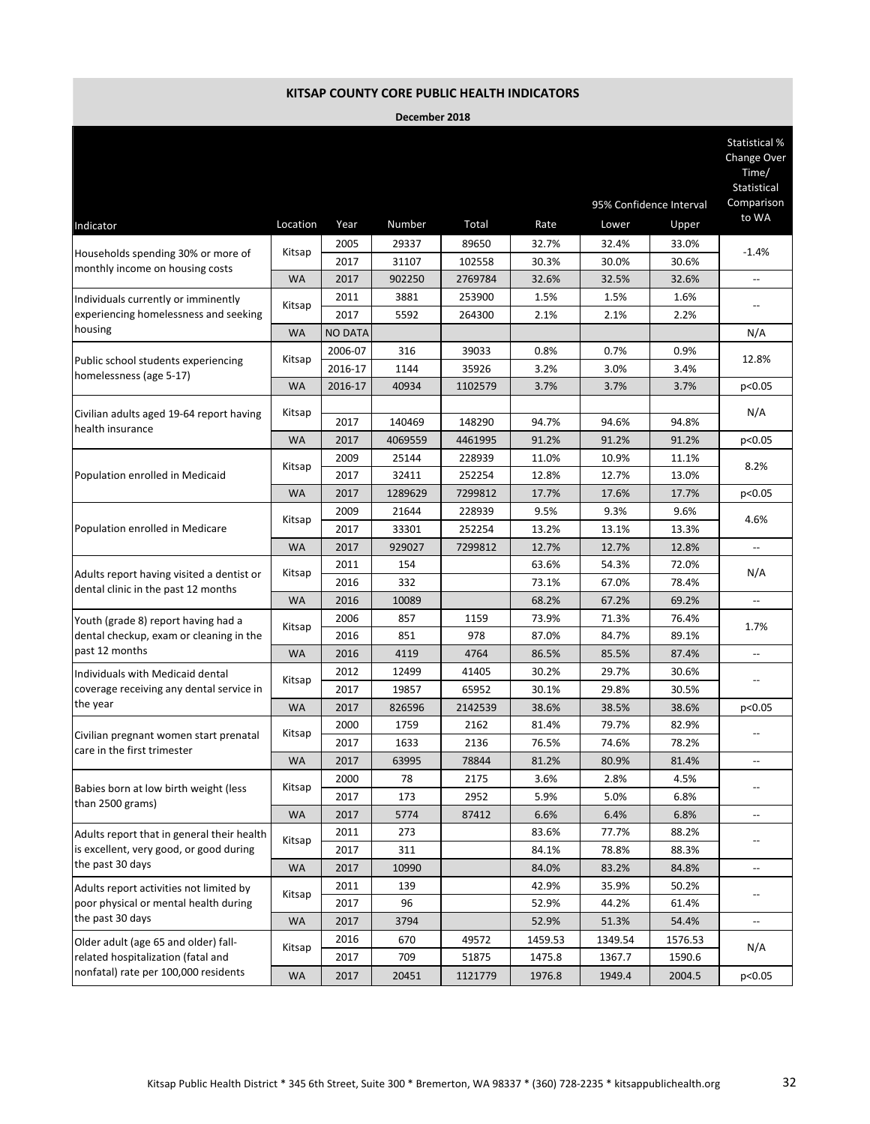|                                                                            |           |                |            |         |         | 95% Confidence Interval |         | Statistical %<br>Change Over<br>Time/<br>Statistical<br>Comparison |
|----------------------------------------------------------------------------|-----------|----------------|------------|---------|---------|-------------------------|---------|--------------------------------------------------------------------|
| Indicator                                                                  | Location  | Year           | Number     | Total   | Rate    | Lower                   | Upper   | to WA                                                              |
|                                                                            |           | 2005           | 29337      | 89650   | 32.7%   | 32.4%                   | 33.0%   |                                                                    |
| Households spending 30% or more of                                         | Kitsap    | 2017           | 31107      | 102558  | 30.3%   | 30.0%                   | 30.6%   | $-1.4%$                                                            |
| monthly income on housing costs                                            | <b>WA</b> | 2017           | 902250     | 2769784 | 32.6%   | 32.5%                   | 32.6%   | --                                                                 |
| Individuals currently or imminently                                        |           | 2011           | 3881       | 253900  | 1.5%    | 1.5%                    | 1.6%    |                                                                    |
| experiencing homelessness and seeking                                      | Kitsap    | 2017           | 5592       | 264300  | 2.1%    | 2.1%                    | 2.2%    | $\overline{a}$                                                     |
| housing                                                                    | <b>WA</b> | <b>NO DATA</b> |            |         |         |                         |         | N/A                                                                |
|                                                                            |           | 2006-07        | 316        | 39033   | 0.8%    | 0.7%                    | 0.9%    |                                                                    |
| Public school students experiencing                                        | Kitsap    | 2016-17        | 1144       | 35926   | 3.2%    | 3.0%                    | 3.4%    | 12.8%                                                              |
| homelessness (age 5-17)                                                    | <b>WA</b> | 2016-17        | 40934      | 1102579 | 3.7%    | 3.7%                    | 3.7%    | p<0.05                                                             |
|                                                                            |           |                |            |         |         |                         |         | N/A                                                                |
| Civilian adults aged 19-64 report having<br>health insurance               | Kitsap    | 2017           | 140469     | 148290  | 94.7%   | 94.6%                   | 94.8%   |                                                                    |
|                                                                            | <b>WA</b> | 2017           | 4069559    | 4461995 | 91.2%   | 91.2%                   | 91.2%   | p<0.05                                                             |
|                                                                            | Kitsap    | 2009           | 25144      | 228939  | 11.0%   | 10.9%                   | 11.1%   | 8.2%                                                               |
| Population enrolled in Medicaid                                            |           | 2017           | 32411      | 252254  | 12.8%   | 12.7%                   | 13.0%   |                                                                    |
|                                                                            | <b>WA</b> | 2017           | 1289629    | 7299812 | 17.7%   | 17.6%                   | 17.7%   | p<0.05                                                             |
| Population enrolled in Medicare                                            | Kitsap    | 2009           | 21644      | 228939  | 9.5%    | 9.3%                    | 9.6%    | 4.6%                                                               |
|                                                                            |           | 2017           | 33301      | 252254  | 13.2%   | 13.1%                   | 13.3%   |                                                                    |
|                                                                            | <b>WA</b> | 2017           | 929027     | 7299812 | 12.7%   | 12.7%                   | 12.8%   | $\overline{\phantom{a}}$                                           |
| Adults report having visited a dentist or                                  | Kitsap    | 2011           | 154        |         | 63.6%   | 54.3%                   | 72.0%   | N/A                                                                |
| dental clinic in the past 12 months                                        |           | 2016           | 332        |         | 73.1%   | 67.0%                   | 78.4%   |                                                                    |
|                                                                            | <b>WA</b> | 2016           | 10089      |         | 68.2%   | 67.2%                   | 69.2%   | $\overline{a}$                                                     |
| Youth (grade 8) report having had a                                        | Kitsap    | 2006           | 857        | 1159    | 73.9%   | 71.3%                   | 76.4%   | 1.7%                                                               |
| dental checkup, exam or cleaning in the                                    |           | 2016           | 851        | 978     | 87.0%   | 84.7%                   | 89.1%   |                                                                    |
| past 12 months                                                             | <b>WA</b> | 2016           | 4119       | 4764    | 86.5%   | 85.5%                   | 87.4%   | --                                                                 |
| Individuals with Medicaid dental                                           | Kitsap    | 2012           | 12499      | 41405   | 30.2%   | 29.7%                   | 30.6%   |                                                                    |
| coverage receiving any dental service in                                   |           | 2017           | 19857      | 65952   | 30.1%   | 29.8%                   | 30.5%   |                                                                    |
| the year                                                                   | <b>WA</b> | 2017           | 826596     | 2142539 | 38.6%   | 38.5%                   | 38.6%   | p<0.05                                                             |
| Civilian pregnant women start prenatal                                     | Kitsap    | 2000           | 1759       | 2162    | 81.4%   | 79.7%                   | 82.9%   |                                                                    |
| care in the first trimester                                                |           | 2017           | 1633       | 2136    | 76.5%   | 74.6%                   | 78.2%   |                                                                    |
|                                                                            | <b>WA</b> | 2017           | 63995      | 78844   | 81.2%   | 80.9%                   | 81.4%   |                                                                    |
| Babies born at low birth weight (less                                      | Kitsap    | 2000           | 78         | 2175    | 3.6%    | 2.8%                    | 4.5%    |                                                                    |
| than 2500 grams)                                                           |           | 2017           | 173        | 2952    | 5.9%    | 5.0%                    | 6.8%    |                                                                    |
|                                                                            | <b>WA</b> | 2017           | 5774       | 87412   | 6.6%    | 6.4%                    | 6.8%    | --                                                                 |
| Adults report that in general their health                                 | Kitsap    | 2011           | 273        |         | 83.6%   | 77.7%                   | 88.2%   |                                                                    |
| is excellent, very good, or good during<br>the past 30 days                |           | 2017           | 311        |         | 84.1%   | 78.8%                   | 88.3%   |                                                                    |
|                                                                            | WA        | 2017           | 10990      |         | 84.0%   | 83.2%                   | 84.8%   | --                                                                 |
| Adults report activities not limited by                                    | Kitsap    | 2011           | 139        |         | 42.9%   | 35.9%                   | 50.2%   | --                                                                 |
| poor physical or mental health during<br>the past 30 days                  |           | 2017           | 96         |         | 52.9%   | 44.2%                   | 61.4%   |                                                                    |
|                                                                            | <b>WA</b> | 2017           | 3794       |         | 52.9%   | 51.3%                   | 54.4%   | $\overline{\phantom{a}}$                                           |
| Older adult (age 65 and older) fall-                                       | Kitsap    | 2016           | 670<br>709 | 49572   | 1459.53 | 1349.54                 | 1576.53 | N/A                                                                |
| related hospitalization (fatal and<br>nonfatal) rate per 100,000 residents |           | 2017           |            | 51875   | 1475.8  | 1367.7                  | 1590.6  |                                                                    |
|                                                                            | <b>WA</b> | 2017           | 20451      | 1121779 | 1976.8  | 1949.4                  | 2004.5  | p<0.05                                                             |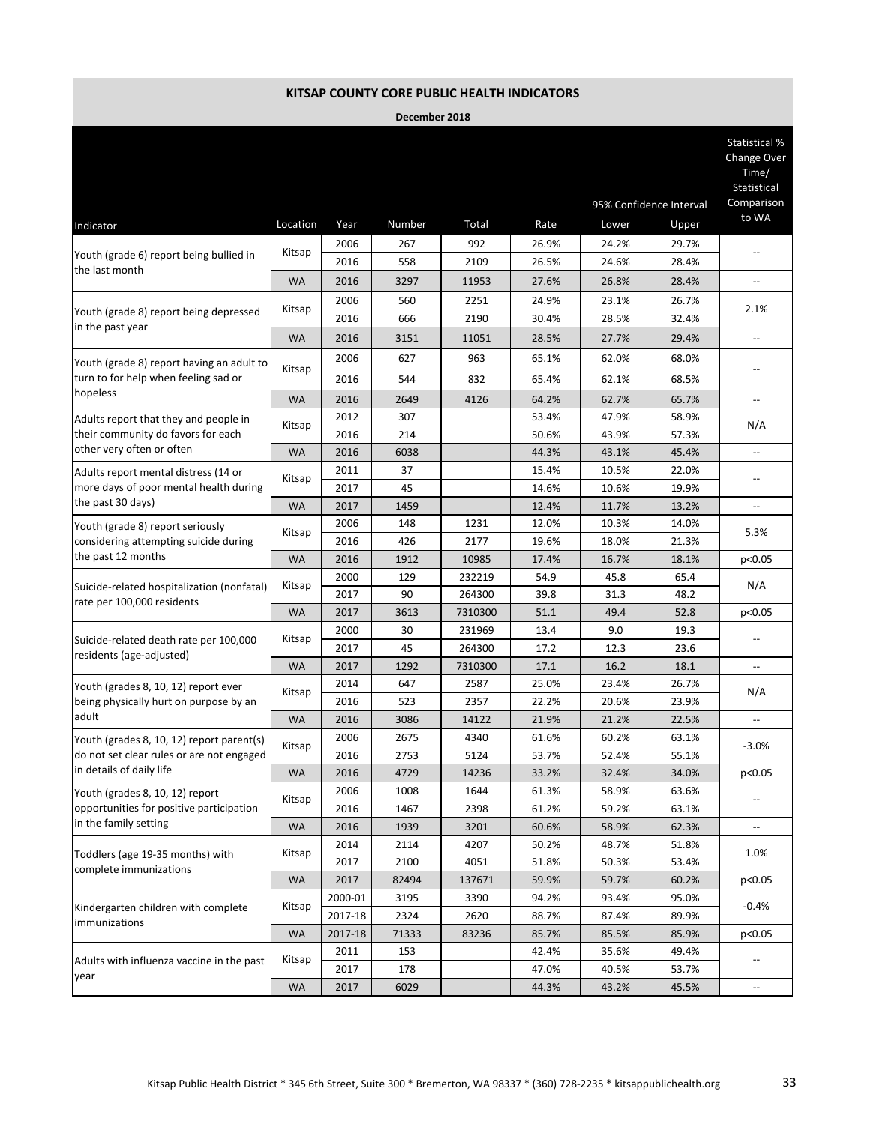|                                                                                                 |           |         |        |         |       |       |                         | Statistical %<br>Change Over<br>Time/<br>Statistical |
|-------------------------------------------------------------------------------------------------|-----------|---------|--------|---------|-------|-------|-------------------------|------------------------------------------------------|
|                                                                                                 |           |         |        |         |       |       | 95% Confidence Interval | Comparison<br>to WA                                  |
| Indicator                                                                                       | Location  | Year    | Number | Total   | Rate  | Lower | Upper                   |                                                      |
| Youth (grade 6) report being bullied in                                                         | Kitsap    | 2006    | 267    | 992     | 26.9% | 24.2% | 29.7%                   |                                                      |
| the last month                                                                                  |           | 2016    | 558    | 2109    | 26.5% | 24.6% | 28.4%                   |                                                      |
|                                                                                                 | <b>WA</b> | 2016    | 3297   | 11953   | 27.6% | 26.8% | 28.4%                   | --                                                   |
|                                                                                                 | Kitsap    | 2006    | 560    | 2251    | 24.9% | 23.1% | 26.7%                   | 2.1%                                                 |
| Youth (grade 8) report being depressed<br>in the past year                                      |           | 2016    | 666    | 2190    | 30.4% | 28.5% | 32.4%                   |                                                      |
|                                                                                                 | <b>WA</b> | 2016    | 3151   | 11051   | 28.5% | 27.7% | 29.4%                   | $\overline{a}$                                       |
| Youth (grade 8) report having an adult to                                                       |           | 2006    | 627    | 963     | 65.1% | 62.0% | 68.0%                   |                                                      |
| turn to for help when feeling sad or                                                            | Kitsap    | 2016    | 544    | 832     | 65.4% | 62.1% | 68.5%                   |                                                      |
| hopeless                                                                                        | <b>WA</b> | 2016    | 2649   | 4126    | 64.2% | 62.7% | 65.7%                   | --                                                   |
| Adults report that they and people in                                                           |           | 2012    | 307    |         | 53.4% | 47.9% | 58.9%                   |                                                      |
| their community do favors for each                                                              | Kitsap    | 2016    | 214    |         | 50.6% | 43.9% | 57.3%                   | N/A                                                  |
| other very often or often                                                                       | <b>WA</b> | 2016    | 6038   |         | 44.3% | 43.1% | 45.4%                   | --                                                   |
| Adults report mental distress (14 or                                                            |           | 2011    | 37     |         | 15.4% | 10.5% | 22.0%                   |                                                      |
| more days of poor mental health during                                                          | Kitsap    | 2017    | 45     |         | 14.6% | 10.6% | 19.9%                   | --                                                   |
| the past 30 days)                                                                               | <b>WA</b> | 2017    | 1459   |         | 12.4% | 11.7% | 13.2%                   |                                                      |
| Youth (grade 8) report seriously<br>considering attempting suicide during<br>the past 12 months | Kitsap    | 2006    | 148    | 1231    | 12.0% | 10.3% | 14.0%                   | 5.3%                                                 |
|                                                                                                 |           | 2016    | 426    | 2177    | 19.6% | 18.0% | 21.3%                   |                                                      |
|                                                                                                 | <b>WA</b> | 2016    | 1912   | 10985   | 17.4% | 16.7% | 18.1%                   | p<0.05                                               |
|                                                                                                 | Kitsap    | 2000    | 129    | 232219  | 54.9  | 45.8  | 65.4                    | N/A                                                  |
| Suicide-related hospitalization (nonfatal)<br>rate per 100,000 residents                        |           | 2017    | 90     | 264300  | 39.8  | 31.3  | 48.2                    |                                                      |
|                                                                                                 | <b>WA</b> | 2017    | 3613   | 7310300 | 51.1  | 49.4  | 52.8                    | p<0.05                                               |
|                                                                                                 | Kitsap    | 2000    | 30     | 231969  | 13.4  | 9.0   | 19.3                    |                                                      |
| Suicide-related death rate per 100,000<br>residents (age-adjusted)                              |           | 2017    | 45     | 264300  | 17.2  | 12.3  | 23.6                    |                                                      |
|                                                                                                 | <b>WA</b> | 2017    | 1292   | 7310300 | 17.1  | 16.2  | 18.1                    | $\overline{\phantom{a}}$                             |
| Youth (grades 8, 10, 12) report ever                                                            | Kitsap    | 2014    | 647    | 2587    | 25.0% | 23.4% | 26.7%                   | N/A                                                  |
| being physically hurt on purpose by an                                                          |           | 2016    | 523    | 2357    | 22.2% | 20.6% | 23.9%                   |                                                      |
| adult                                                                                           | <b>WA</b> | 2016    | 3086   | 14122   | 21.9% | 21.2% | 22.5%                   |                                                      |
| Youth (grades 8, 10, 12) report parent(s)                                                       | Kitsap    | 2006    | 2675   | 4340    | 61.6% | 60.2% | 63.1%                   | $-3.0%$                                              |
| do not set clear rules or are not engaged                                                       |           | 2016    | 2753   | 5124    | 53.7% | 52.4% | 55.1%                   |                                                      |
| in details of daily life                                                                        | WA        | 2016    | 4729   | 14236   | 33.2% | 32.4% | 34.0%                   | p<0.05                                               |
| Youth (grades 8, 10, 12) report                                                                 | Kitsap    | 2006    | 1008   | 1644    | 61.3% | 58.9% | 63.6%                   |                                                      |
| opportunities for positive participation                                                        |           | 2016    | 1467   | 2398    | 61.2% | 59.2% | 63.1%                   |                                                      |
| in the family setting                                                                           | <b>WA</b> | 2016    | 1939   | 3201    | 60.6% | 58.9% | 62.3%                   | --                                                   |
| Toddlers (age 19-35 months) with                                                                | Kitsap    | 2014    | 2114   | 4207    | 50.2% | 48.7% | 51.8%                   | 1.0%                                                 |
| complete immunizations                                                                          |           | 2017    | 2100   | 4051    | 51.8% | 50.3% | 53.4%                   |                                                      |
|                                                                                                 | <b>WA</b> | 2017    | 82494  | 137671  | 59.9% | 59.7% | 60.2%                   | p<0.05                                               |
| Kindergarten children with complete                                                             | Kitsap    | 2000-01 | 3195   | 3390    | 94.2% | 93.4% | 95.0%                   | $-0.4%$                                              |
| immunizations                                                                                   |           | 2017-18 | 2324   | 2620    | 88.7% | 87.4% | 89.9%                   |                                                      |
|                                                                                                 | <b>WA</b> | 2017-18 | 71333  | 83236   | 85.7% | 85.5% | 85.9%                   | p<0.05                                               |
| Adults with influenza vaccine in the past                                                       | Kitsap    | 2011    | 153    |         | 42.4% | 35.6% | 49.4%                   |                                                      |
| year                                                                                            |           | 2017    | 178    |         | 47.0% | 40.5% | 53.7%                   |                                                      |
|                                                                                                 | <b>WA</b> | 2017    | 6029   |         | 44.3% | 43.2% | 45.5%                   | $\overline{\phantom{a}}$                             |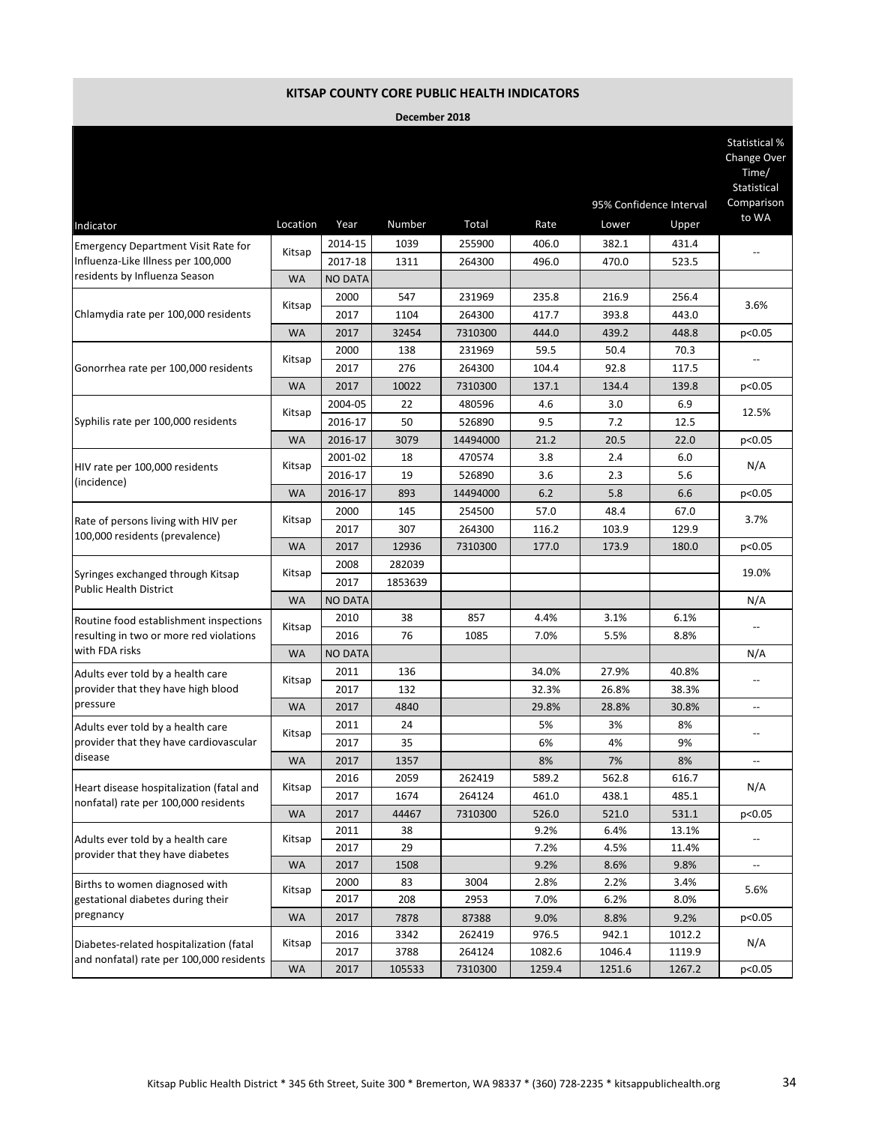|                                                                       |           |                |         |          |        |        |                         | Statistical %<br>Change Over<br>Time/<br>Statistical |
|-----------------------------------------------------------------------|-----------|----------------|---------|----------|--------|--------|-------------------------|------------------------------------------------------|
|                                                                       |           |                |         |          |        |        | 95% Confidence Interval | Comparison<br>to WA                                  |
| Indicator                                                             | Location  | Year           | Number  | Total    | Rate   | Lower  | Upper                   |                                                      |
| <b>Emergency Department Visit Rate for</b>                            | Kitsap    | 2014-15        | 1039    | 255900   | 406.0  | 382.1  | 431.4                   |                                                      |
| Influenza-Like Illness per 100,000<br>residents by Influenza Season   |           | 2017-18        | 1311    | 264300   | 496.0  | 470.0  | 523.5                   |                                                      |
|                                                                       | <b>WA</b> | <b>NO DATA</b> |         |          |        |        |                         |                                                      |
| Chlamydia rate per 100,000 residents                                  | Kitsap    | 2000           | 547     | 231969   | 235.8  | 216.9  | 256.4                   | 3.6%                                                 |
|                                                                       |           | 2017           | 1104    | 264300   | 417.7  | 393.8  | 443.0                   |                                                      |
|                                                                       | <b>WA</b> | 2017           | 32454   | 7310300  | 444.0  | 439.2  | 448.8                   | p<0.05                                               |
|                                                                       | Kitsap    | 2000           | 138     | 231969   | 59.5   | 50.4   | 70.3                    |                                                      |
| Gonorrhea rate per 100,000 residents                                  |           | 2017           | 276     | 264300   | 104.4  | 92.8   | 117.5                   |                                                      |
|                                                                       | <b>WA</b> | 2017           | 10022   | 7310300  | 137.1  | 134.4  | 139.8                   | p<0.05                                               |
|                                                                       | Kitsap    | 2004-05        | 22      | 480596   | 4.6    | 3.0    | 6.9                     | 12.5%                                                |
| Syphilis rate per 100,000 residents                                   |           | 2016-17        | 50      | 526890   | 9.5    | 7.2    | 12.5                    |                                                      |
|                                                                       | <b>WA</b> | 2016-17        | 3079    | 14494000 | 21.2   | 20.5   | 22.0                    | p<0.05                                               |
|                                                                       |           | 2001-02        | 18      | 470574   | 3.8    | 2.4    | 6.0                     | N/A                                                  |
| HIV rate per 100,000 residents<br>(incidence)                         | Kitsap    | 2016-17        | 19      | 526890   | 3.6    | 2.3    | 5.6                     |                                                      |
|                                                                       | <b>WA</b> | 2016-17        | 893     | 14494000 | 6.2    | 5.8    | 6.6                     | p<0.05                                               |
| Rate of persons living with HIV per<br>100,000 residents (prevalence) |           | 2000           | 145     | 254500   | 57.0   | 48.4   | 67.0                    |                                                      |
|                                                                       | Kitsap    | 2017           | 307     | 264300   | 116.2  | 103.9  | 129.9                   | 3.7%                                                 |
|                                                                       | <b>WA</b> | 2017           | 12936   | 7310300  | 177.0  | 173.9  | 180.0                   | p<0.05                                               |
|                                                                       |           | 2008           | 282039  |          |        |        |                         |                                                      |
| Syringes exchanged through Kitsap                                     | Kitsap    | 2017           | 1853639 |          |        |        |                         | 19.0%                                                |
| <b>Public Health District</b>                                         | <b>WA</b> | <b>NO DATA</b> |         |          |        |        |                         | N/A                                                  |
| Routine food establishment inspections                                |           | 2010           | 38      | 857      | 4.4%   | 3.1%   | 6.1%                    |                                                      |
| resulting in two or more red violations                               | Kitsap    | 2016           | 76      | 1085     | 7.0%   | 5.5%   | 8.8%                    |                                                      |
| with FDA risks                                                        | <b>WA</b> | <b>NO DATA</b> |         |          |        |        |                         | N/A                                                  |
| Adults ever told by a health care                                     |           | 2011           | 136     |          | 34.0%  | 27.9%  | 40.8%                   |                                                      |
| provider that they have high blood                                    | Kitsap    | 2017           | 132     |          | 32.3%  | 26.8%  | 38.3%                   |                                                      |
| pressure                                                              | <b>WA</b> | 2017           | 4840    |          | 29.8%  | 28.8%  | 30.8%                   | --                                                   |
| Adults ever told by a health care                                     |           | 2011           | 24      |          | 5%     | 3%     | 8%                      |                                                      |
| provider that they have cardiovascular                                | Kitsap    | 2017           | 35      |          | 6%     | 4%     | 9%                      |                                                      |
| disease                                                               | <b>WA</b> | 2017           | 1357    |          | 8%     | 7%     | 8%                      |                                                      |
|                                                                       |           | 2016           | 2059    | 262419   | 589.2  | 562.8  | 616.7                   |                                                      |
| Heart disease hospitalization (fatal and                              | Kitsap    | 2017           | 1674    | 264124   | 461.0  | 438.1  | 485.1                   | N/A                                                  |
| nonfatal) rate per 100,000 residents                                  | <b>WA</b> | 2017           | 44467   | 7310300  | 526.0  | 521.0  | 531.1                   | p<0.05                                               |
|                                                                       |           | 2011           | 38      |          | 9.2%   | 6.4%   | 13.1%                   |                                                      |
| Adults ever told by a health care                                     | Kitsap    | 2017           | 29      |          | 7.2%   | 4.5%   | 11.4%                   |                                                      |
| provider that they have diabetes                                      | <b>WA</b> | 2017           | 1508    |          | 9.2%   | 8.6%   | 9.8%                    |                                                      |
| Births to women diagnosed with                                        |           | 2000           | 83      | 3004     | 2.8%   | 2.2%   | 3.4%                    |                                                      |
| gestational diabetes during their                                     | Kitsap    | 2017           | 208     | 2953     | 7.0%   | 6.2%   | 8.0%                    | 5.6%                                                 |
| pregnancy                                                             | WA        | 2017           | 7878    | 87388    | 9.0%   | 8.8%   | 9.2%                    | p<0.05                                               |
|                                                                       |           | 2016           | 3342    | 262419   | 976.5  | 942.1  | 1012.2                  |                                                      |
| Diabetes-related hospitalization (fatal                               | Kitsap    | 2017           | 3788    | 264124   | 1082.6 | 1046.4 | 1119.9                  | N/A                                                  |
| and nonfatal) rate per 100,000 residents                              | <b>WA</b> | 2017           | 105533  | 7310300  | 1259.4 | 1251.6 | 1267.2                  | p<0.05                                               |
|                                                                       |           |                |         |          |        |        |                         |                                                      |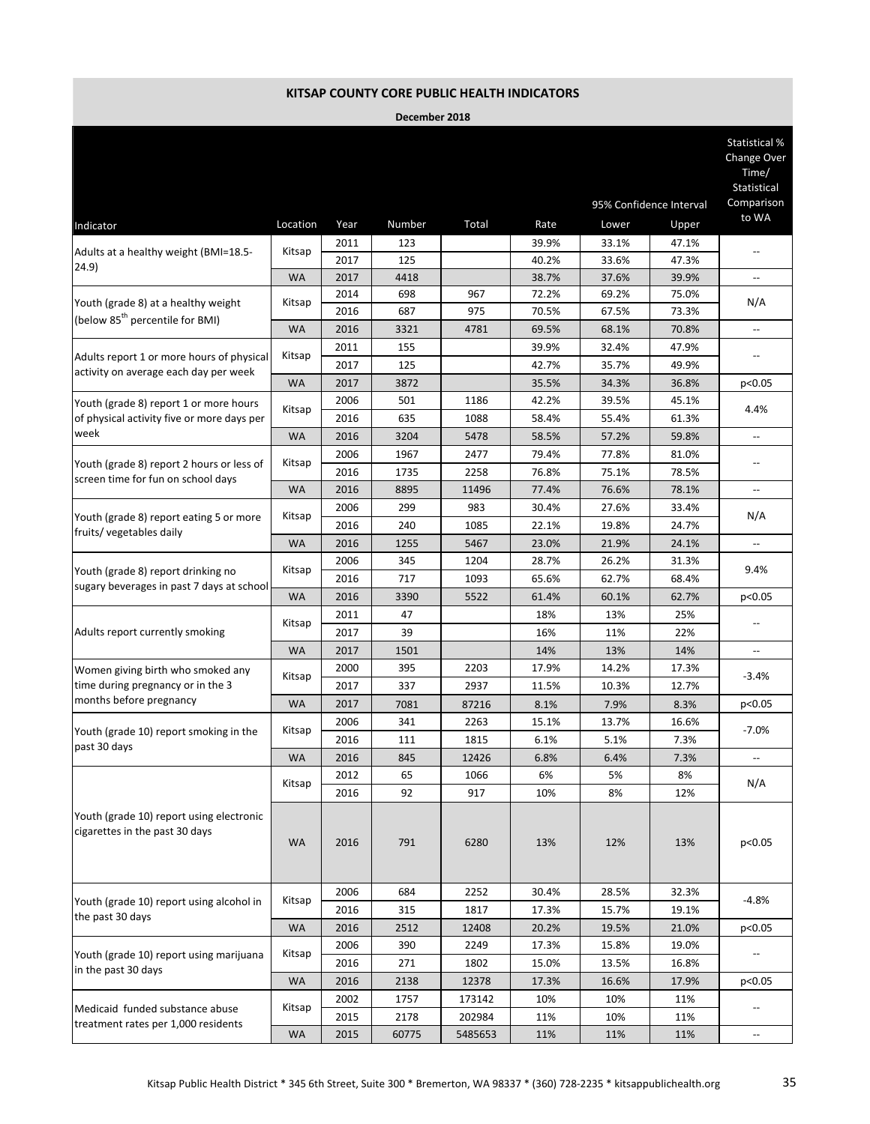|                                                                                    |           |      |        |         |       |       |                         | Statistical %<br>Change Over<br>Time/<br>Statistical |
|------------------------------------------------------------------------------------|-----------|------|--------|---------|-------|-------|-------------------------|------------------------------------------------------|
|                                                                                    |           |      |        |         |       |       | 95% Confidence Interval | Comparison                                           |
| Indicator                                                                          | Location  | Year | Number | Total   | Rate  | Lower | Upper                   | to WA                                                |
|                                                                                    |           | 2011 | 123    |         | 39.9% | 33.1% | 47.1%                   |                                                      |
| Adults at a healthy weight (BMI=18.5-<br>24.9)                                     | Kitsap    | 2017 | 125    |         | 40.2% | 33.6% | 47.3%                   |                                                      |
|                                                                                    | <b>WA</b> | 2017 | 4418   |         | 38.7% | 37.6% | 39.9%                   | $\overline{\phantom{a}}$                             |
| Youth (grade 8) at a healthy weight                                                | Kitsap    | 2014 | 698    | 967     | 72.2% | 69.2% | 75.0%                   | N/A                                                  |
| (below 85 <sup>th</sup> percentile for BMI)                                        |           | 2016 | 687    | 975     | 70.5% | 67.5% | 73.3%                   |                                                      |
|                                                                                    | <b>WA</b> | 2016 | 3321   | 4781    | 69.5% | 68.1% | 70.8%                   | ÷-                                                   |
|                                                                                    | Kitsap    | 2011 | 155    |         | 39.9% | 32.4% | 47.9%                   |                                                      |
| Adults report 1 or more hours of physical<br>activity on average each day per week |           | 2017 | 125    |         | 42.7% | 35.7% | 49.9%                   |                                                      |
|                                                                                    | <b>WA</b> | 2017 | 3872   |         | 35.5% | 34.3% | 36.8%                   | p<0.05                                               |
| Youth (grade 8) report 1 or more hours                                             |           | 2006 | 501    | 1186    | 42.2% | 39.5% | 45.1%                   |                                                      |
| of physical activity five or more days per                                         | Kitsap    | 2016 | 635    | 1088    | 58.4% | 55.4% | 61.3%                   | 4.4%                                                 |
| week                                                                               | <b>WA</b> | 2016 | 3204   | 5478    | 58.5% | 57.2% | 59.8%                   | $\overline{\phantom{a}}$                             |
|                                                                                    |           | 2006 | 1967   | 2477    | 79.4% | 77.8% | 81.0%                   |                                                      |
| Youth (grade 8) report 2 hours or less of<br>screen time for fun on school days    | Kitsap    | 2016 | 1735   | 2258    | 76.8% | 75.1% | 78.5%                   |                                                      |
|                                                                                    | <b>WA</b> | 2016 | 8895   | 11496   | 77.4% | 76.6% | 78.1%                   | $\overline{\phantom{a}}$                             |
| Youth (grade 8) report eating 5 or more                                            |           | 2006 | 299    | 983     | 30.4% | 27.6% | 33.4%                   |                                                      |
|                                                                                    | Kitsap    | 2016 | 240    | 1085    | 22.1% | 19.8% | 24.7%                   | N/A                                                  |
| fruits/vegetables daily                                                            | <b>WA</b> | 2016 | 1255   | 5467    | 23.0% | 21.9% | 24.1%                   | u.                                                   |
|                                                                                    |           | 2006 | 345    | 1204    | 28.7% | 26.2% | 31.3%                   |                                                      |
| Youth (grade 8) report drinking no<br>sugary beverages in past 7 days at school    | Kitsap    | 2016 | 717    | 1093    | 65.6% | 62.7% | 68.4%                   | 9.4%                                                 |
|                                                                                    | <b>WA</b> | 2016 | 3390   | 5522    | 61.4% | 60.1% | 62.7%                   | p<0.05                                               |
|                                                                                    |           | 2011 | 47     |         | 18%   | 13%   | 25%                     |                                                      |
| Adults report currently smoking                                                    | Kitsap    | 2017 | 39     |         | 16%   | 11%   | 22%                     |                                                      |
|                                                                                    | <b>WA</b> | 2017 | 1501   |         | 14%   | 13%   | 14%                     | --                                                   |
| Women giving birth who smoked any                                                  |           | 2000 | 395    | 2203    | 17.9% | 14.2% | 17.3%                   |                                                      |
| time during pregnancy or in the 3                                                  | Kitsap    | 2017 | 337    | 2937    | 11.5% | 10.3% | 12.7%                   | $-3.4%$                                              |
| months before pregnancy                                                            | <b>WA</b> | 2017 | 7081   | 87216   | 8.1%  | 7.9%  | 8.3%                    | p<0.05                                               |
|                                                                                    |           | 2006 | 341    | 2263    | 15.1% | 13.7% | 16.6%                   |                                                      |
| Youth (grade 10) report smoking in the                                             | Kitsap    | 2016 | 111    | 1815    | 6.1%  | 5.1%  | 7.3%                    | $-7.0%$                                              |
| past 30 days                                                                       | <b>WA</b> | 2016 | 845    | 12426   | 6.8%  | 6.4%  | 7.3%                    | $\overline{\phantom{a}}$                             |
|                                                                                    |           | 2012 | 65     | 1066    | 6%    | 5%    | 8%                      |                                                      |
|                                                                                    | Kitsap    | 2016 | 92     | 917     | 10%   | 8%    | 12%                     | N/A                                                  |
| Youth (grade 10) report using electronic<br>cigarettes in the past 30 days         | <b>WA</b> | 2016 | 791    | 6280    | 13%   | 12%   | 13%                     | p<0.05                                               |
|                                                                                    |           | 2006 | 684    | 2252    | 30.4% | 28.5% | 32.3%                   |                                                      |
| Youth (grade 10) report using alcohol in                                           | Kitsap    | 2016 | 315    | 1817    | 17.3% | 15.7% | 19.1%                   | $-4.8%$                                              |
| the past 30 days                                                                   | <b>WA</b> | 2016 | 2512   | 12408   | 20.2% | 19.5% | 21.0%                   | p<0.05                                               |
|                                                                                    |           | 2006 | 390    | 2249    | 17.3% | 15.8% | 19.0%                   |                                                      |
| Youth (grade 10) report using marijuana                                            | Kitsap    | 2016 | 271    | 1802    | 15.0% | 13.5% | 16.8%                   |                                                      |
| in the past 30 days                                                                | <b>WA</b> | 2016 | 2138   | 12378   | 17.3% | 16.6% | 17.9%                   | p<0.05                                               |
|                                                                                    |           | 2002 | 1757   | 173142  | 10%   | 10%   | 11%                     |                                                      |
| Medicaid funded substance abuse                                                    | Kitsap    | 2015 | 2178   | 202984  | 11%   | 10%   | 11%                     |                                                      |
| treatment rates per 1,000 residents                                                | WA        | 2015 | 60775  | 5485653 | 11%   | 11%   | 11%                     | $\overline{\phantom{a}}$                             |
|                                                                                    |           |      |        |         |       |       |                         |                                                      |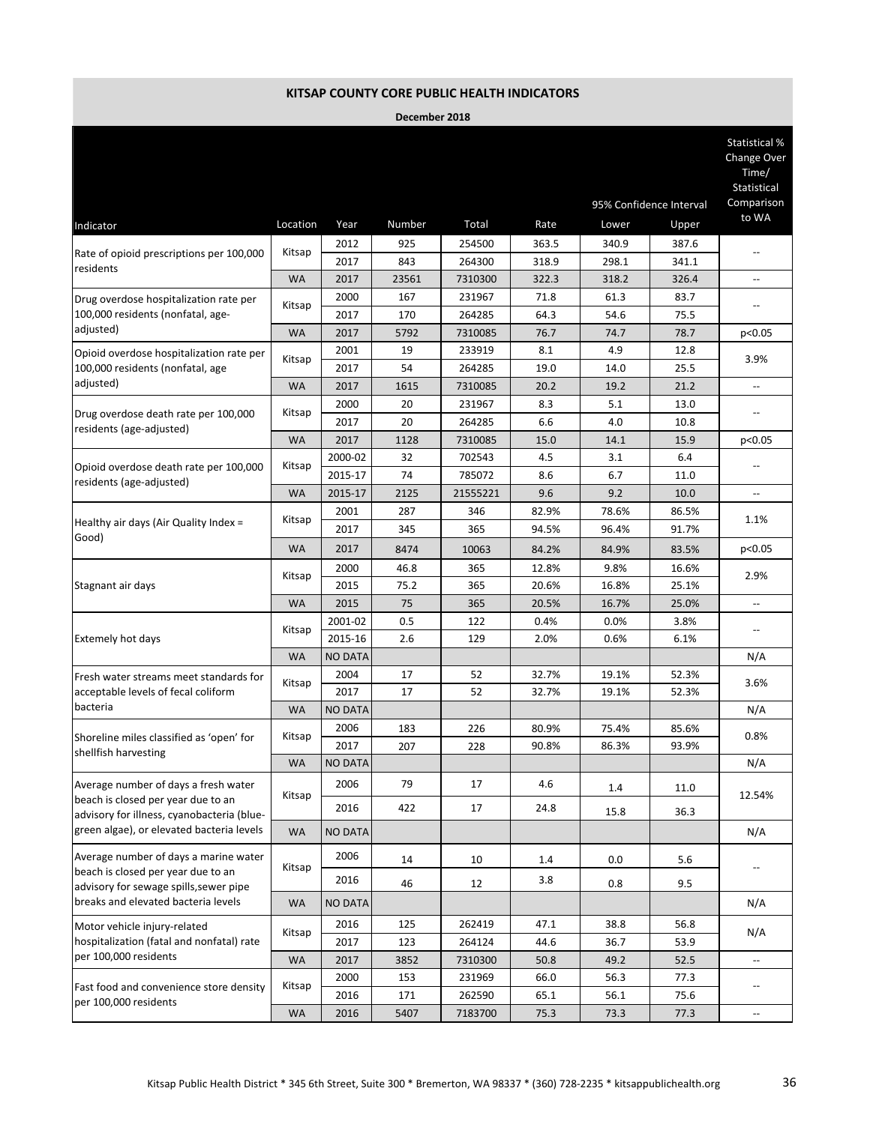|                                                                  |           |                |        |          |       |                         |       | Change Over<br>Time/<br><b>Statistical</b> |  |
|------------------------------------------------------------------|-----------|----------------|--------|----------|-------|-------------------------|-------|--------------------------------------------|--|
|                                                                  |           |                |        |          |       | 95% Confidence Interval |       |                                            |  |
| Indicator                                                        | Location  | Year           | Number | Total    | Rate  | Lower                   | Upper | to WA                                      |  |
|                                                                  |           | 2012           | 925    | 254500   | 363.5 | 340.9                   | 387.6 |                                            |  |
| Rate of opioid prescriptions per 100,000                         | Kitsap    | 2017           | 843    | 264300   | 318.9 | 298.1                   | 341.1 |                                            |  |
| residents                                                        | <b>WA</b> | 2017           | 23561  | 7310300  | 322.3 | 318.2                   | 326.4 | $\overline{\phantom{a}}$                   |  |
| Drug overdose hospitalization rate per                           |           | 2000           | 167    | 231967   | 71.8  | 61.3                    | 83.7  |                                            |  |
| 100,000 residents (nonfatal, age-                                | Kitsap    | 2017           | 170    | 264285   | 64.3  | 54.6                    | 75.5  |                                            |  |
| adjusted)                                                        | <b>WA</b> | 2017           | 5792   | 7310085  | 76.7  | 74.7                    | 78.7  | p<0.05                                     |  |
| Opioid overdose hospitalization rate per                         |           | 2001           | 19     | 233919   | 8.1   | 4.9                     | 12.8  |                                            |  |
| 100,000 residents (nonfatal, age                                 | Kitsap    | 2017           | 54     | 264285   | 19.0  | 14.0                    | 25.5  | 3.9%                                       |  |
| adjusted)                                                        | <b>WA</b> | 2017           | 1615   | 7310085  | 20.2  | 19.2                    | 21.2  |                                            |  |
|                                                                  |           | 2000           | 20     | 231967   | 8.3   | 5.1                     | 13.0  |                                            |  |
| Drug overdose death rate per 100,000<br>residents (age-adjusted) | Kitsap    | 2017           | 20     | 264285   | 6.6   | 4.0                     | 10.8  |                                            |  |
|                                                                  | <b>WA</b> | 2017           | 1128   | 7310085  | 15.0  | 14.1                    | 15.9  | p<0.05                                     |  |
|                                                                  |           | 2000-02        | 32     | 702543   | 4.5   | 3.1                     | 6.4   |                                            |  |
| Opioid overdose death rate per 100,000                           | Kitsap    | 2015-17        | 74     | 785072   | 8.6   | 6.7                     | 11.0  |                                            |  |
| residents (age-adjusted)                                         | <b>WA</b> | 2015-17        | 2125   | 21555221 | 9.6   | 9.2                     | 10.0  | --                                         |  |
| Healthy air days (Air Quality Index $=$                          |           | 2001           | 287    | 346      | 82.9% | 78.6%                   | 86.5% | 1.1%                                       |  |
|                                                                  | Kitsap    | 2017           | 345    | 365      | 94.5% | 96.4%                   | 91.7% |                                            |  |
| Good)                                                            | <b>WA</b> | 2017           | 8474   | 10063    | 84.2% | 84.9%                   | 83.5% | p<0.05                                     |  |
|                                                                  |           | 2000           | 46.8   | 365      | 12.8% | 9.8%                    | 16.6% |                                            |  |
| Stagnant air days                                                | Kitsap    | 2015           | 75.2   | 365      | 20.6% | 16.8%                   | 25.1% | 2.9%                                       |  |
|                                                                  | <b>WA</b> | 2015           | 75     | 365      | 20.5% | 16.7%                   | 25.0% | $\overline{\phantom{a}}$                   |  |
|                                                                  |           | 2001-02        | 0.5    | 122      | 0.4%  | 0.0%                    | 3.8%  |                                            |  |
| Extemely hot days                                                | Kitsap    | 2015-16        | 2.6    | 129      | 2.0%  | 0.6%                    | 6.1%  |                                            |  |
|                                                                  | <b>WA</b> | <b>NO DATA</b> |        |          |       |                         |       | N/A                                        |  |
| Fresh water streams meet standards for                           |           | 2004           | 17     | 52       | 32.7% | 19.1%                   | 52.3% | 3.6%                                       |  |
| acceptable levels of fecal coliform                              | Kitsap    | 2017           | 17     | 52       | 32.7% | 19.1%                   | 52.3% |                                            |  |
| bacteria                                                         | <b>WA</b> | <b>NO DATA</b> |        |          |       |                         |       | N/A                                        |  |
|                                                                  |           | 2006           | 183    | 226      | 80.9% | 75.4%                   | 85.6% |                                            |  |
| Shoreline miles classified as 'open' for                         | Kitsap    | 2017           | 207    | 228      | 90.8% | 86.3%                   | 93.9% | 0.8%                                       |  |
| shellfish harvesting                                             | <b>WA</b> | <b>NO DATA</b> |        |          |       |                         |       | N/A                                        |  |
| Average number of days a fresh water                             |           | 2006           | 79     | 17       | 4.6   |                         |       |                                            |  |
| beach is closed per year due to an                               | Kitsap    |                |        |          |       | 1.4                     | 11.0  | 12.54%                                     |  |
| advisory for illness, cyanobacteria (blue-                       |           | 2016           | 422    | 17       | 24.8  | 15.8                    | 36.3  |                                            |  |
| green algae), or elevated bacteria levels                        | <b>WA</b> | <b>NO DATA</b> |        |          |       |                         |       | N/A                                        |  |
| Average number of days a marine water                            |           | 2006           | 14     | 10       | 1.4   | 0.0                     | 5.6   |                                            |  |
| beach is closed per year due to an                               | Kitsap    |                |        |          |       |                         |       |                                            |  |
| advisory for sewage spills, sewer pipe                           |           | 2016           | 46     | 12       | 3.8   | 0.8                     | 9.5   |                                            |  |
| breaks and elevated bacteria levels                              | <b>WA</b> | <b>NO DATA</b> |        |          |       |                         |       | N/A                                        |  |
| Motor vehicle injury-related                                     |           | 2016           | 125    | 262419   | 47.1  | 38.8                    | 56.8  |                                            |  |
| hospitalization (fatal and nonfatal) rate                        | Kitsap    | 2017           | 123    | 264124   | 44.6  | 36.7                    | 53.9  | N/A                                        |  |
| per 100,000 residents                                            | <b>WA</b> | 2017           | 3852   | 7310300  | 50.8  | 49.2                    | 52.5  | $\overline{\phantom{a}}$                   |  |
|                                                                  |           | 2000           | 153    | 231969   | 66.0  | 56.3                    | 77.3  |                                            |  |
| Fast food and convenience store density                          | Kitsap    | 2016           | 171    | 262590   | 65.1  | 56.1                    | 75.6  |                                            |  |
| per 100,000 residents                                            | <b>WA</b> | 2016           | 5407   | 7183700  | 75.3  | 73.3                    | 77.3  | $\qquad \qquad -$                          |  |